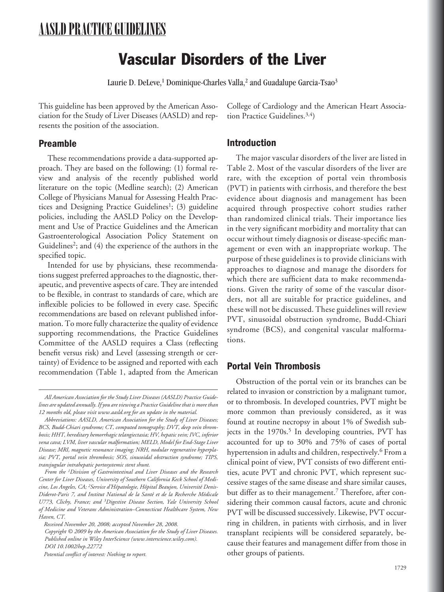# AASLD PRACTICE GUIDELINES

# Vascular Disorders of the Liver

Laurie D. DeLeve,<sup>1</sup> Dominique-Charles Valla,<sup>2</sup> and Guadalupe Garcia-Tsao<sup>3</sup>

This guideline has been approved by the American Association for the Study of Liver Diseases (AASLD) and represents the position of the association.

# **Preamble**

These recommendations provide a data-supported approach. They are based on the following: (1) formal review and analysis of the recently published world literature on the topic (Medline search); (2) American College of Physicians Manual for Assessing Health Practices and Designing Practice Guidelines<sup>1</sup>; (3) guideline policies, including the AASLD Policy on the Development and Use of Practice Guidelines and the American Gastroenterological Association Policy Statement on Guidelines<sup>2</sup>; and (4) the experience of the authors in the specified topic.

Intended for use by physicians, these recommendations suggest preferred approaches to the diagnostic, therapeutic, and preventive aspects of care. They are intended to be flexible, in contrast to standards of care, which are inflexible policies to be followed in every case. Specific recommendations are based on relevant published information. To more fully characterize the quality of evidence supporting recommendations, the Practice Guidelines Committee of the AASLD requires a Class (reflecting benefit versus risk) and Level (assessing strength or certainty) of Evidence to be assigned and reported with each recommendation (Table 1, adapted from the American

*Abbreviations: AASLD, American Association for the Study of Liver Diseases; BCS, Budd-Chiari syndrome; CT, computed tomography; DVT, deep vein thrombosis; HHT, hereditary hemorrhagic telangiectasia; HV, hepatic vein; IVC, inferior vena cava; LVM, liver vascular malformation; MELD, Model for End-Stage Liver Disease; MRI, magnetic resonance imaging; NRH, nodular regenerative hyperplasia; PVT, portal vein thrombosis; SOS, sinusoidal obstruction syndrome; TIPS, transjugular intrahepatic portosystemic stent shunt.*

*From the 1Division of Gastrointestinal and Liver Diseases and the Research Center for Liver Diseases, University of Southern California Keck School of Medi*cine, Los Angeles, CA; <sup>2</sup>Service d'Hépatologie, Hôpital Beaujon, Université Denis-*Diderot-Paris 7, and Institut National de la Sante´ et de la Recherche Me´dicale U773, Clichy, France; and 3Digestive Disease Section, Yale University School of Medicine and Veterans Administration–Connecticut Healthcare System, New Haven, CT.*

*Copyright © 2009 by the American Association for the Study of Liver Diseases. Published online in Wiley InterScience (www.interscience.wiley.com). DOI 10.1002/hep.22772*

*Potential conflict of interest: Nothing to report.*

College of Cardiology and the American Heart Association Practice Guidelines.<sup>3,4</sup>)

# **Introduction**

The major vascular disorders of the liver are listed in Table 2. Most of the vascular disorders of the liver are rare, with the exception of portal vein thrombosis (PVT) in patients with cirrhosis, and therefore the best evidence about diagnosis and management has been acquired through prospective cohort studies rather than randomized clinical trials. Their importance lies in the very significant morbidity and mortality that can occur without timely diagnosis or disease-specific management or even with an inappropriate workup. The purpose of these guidelines is to provide clinicians with approaches to diagnose and manage the disorders for which there are sufficient data to make recommendations. Given the rarity of some of the vascular disorders, not all are suitable for practice guidelines, and these will not be discussed. These guidelines will review PVT, sinusoidal obstruction syndrome, Budd-Chiari syndrome (BCS), and congenital vascular malformations.

# **Portal Vein Thrombosis**

Obstruction of the portal vein or its branches can be related to invasion or constriction by a malignant tumor, or to thrombosis. In developed countries, PVT might be more common than previously considered, as it was found at routine necropsy in about 1% of Swedish subjects in the 1970s.<sup>5</sup> In developing countries, PVT has accounted for up to 30% and 75% of cases of portal hypertension in adults and children, respectively.<sup>6</sup> From a clinical point of view, PVT consists of two different entities, acute PVT and chronic PVT, which represent successive stages of the same disease and share similar causes, but differ as to their management.<sup>7</sup> Therefore, after considering their common causal factors, acute and chronic PVT will be discussed successively. Likewise, PVT occurring in children, in patients with cirrhosis, and in liver transplant recipients will be considered separately, because their features and management differ from those in other groups of patients.

*All American Association for the Study Liver Diseases (AASLD) Practice Guidelines are updated annually. If you are viewing a Practice Guideline that is more than 12 months old, please visit www.aasld.org for an update in the material.*

*Received November 20, 2008; accepted November 28, 2008.*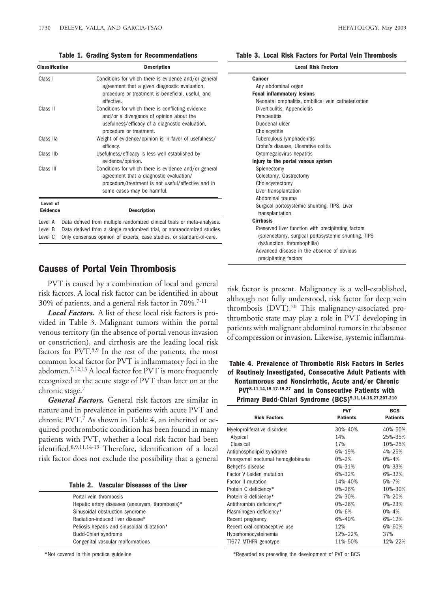**Table 1. Grading System for Recommendations**

| <b>Classification</b>       | <b>Description</b>                                                                                                                                                                   |
|-----------------------------|--------------------------------------------------------------------------------------------------------------------------------------------------------------------------------------|
| Class I                     | Conditions for which there is evidence and/or general<br>agreement that a given diagnostic evaluation,<br>procedure or treatment is beneficial, useful, and<br>effective.            |
| Class II                    | Conditions for which there is conflicting evidence<br>and/or a divergence of opinion about the<br>usefulness/efficacy of a diagnostic evaluation,<br>procedure or treatment.         |
| Class IIa                   | Weight of evidence/opinion is in favor of usefulness/<br>efficacy.                                                                                                                   |
| Class IIb                   | Usefulness/efficacy is less well established by<br>evidence/opinion.                                                                                                                 |
| Class III                   | Conditions for which there is evidence and/or general<br>agreement that a diagnostic evaluation/<br>procedure/treatment is not useful/effective and in<br>some cases may be harmful. |
| Level of<br><b>Evidence</b> | <b>Description</b>                                                                                                                                                                   |
| Level A                     | Data derived from multiple randomized clinical trials or meta-analyses.                                                                                                              |

Level B Data derived from a single randomized trial, or nonrandomized studies. Level C Only consensus opinion of experts, case studies, or standard-of-care.

# **Causes of Portal Vein Thrombosis**

PVT is caused by a combination of local and general risk factors. A local risk factor can be identified in about 30% of patients, and a general risk factor in  $70\%$ <sup>7-11</sup>

*Local Factors.* A list of these local risk factors is provided in Table 3. Malignant tumors within the portal venous territory (in the absence of portal venous invasion or constriction), and cirrhosis are the leading local risk factors for PVT.5,9 In the rest of the patients, the most common local factor for PVT is inflammatory foci in the abdomen.7,12,13 A local factor for PVT is more frequently recognized at the acute stage of PVT than later on at the chronic stage.<sup>7</sup>

*General Factors.* General risk factors are similar in nature and in prevalence in patients with acute PVT and chronic PVT.7 As shown in Table 4, an inherited or acquired prothrombotic condition has been found in many patients with PVT, whether a local risk factor had been identified.8,9,11,14-19 Therefore, identification of a local risk factor does not exclude the possibility that a general

|  | Table 2. Vascular Diseases of the Liver |  |  |
|--|-----------------------------------------|--|--|
|  |                                         |  |  |

| Portal vein thrombosis                          |
|-------------------------------------------------|
| Hepatic artery diseases (aneurysm, thrombosis)* |
| Sinusoidal obstruction syndrome                 |
| Radiation-induced liver disease*                |
| Peliosis hepatis and sinusoidal dilatation*     |
| Budd-Chiari syndrome                            |
| Congenital vascular malformations               |
|                                                 |

\*Not covered in this practice guideline

#### **Table 3. Local Risk Factors for Portal Vein Thrombosis**

| <b>Local Risk Factors</b>                           |  |  |  |
|-----------------------------------------------------|--|--|--|
| Cancer                                              |  |  |  |
| Any abdominal organ                                 |  |  |  |
| <b>Focal inflammatory lesions</b>                   |  |  |  |
| Neonatal omphalitis, ombilical vein catheterization |  |  |  |
| Diverticulitis, Appendicitis                        |  |  |  |
| Pancreatitis                                        |  |  |  |
| Duodenal ulcer                                      |  |  |  |
| Cholecystitis                                       |  |  |  |
| Tuberculous lymphadenitis                           |  |  |  |
| Crohn's disease. Ulcerative colitis                 |  |  |  |
| Cytomegalovirus hepatitis                           |  |  |  |
| Injury to the portal venous system                  |  |  |  |
| Splenectomy                                         |  |  |  |
| Colectomy, Gastrectomy                              |  |  |  |
| Cholecystectomy                                     |  |  |  |
| Liver transplantation                               |  |  |  |
| Abdominal trauma                                    |  |  |  |
| Surgical portosystemic shunting, TIPS, Liver        |  |  |  |
| transplantation                                     |  |  |  |
| <b>Cirrhosis</b>                                    |  |  |  |
| Preserved liver function with precipitating factors |  |  |  |
| (splenectomy, surgical portosystemic shunting, TIPS |  |  |  |
| dysfunction, thrombophilia)                         |  |  |  |
| Advanced disease in the absence of obvious          |  |  |  |
| precipitating factors                               |  |  |  |

risk factor is present. Malignancy is a well-established, although not fully understood, risk factor for deep vein thrombosis (DVT).<sup>20</sup> This malignancy-associated prothrombotic state may play a role in PVT developing in patients with malignant abdominal tumors in the absence of compression or invasion. Likewise, systemic inflamma-

### **Table 4. Prevalence of Thrombotic Risk Factors in Series of Routinely Investigated, Consecutive Adult Patients with Nontumorous and Noncirrhotic, Acute and/or Chronic PVT8-11,14,15,17-19,27 and in Consecutive Patients with Primary Budd-Chiari Syndrome (BCS)9,11,14-16,27,207-210**

| <b>Risk Factors</b>                 | <b>PVT</b><br><b>Patients</b> | <b>BCS</b><br><b>Patients</b> |
|-------------------------------------|-------------------------------|-------------------------------|
|                                     |                               |                               |
| Myeloproliferative disorders        | 30%-40%                       | 40%-50%                       |
| Atypical                            | 14%                           | 25%-35%                       |
| Classical                           | 17%                           | 10%-25%                       |
| Antiphospholipid syndrome           | 6%-19%                        | 4%-25%                        |
| Paroxysmal nocturnal hemoglobinuria | $0% - 2%$                     | $0% - 4%$                     |
| Behcet's disease                    | $0% - 31%$                    | 0%-33%                        |
| Factor V Leiden mutation            | 6%-32%                        | 6%-32%                        |
| Factor II mutation                  | 14%-40%                       | 5%-7%                         |
| Protein C deficiency*               | $0% - 26%$                    | 10%-30%                       |
| Protein S deficiency*               | 2%-30%                        | 7%-20%                        |
| Antithrombin deficiency*            | $0% - 26%$                    | $0% - 23%$                    |
| Plasminogen deficiency*             | $0% - 6%$                     | $0% - 4%$                     |
| Recent pregnancy                    | 6%-40%                        | 6%-12%                        |
| Recent oral contraceptive use       | 12%                           | 6%-60%                        |
| Hyperhomocysteinemia                | 12%-22%                       | 37%                           |
| TT677 MTHFR genotype                | 11%-50%                       | 12%-22%                       |

\*Regarded as preceding the development of PVT or BCS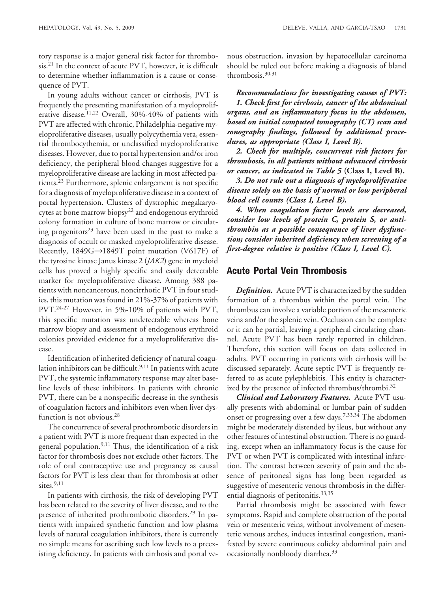tory response is a major general risk factor for thrombosis.21 In the context of acute PVT, however, it is difficult to determine whether inflammation is a cause or consequence of PVT.

In young adults without cancer or cirrhosis, PVT is frequently the presenting manifestation of a myeloproliferative disease.11,22 Overall, 30%-40% of patients with PVT are affected with chronic, Philadelphia-negative myeloproliferative diseases, usually polycythemia vera, essential thrombocythemia, or unclassified myeloproliferative diseases. However, due to portal hypertension and/or iron deficiency, the peripheral blood changes suggestive for a myeloproliferative disease are lacking in most affected patients.23 Furthermore, splenic enlargement is not specific for a diagnosis of myeloproliferative disease in a context of portal hypertension. Clusters of dystrophic megakaryocytes at bone marrow biopsy<sup>22</sup> and endogenous erythroid colony formation in culture of bone marrow or circulating progenitors<sup>23</sup> have been used in the past to make a diagnosis of occult or masked myeloproliferative disease. Recently,  $1849G \rightarrow 1849T$  point mutation (V617F) of the tyrosine kinase Janus kinase 2 (*JAK2*) gene in myeloid cells has proved a highly specific and easily detectable marker for myeloproliferative disease. Among 388 patients with noncancerous, noncirrhotic PVT in four studies, this mutation was found in 21%-37% of patients with PVT.24-27 However, in 5%-10% of patients with PVT, this specific mutation was undetectable whereas bone marrow biopsy and assessment of endogenous erythroid colonies provided evidence for a myeloproliferative disease.

Identification of inherited deficiency of natural coagulation inhibitors can be difficult.<sup>9,11</sup> In patients with acute PVT, the systemic inflammatory response may alter baseline levels of these inhibitors. In patients with chronic PVT, there can be a nonspecific decrease in the synthesis of coagulation factors and inhibitors even when liver dysfunction is not obvious.<sup>28</sup>

The concurrence of several prothrombotic disorders in a patient with PVT is more frequent than expected in the general population.9,11 Thus, the identification of a risk factor for thrombosis does not exclude other factors. The role of oral contraceptive use and pregnancy as causal factors for PVT is less clear than for thrombosis at other sites.<sup>9,11</sup>

In patients with cirrhosis, the risk of developing PVT has been related to the severity of liver disease, and to the presence of inherited prothrombotic disorders.29 In patients with impaired synthetic function and low plasma levels of natural coagulation inhibitors, there is currently no simple means for ascribing such low levels to a preexisting deficiency. In patients with cirrhosis and portal venous obstruction, invasion by hepatocellular carcinoma should be ruled out before making a diagnosis of bland thrombosis.<sup>30,31</sup>

*Recommendations for investigating causes of PVT: 1. Check first for cirrhosis, cancer of the abdominal organs, and an inflammatory focus in the abdomen, based on initial computed tomography (CT) scan and sonography findings, followed by additional procedures, as appropriate (Class I, Level B).*

*2. Check for multiple, concurrent risk factors for thrombosis, in all patients without advanced cirrhosis or cancer, as indicated in Table 5* **(Class I, Level B).**

*3. Do not rule out a diagnosis of myeloproliferative disease solely on the basis of normal or low peripheral blood cell counts (Class I, Level B).*

*4. When coagulation factor levels are decreased, consider low levels of protein C, protein S, or antithrombin as a possible consequence of liver dysfunction; consider inherited deficiency when screening of a first-degree relative is positive (Class I, Level C).*

# **Acute Portal Vein Thrombosis**

*Definition.* Acute PVT is characterized by the sudden formation of a thrombus within the portal vein. The thrombus can involve a variable portion of the mesenteric veins and/or the splenic vein. Occlusion can be complete or it can be partial, leaving a peripheral circulating channel. Acute PVT has been rarely reported in children. Therefore, this section will focus on data collected in adults. PVT occurring in patients with cirrhosis will be discussed separately. Acute septic PVT is frequently referred to as acute pylephlebitis. This entity is characterized by the presence of infected thrombus/thrombi.<sup>32</sup>

*Clinical and Laboratory Features.* Acute PVT usually presents with abdominal or lumbar pain of sudden onset or progressing over a few days.7,33,34 The abdomen might be moderately distended by ileus, but without any other features of intestinal obstruction. There is no guarding, except when an inflammatory focus is the cause for PVT or when PVT is complicated with intestinal infarction. The contrast between severity of pain and the absence of peritoneal signs has long been regarded as suggestive of mesenteric venous thrombosis in the differential diagnosis of peritonitis.<sup>33,35</sup>

Partial thrombosis might be associated with fewer symptoms. Rapid and complete obstruction of the portal vein or mesenteric veins, without involvement of mesenteric venous arches, induces intestinal congestion, manifested by severe continuous colicky abdominal pain and occasionally nonbloody diarrhea.33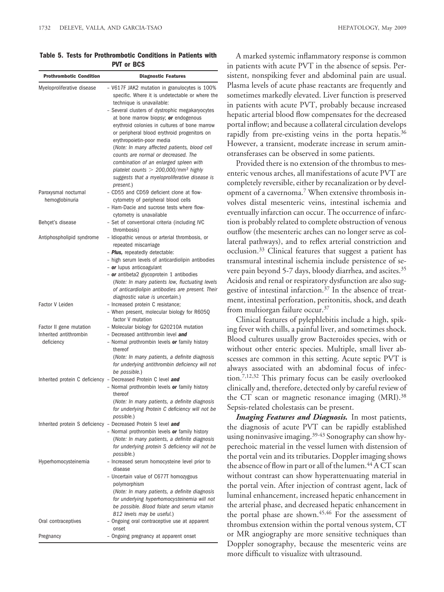**Table 5. Tests for Prothrombotic Conditions in Patients with PVT or BCS**

| <b>Prothrombotic Condition</b>                                  | <b>Diagnostic Features</b>                                                                                                                                                                                                                                                                                                                                                                                                                                                                                                                                                                       |
|-----------------------------------------------------------------|--------------------------------------------------------------------------------------------------------------------------------------------------------------------------------------------------------------------------------------------------------------------------------------------------------------------------------------------------------------------------------------------------------------------------------------------------------------------------------------------------------------------------------------------------------------------------------------------------|
| Myeloproliferative disease                                      | - V617F JAK2 mutation in granulocytes is 100%<br>specific. Where it is undetectable or where the<br>technique is unavailable:<br>- Several clusters of dystrophic megakaryocytes<br>at bone marrow biopsy; or endogenous<br>erythroid colonies in cultures of bone marrow<br>or peripheral blood erythroid progenitors on<br>erythropoietin-poor media<br>(Note: In many affected patients, blood cell<br>counts are normal or decreased. The<br>combination of an enlarged spleen with<br>platelet counts $> 200,000/mm^3$ highly<br>suggests that a myeloproliferative disease is<br>present.) |
| Paroxysmal nocturnal<br>hemoglobinuria                          | - CD55 and CD59 deficient clone at flow-<br>cytometry of peripheral blood cells<br>- Ham-Dacie and sucrose tests where flow-<br>cytometry is unavailable                                                                                                                                                                                                                                                                                                                                                                                                                                         |
| Behçet's disease                                                | - Set of conventional criteria (including IVC<br>thrombosis)                                                                                                                                                                                                                                                                                                                                                                                                                                                                                                                                     |
| Antiphospholipid syndrome                                       | - Idiopathic venous or arterial thrombosis, or<br>repeated miscarriage<br>- Plus, repeatedly detectable:<br>- high serum levels of anticardiolipin antibodies<br>- or lupus anticoagulant<br>- or antibeta2 glycoprotein 1 antibodies<br>(Note: In many patients low, fluctuating levels<br>of anticardiolipin antibodies are present. Their<br>diagnostic value is uncertain.)                                                                                                                                                                                                                  |
| Factor V Leiden                                                 | - Increased protein C resistance;<br>- When present, molecular biology for R605Q<br>factor V mutation                                                                                                                                                                                                                                                                                                                                                                                                                                                                                            |
| Factor II gene mutation<br>Inherited antithrombin<br>deficiency | - Molecular biology for G20210A mutation<br>- Decreased antithrombin level and<br>- Normal prothrombin levels or family history<br>thereof<br>(Note: In many patients, a definite diagnosis<br>for underlying antithrombin deficiency will not<br>be possible.)                                                                                                                                                                                                                                                                                                                                  |
|                                                                 | Inherited protein C deficiency - Decreased Protein C level and<br>- Normal prothrombin levels or family history<br>thereof<br>(Note: In many patients, a definite diagnosis<br>for underlying Protein C deficiency will not be<br>possible.)                                                                                                                                                                                                                                                                                                                                                     |
|                                                                 | Inherited protein S deficiency - Decreased Protein S level and<br>- Normal prothrombin levels or family history<br>(Note: In many patients, a definite diagnosis<br>for underlying protein S deficiency will not be<br>possible.)                                                                                                                                                                                                                                                                                                                                                                |
| Hyperhomocysteinemia                                            | - Increased serum homocysteine level prior to<br>disease<br>- Uncertain value of C677T homozygous<br>polymorphism<br>(Note: In many patients, a definite diagnosis<br>for underlying hyperhomocysteinemia will not<br>be possible. Blood folate and serum vitamin<br>B12 levels may be useful.)                                                                                                                                                                                                                                                                                                  |
| Oral contraceptives                                             | - Ongoing oral contraceptive use at apparent<br>onset                                                                                                                                                                                                                                                                                                                                                                                                                                                                                                                                            |
| Pregnancy                                                       | - Ongoing pregnancy at apparent onset                                                                                                                                                                                                                                                                                                                                                                                                                                                                                                                                                            |

A marked systemic inflammatory response is common in patients with acute PVT in the absence of sepsis. Persistent, nonspiking fever and abdominal pain are usual. Plasma levels of acute phase reactants are frequently and sometimes markedly elevated. Liver function is preserved in patients with acute PVT, probably because increased hepatic arterial blood flow compensates for the decreased portal inflow; and because a collateral circulation develops rapidly from pre-existing veins in the porta hepatis. $36$ However, a transient, moderate increase in serum aminotransferases can be observed in some patients.

Provided there is no extension of the thrombus to mesenteric venous arches, all manifestations of acute PVT are completely reversible, either by recanalization or by development of a cavernoma.7 When extensive thrombosis involves distal mesenteric veins, intestinal ischemia and eventually infarction can occur. The occurrence of infarction is probably related to complete obstruction of venous outflow (the mesenteric arches can no longer serve as collateral pathways), and to reflex arterial constriction and occlusion.33 Clinical features that suggest a patient has transmural intestinal ischemia include persistence of severe pain beyond 5-7 days, bloody diarrhea, and ascites.<sup>35</sup> Acidosis and renal or respiratory dysfunction are also suggestive of intestinal infarction.37 In the absence of treatment, intestinal perforation, peritonitis, shock, and death from multiorgan failure occur.37

Clinical features of pylephlebitis include a high, spiking fever with chills, a painful liver, and sometimes shock. Blood cultures usually grow Bacteroides species, with or without other enteric species. Multiple, small liver abscesses are common in this setting. Acute septic PVT is always associated with an abdominal focus of infection.7,12,32 This primary focus can be easily overlooked clinically and, therefore, detected only by careful review of the CT scan or magnetic resonance imaging  $(MRI).<sup>38</sup>$ Sepsis-related cholestasis can be present.

*Imaging Features and Diagnosis.* In most patients, the diagnosis of acute PVT can be rapidly established using noninvasive imaging.<sup>39-43</sup> Sonography can show hyperechoic material in the vessel lumen with distension of the portal vein and its tributaries. Doppler imaging shows the absence of flow in part or all of the lumen.<sup>44</sup> A CT scan without contrast can show hyperattenuating material in the portal vein. After injection of contrast agent, lack of luminal enhancement, increased hepatic enhancement in the arterial phase, and decreased hepatic enhancement in the portal phase are shown.<sup>45,46</sup> For the assessment of thrombus extension within the portal venous system, CT or MR angiography are more sensitive techniques than Doppler sonography, because the mesenteric veins are more difficult to visualize with ultrasound.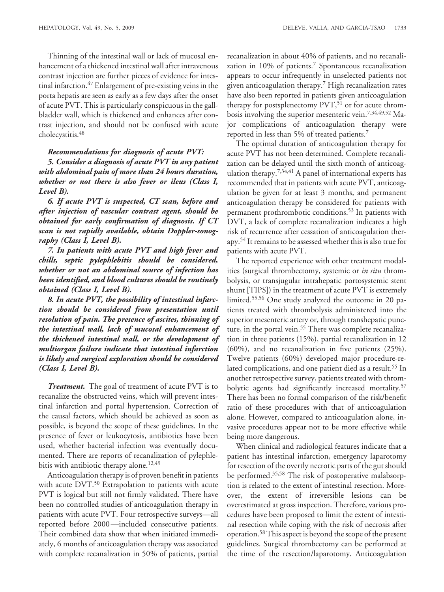Thinning of the intestinal wall or lack of mucosal enhancement of a thickened intestinal wall after intravenous contrast injection are further pieces of evidence for intestinal infarction.47 Enlargement of pre-existing veins in the porta hepatis are seen as early as a few days after the onset of acute PVT. This is particularly conspicuous in the gallbladder wall, which is thickened and enhances after contrast injection, and should not be confused with acute cholecystitis.48

### *Recommendations for diagnosis of acute PVT:*

*5. Consider a diagnosis of acute PVT in any patient with abdominal pain of more than 24 hours duration, whether or not there is also fever or ileus (Class I, Level B).*

*6. If acute PVT is suspected, CT scan, before and after injection of vascular contrast agent, should be obtained for early confirmation of diagnosis. If CT scan is not rapidly available, obtain Doppler-sonography (Class I, Level B).*

*7. In patients with acute PVT and high fever and chills, septic pylephlebitis should be considered, whether or not an abdominal source of infection has been identified, and blood cultures should be routinely obtained (Class I, Level B).*

*8. In acute PVT, the possibility of intestinal infarction should be considered from presentation until resolution of pain. The presence of ascites, thinning of the intestinal wall, lack of mucosal enhancement of the thickened intestinal wall, or the development of multiorgan failure indicate that intestinal infarction is likely and surgical exploration should be considered (Class I, Level B).*

*Treatment.* The goal of treatment of acute PVT is to recanalize the obstructed veins, which will prevent intestinal infarction and portal hypertension. Correction of the causal factors, which should be achieved as soon as possible, is beyond the scope of these guidelines. In the presence of fever or leukocytosis, antibiotics have been used, whether bacterial infection was eventually documented. There are reports of recanalization of pylephlebitis with antibiotic therapy alone.<sup>12,49</sup>

Anticoagulation therapy is of proven benefit in patients with acute DVT.<sup>50</sup> Extrapolation to patients with acute PVT is logical but still not firmly validated. There have been no controlled studies of anticoagulation therapy in patients with acute PVT. Four retrospective surveys—all reported before 2000—included consecutive patients. Their combined data show that when initiated immediately, 6 months of anticoagulation therapy was associated with complete recanalization in 50% of patients, partial recanalization in about 40% of patients, and no recanalization in  $10\%$  of patients.<sup>7</sup> Spontaneous recanalization appears to occur infrequently in unselected patients not given anticoagulation therapy.7 High recanalization rates have also been reported in patients given anticoagulation therapy for postsplenectomy  $PVT$ ,<sup>51</sup> or for acute thrombosis involving the superior mesenteric vein.7,34,49,52 Major complications of anticoagulation therapy were reported in less than 5% of treated patients.7

The optimal duration of anticoagulation therapy for acute PVT has not been determined. Complete recanalization can be delayed until the sixth month of anticoagulation therapy.<sup>7,34,41</sup> A panel of international experts has recommended that in patients with acute PVT, anticoagulation be given for at least 3 months, and permanent anticoagulation therapy be considered for patients with permanent prothrombotic conditions.53 In patients with DVT, a lack of complete recanalization indicates a high risk of recurrence after cessation of anticoagulation therapy.54 It remains to be assessed whether this is also true for patients with acute PVT.

The reported experience with other treatment modalities (surgical thrombectomy, systemic or *in situ* thrombolysis, or transjugular intrahepatic portosystemic stent shunt [TIPS]) in the treatment of acute PVT is extremely limited.55,56 One study analyzed the outcome in 20 patients treated with thrombolysis administered into the superior mesenteric artery or, through transhepatic puncture, in the portal vein.<sup>55</sup> There was complete recanalization in three patients (15%), partial recanalization in 12 (60%), and no recanalization in five patients (25%). Twelve patients (60%) developed major procedure-related complications, and one patient died as a result.<sup>55</sup> In another retrospective survey, patients treated with thrombolytic agents had significantly increased mortality.<sup>57</sup> There has been no formal comparison of the risk/benefit ratio of these procedures with that of anticoagulation alone. However, compared to anticoagulation alone, invasive procedures appear not to be more effective while being more dangerous.

When clinical and radiological features indicate that a patient has intestinal infarction, emergency laparotomy for resection of the overtly necrotic parts of the gut should be performed.35,58 The risk of postoperative malabsorption is related to the extent of intestinal resection. Moreover, the extent of irreversible lesions can be overestimated at gross inspection. Therefore, various procedures have been proposed to limit the extent of intestinal resection while coping with the risk of necrosis after operation.58 This aspect is beyond the scope of the present guidelines. Surgical thrombectomy can be performed at the time of the resection/laparotomy. Anticoagulation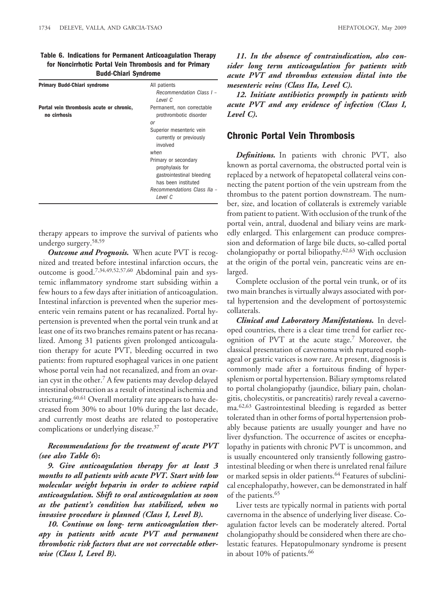|  | Table 6. Indications for Permanent Anticoagulation Therapy |  |
|--|------------------------------------------------------------|--|
|  | for Noncirrhotic Portal Vein Thrombosis and for Primary    |  |
|  | <b>Budd-Chiari Syndrome</b>                                |  |

| <b>Primary Budd-Chiari syndrome</b>                      | All patients<br>Recommendation Class I -<br>Level C                                                                                                                                                                                                                            |
|----------------------------------------------------------|--------------------------------------------------------------------------------------------------------------------------------------------------------------------------------------------------------------------------------------------------------------------------------|
| Portal vein thrombosis acute or chronic,<br>no cirrhosis | Permanent, non correctable<br>prothrombotic disorder<br>or<br>Superior mesenteric vein<br>currently or previously<br>involved<br>when<br>Primary or secondary<br>prophylaxis for<br>gastrointestinal bleeding<br>has been instituted<br>Recommendations Class IIa -<br>Level C |

therapy appears to improve the survival of patients who undergo surgery.58,59

**Outcome and Prognosis.** When acute PVT is recognized and treated before intestinal infarction occurs, the outcome is good.7,34,49,52,57,60 Abdominal pain and systemic inflammatory syndrome start subsiding within a few hours to a few days after initiation of anticoagulation. Intestinal infarction is prevented when the superior mesenteric vein remains patent or has recanalized. Portal hypertension is prevented when the portal vein trunk and at least one of its two branches remains patent or has recanalized. Among 31 patients given prolonged anticoagulation therapy for acute PVT, bleeding occurred in two patients: from ruptured esophageal varices in one patient whose portal vein had not recanalized, and from an ovarian cyst in the other.<sup>7</sup> A few patients may develop delayed intestinal obstruction as a result of intestinal ischemia and stricturing.<sup>60,61</sup> Overall mortality rate appears to have decreased from 30% to about 10% during the last decade, and currently most deaths are related to postoperative complications or underlying disease.37

### *Recommendations for the treatment of acute PVT (see also Table 6***):**

*9. Give anticoagulation therapy for at least 3 months to all patients with acute PVT. Start with low molecular weight heparin in order to achieve rapid anticoagulation. Shift to oral anticoagulation as soon as the patient's condition has stabilized, when no invasive procedure is planned (Class I, Level B).*

*10. Continue on long- term anticoagulation therapy in patients with acute PVT and permanent thrombotic risk factors that are not correctable otherwise (Class I, Level B).*

*11. In the absence of contraindication, also consider long term anticoagulation for patients with acute PVT and thrombus extension distal into the mesenteric veins (Class IIa, Level C).*

*12. Initiate antibiotics promptly in patients with acute PVT and any evidence of infection (Class I, Level C).*

# **Chronic Portal Vein Thrombosis**

*Definitions.* In patients with chronic PVT, also known as portal cavernoma, the obstructed portal vein is replaced by a network of hepatopetal collateral veins connecting the patent portion of the vein upstream from the thrombus to the patent portion downstream. The number, size, and location of collaterals is extremely variable from patient to patient. With occlusion of the trunk of the portal vein, antral, duodenal and biliary veins are markedly enlarged. This enlargement can produce compression and deformation of large bile ducts, so-called portal cholangiopathy or portal biliopathy.<sup>62,63</sup> With occlusion at the origin of the portal vein, pancreatic veins are enlarged.

Complete occlusion of the portal vein trunk, or of its two main branches is virtually always associated with portal hypertension and the development of portosystemic collaterals.

*Clinical and Laboratory Manifestations.* In developed countries, there is a clear time trend for earlier recognition of PVT at the acute stage.<sup>7</sup> Moreover, the classical presentation of cavernoma with ruptured esophageal or gastric varices is now rare. At present, diagnosis is commonly made after a fortuitous finding of hypersplenism or portal hypertension. Biliary symptoms related to portal cholangiopathy (jaundice, biliary pain, cholangitis, cholecystitis, or pancreatitis) rarely reveal a cavernoma.62,63 Gastrointestinal bleeding is regarded as better tolerated than in other forms of portal hypertension probably because patients are usually younger and have no liver dysfunction. The occurrence of ascites or encephalopathy in patients with chronic PVT is uncommon, and is usually encountered only transiently following gastrointestinal bleeding or when there is unrelated renal failure or marked sepsis in older patients.64 Features of subclinical encephalopathy, however, can be demonstrated in half of the patients.<sup>65</sup>

Liver tests are typically normal in patients with portal cavernoma in the absence of underlying liver disease. Coagulation factor levels can be moderately altered. Portal cholangiopathy should be considered when there are cholestatic features. Hepatopulmonary syndrome is present in about 10% of patients.<sup>66</sup>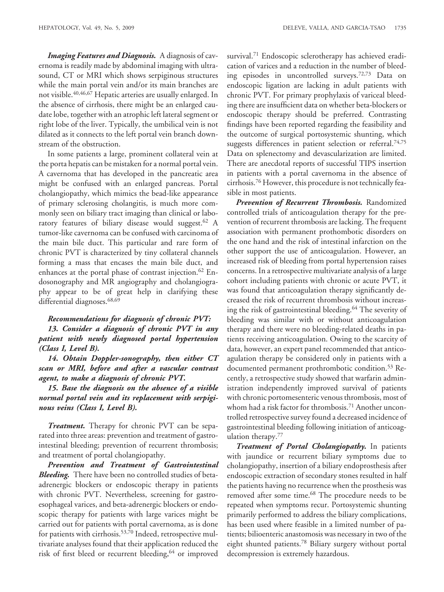*Imaging Features and Diagnosis.* A diagnosis of cavernoma is readily made by abdominal imaging with ultrasound, CT or MRI which shows serpiginous structures while the main portal vein and/or its main branches are not visible.40,46,67 Hepatic arteries are usually enlarged. In the absence of cirrhosis, there might be an enlarged caudate lobe, together with an atrophic left lateral segment or right lobe of the liver. Typically, the umbilical vein is not dilated as it connects to the left portal vein branch downstream of the obstruction.

In some patients a large, prominent collateral vein at the porta hepatis can be mistaken for a normal portal vein. A cavernoma that has developed in the pancreatic area might be confused with an enlarged pancreas. Portal cholangiopathy, which mimics the bead-like appearance of primary sclerosing cholangitis, is much more commonly seen on biliary tract imaging than clinical or laboratory features of biliary disease would suggest.62 A tumor-like cavernoma can be confused with carcinoma of the main bile duct. This particular and rare form of chronic PVT is characterized by tiny collateral channels forming a mass that encases the main bile duct, and enhances at the portal phase of contrast injection.<sup>62</sup> Endosonography and MR angiography and cholangiography appear to be of great help in clarifying these differential diagnoses.<sup>68,69</sup>

#### *Recommendations for diagnosis of chronic PVT:*

*13. Consider a diagnosis of chronic PVT in any patient with newly diagnosed portal hypertension (Class I, Level B).*

*14. Obtain Doppler-sonography, then either CT scan or MRI, before and after a vascular contrast agent, to make a diagnosis of chronic PVT.*

*15. Base the diagnosis on the absence of a visible normal portal vein and its replacement with serpiginous veins (Class I, Level B).*

*Treatment.* Therapy for chronic PVT can be separated into three areas: prevention and treatment of gastrointestinal bleeding; prevention of recurrent thrombosis; and treatment of portal cholangiopathy.

*Prevention and Treatment of Gastrointestinal Bleeding.* There have been no controlled studies of betaadrenergic blockers or endoscopic therapy in patients with chronic PVT. Nevertheless, screening for gastroesophageal varices, and beta-adrenergic blockers or endoscopic therapy for patients with large varices might be carried out for patients with portal cavernoma, as is done for patients with cirrhosis.53,70 Indeed, retrospective multivariate analyses found that their application reduced the risk of first bleed or recurrent bleeding,<sup>64</sup> or improved

survival.71 Endoscopic sclerotherapy has achieved eradication of varices and a reduction in the number of bleeding episodes in uncontrolled surveys.72,73 Data on endoscopic ligation are lacking in adult patients with chronic PVT. For primary prophylaxis of variceal bleeding there are insufficient data on whether beta-blockers or endoscopic therapy should be preferred. Contrasting findings have been reported regarding the feasibility and the outcome of surgical portosystemic shunting, which suggests differences in patient selection or referral.<sup>74,75</sup> Data on splenectomy and devascularization are limited. There are anecdotal reports of successful TIPS insertion in patients with a portal cavernoma in the absence of cirrhosis.76 However, this procedure is not technically feasible in most patients.

*Prevention of Recurrent Thrombosis.* Randomized controlled trials of anticoagulation therapy for the prevention of recurrent thrombosis are lacking. The frequent association with permanent prothombotic disorders on the one hand and the risk of intestinal infarction on the other support the use of anticoagulation. However, an increased risk of bleeding from portal hypertension raises concerns. In a retrospective multivariate analysis of a large cohort including patients with chronic or acute PVT, it was found that anticoagulation therapy significantly decreased the risk of recurrent thrombosis without increasing the risk of gastrointestinal bleeding.<sup>64</sup> The severity of bleeding was similar with or without anticoagulation therapy and there were no bleeding-related deaths in patients receiving anticoagulation. Owing to the scarcity of data, however, an expert panel recommended that anticoagulation therapy be considered only in patients with a documented permanent prothrombotic condition.<sup>53</sup> Recently, a retrospective study showed that warfarin administration independently improved survival of patients with chronic portomesenteric venous thrombosis, most of whom had a risk factor for thrombosis.<sup>71</sup> Another uncontrolled retrospective survey found a decreased incidence of gastrointestinal bleeding following initiation of anticoagulation therapy.<sup>77</sup>

*Treatment of Portal Cholangiopathy.* In patients with jaundice or recurrent biliary symptoms due to cholangiopathy, insertion of a biliary endoprosthesis after endoscopic extraction of secondary stones resulted in half the patients having no recurrence when the prosthesis was removed after some time.<sup>68</sup> The procedure needs to be repeated when symptoms recur. Portosystemic shunting primarily performed to address the biliary complications, has been used where feasible in a limited number of patients; bilioenteric anastomosis was necessary in two of the eight shunted patients.78 Biliary surgery without portal decompression is extremely hazardous.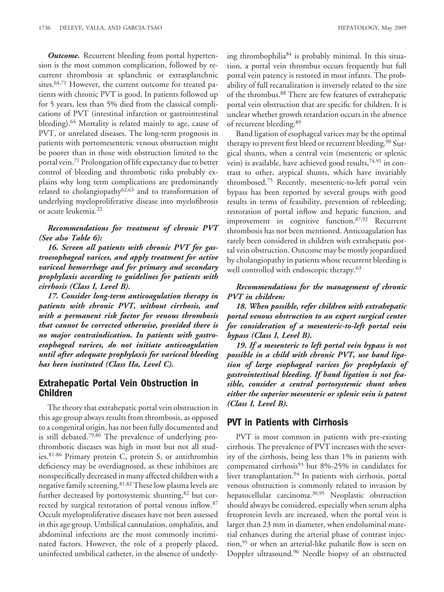*Outcome.* Recurrent bleeding from portal hypertension is the most common complication, followed by recurrent thrombosis at splanchnic or extrasplanchnic sites.<sup>64,71</sup> However, the current outcome for treated patients with chronic PVT is good. In patients followed up for 5 years, less than 5% died from the classical complications of PVT (intestinal infarction or gastrointestinal bleeding).<sup>64</sup> Mortality is related mainly to age, cause of PVT, or unrelated diseases. The long-term prognosis in patients with portomesenteric venous obstruction might be poorer than in those with obstruction limited to the portal vein.71 Prolongation of life expectancy due to better control of bleeding and thrombotic risks probably explains why long term complications are predominantly related to cholangiopathy $62,63$  and to transformation of underlying myeloproliferative disease into myelofibrosis or acute leukemia.22

### *Recommendations for treatment of chronic PVT (See also Table 6):*

*16. Screen all patients with chronic PVT for gastroesophageal varices, and apply treatment for active variceal hemorrhage and for primary and secondary prophylaxis according to guidelines for patients with cirrhosis (Class I, Level B).*

*17. Consider long-term anticoagulation therapy in patients with chronic PVT, without cirrhosis, and with a permanent risk factor for venous thrombosis that cannot be corrected otherwise, provided there is no major contraindication. In patients with gastroesophageal varices, do not initiate anticoagulation until after adequate prophylaxis for variceal bleeding has been instituted (Class IIa, Level C).*

# **Extrahepatic Portal Vein Obstruction in Children**

The theory that extrahepatic portal vein obstruction in this age group always results from thrombosis, as opposed to a congenital origin, has not been fully documented and is still debated.79,80 The prevalence of underlying prothrombotic diseases was high in most but not all studies.81-86 Primary protein C, protein S, or antithrombin deficiency may be overdiagnosed, as these inhibitors are nonspecifically decreased in many affected children with a negative family screening.81,82 These low plasma levels are further decreased by portosystemic shunting, 82 but corrected by surgical restoration of portal venous inflow.87 Occult myeloproliferative diseases have not been assessed in this age group. Umbilical cannulation, omphalitis, and abdominal infections are the most commonly incriminated factors. However, the role of a properly placed, uninfected umbilical catheter, in the absence of underlying thrombophilia<sup>84</sup> is probably minimal. In this situation, a portal vein thrombus occurs frequently but full portal vein patency is restored in most infants. The probability of full recanalization is inversely related to the size of the thrombus.<sup>88</sup> There are few features of extrahepatic portal vein obstruction that are specific for children. It is unclear whether growth retardation occurs in the absence of recurrent bleeding.89

Band ligation of esophageal varices may be the optimal therapy to prevent first bleed or recurrent bleeding.<sup>90</sup> Surgical shunts, when a central vein (mesenteric or splenic vein) is available, have achieved good results,  $74.91$  in contrast to other, atypical shunts, which have invariably thrombosed.75 Recently, mesenteric-to-left portal vein bypass has been reported by several groups with good results in terms of feasibility, prevention of rebleeding, restoration of portal inflow and hepatic function, and improvement in cognitive function.87,92 Recurrent thrombosis has not been mentioned. Anticoagulation has rarely been considered in children with extrahepatic portal vein obstruction. Outcome may be mostly jeopardized by cholangiopathy in patients whose recurrent bleeding is well controlled with endoscopic therapy.<sup>63</sup>

# *Recommendations for the management of chronic PVT in children:*

*18. When possible, refer children with extrahepatic portal venous obstruction to an expert surgical center for consideration of a mesenteric-to-left portal vein bypass (Class I, Level B).*

*19. If a mesenteric to left portal vein bypass is not possible in a child with chronic PVT, use band ligation of large esophageal varices for prophylaxis of gastrointestinal bleeding. If band ligation is not feasible, consider a central portosystemic shunt when either the superior mesenteric or splenic vein is patent (Class I, Level B).*

# **PVT in Patients with Cirrhosis**

PVT is most common in patients with pre-existing cirrhosis. The prevalence of PVT increases with the severity of the cirrhosis, being less than 1% in patients with compensated cirrhosis<sup>93</sup> but 8%-25% in candidates for liver transplantation.<sup>94</sup> In patients with cirrhosis, portal venous obstruction is commonly related to invasion by hepatocellular carcinoma.30,95 Neoplastic obstruction should always be considered, especially when serum alpha fetoprotein levels are increased, when the portal vein is larger than 23 mm in diameter, when endoluminal material enhances during the arterial phase of contrast injection,95 or when an arterial-like pulsatile flow is seen on Doppler ultrasound.96 Needle biopsy of an obstructed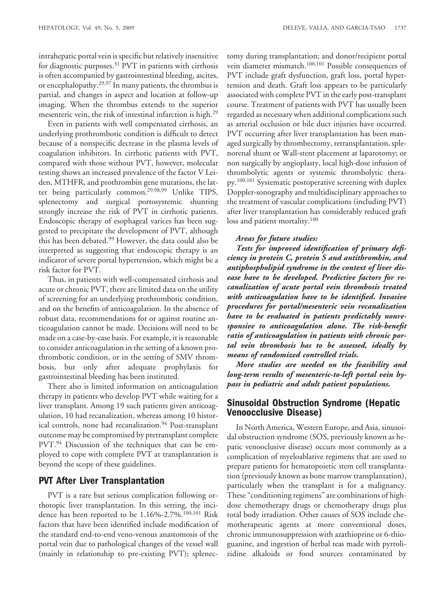intrahepatic portal vein is specific but relatively insensitive for diagnostic purposes.31 PVT in patients with cirrhosis is often accompanied by gastrointestinal bleeding, ascites, or encephalopathy.29,97 In many patients, the thrombus is partial, and changes in aspect and location at follow-up imaging. When the thrombus extends to the superior mesenteric vein, the risk of intestinal infarction is high.29

Even in patients with well compensated cirrhosis, an underlying prothrombotic condition is difficult to detect because of a nonspecific decrease in the plasma levels of coagulation inhibitors. In cirrhotic patients with PVT, compared with those without PVT, however, molecular testing shows an increased prevalence of the factor V Leiden, MTHFR, and prothrombin gene mutations, the latter being particularly common.29,98,99 Unlike TIPS, splenectomy and surgical portosystemic shunting strongly increase the risk of PVT in cirrhotic patients. Endoscopic therapy of esophageal varices has been suggested to precipitate the development of PVT, although this has been debated.99 However, the data could also be interpreted as suggesting that endoscopic therapy is an indicator of severe portal hypertension, which might be a risk factor for PVT.

Thus, in patients with well-compensated cirrhosis and acute or chronic PVT, there are limited data on the utility of screening for an underlying prothrombotic condition, and on the benefits of anticoagulation. In the absence of robust data, recommendations for or against routine anticoagulation cannot be made. Decisions will need to be made on a case-by-case basis. For example, it is reasonable to consider anticoagulation in the setting of a known prothrombotic condition, or in the setting of SMV thrombosis, but only after adequate prophylaxis for gastrointestinal bleeding has been instituted.

There also is limited information on anticoagulation therapy in patients who develop PVT while waiting for a liver transplant. Among 19 such patients given anticoagulation, 10 had recanalization, whereas among 10 historical controls, none had recanalization.<sup>94</sup> Post-transplant outcome may be compromised by pretransplant complete PVT.<sup>94</sup> Discussion of the techniques that can be employed to cope with complete PVT at transplantation is beyond the scope of these guidelines.

# **PVT After Liver Transplantation**

PVT is a rare but serious complication following orthotopic liver transplantation. In this setting, the incidence has been reported to be 1.16%-2.7%.<sup>100,101</sup> Risk factors that have been identified include modification of the standard end-to-end veno-venous anastomosis of the portal vein due to pathological changes of the vessel wall (mainly in relationship to pre-existing PVT); splenectomy during transplantation; and donor/recipient portal vein diameter mismatch.100,101 Possible consequences of PVT include graft dysfunction, graft loss, portal hypertension and death. Graft loss appears to be particularly associated with complete PVT in the early post-transplant course. Treatment of patients with PVT has usually been regarded as necessary when additional complications such as arterial occlusion or bile duct injuries have occurred. PVT occurring after liver transplantation has been managed surgically by thrombectomy, retransplantation, splenorenal shunt or Wall-stent placement at laparotomy; or non surgically by angioplasty, local high-dose infusion of thrombolytic agents or systemic thrombolytic therapy.100,101 Systematic postoperative screening with duplex Doppler-sonography and multidisciplinary approaches to the treatment of vascular complications (including PVT) after liver transplantation has considerably reduced graft loss and patient mortality.<sup>100</sup>

### *Areas for future studies:*

*Tests for improved identification of primary deficiency in protein C, protein S and antithrombin, and antiphospholipid syndrome in the context of liver disease have to be developed. Predictive factors for recanalization of acute portal vein thrombosis treated with anticoagulation have to be identified. Invasive procedures for portal/mesenteric vein recanalization have to be evaluated in patients predictably nonresponsive to anticoagulation alone. The risk-benefit ratio of anticoagulation in patients with chronic portal vein thrombosis has to be assessed, ideally by means of randomized controlled trials.*

*More studies are needed on the feasibility and long-term results of mesenteric-to-left portal vein bypass in pediatric and adult patient populations.*

# **Sinusoidal Obstruction Syndrome (Hepatic Venoocclusive Disease)**

In North America, Western Europe, and Asia, sinusoidal obstruction syndrome (SOS, previously known as hepatic venooclusive disease) occurs most commonly as a complication of myeloablative regimens that are used to prepare patients for hematopoietic stem cell transplantation (previously known as bone marrow transplantation), particularly when the transplant is for a malignancy. These "conditioning regimens" are combinations of highdose chemotherapy drugs or chemotherapy drugs plus total body irradiation. Other causes of SOS include chemotherapeutic agents at more conventional doses, chronic immunosuppression with azathioprine or 6-thioguanine, and ingestion of herbal teas made with pyrrolizidine alkaloids or food sources contaminated by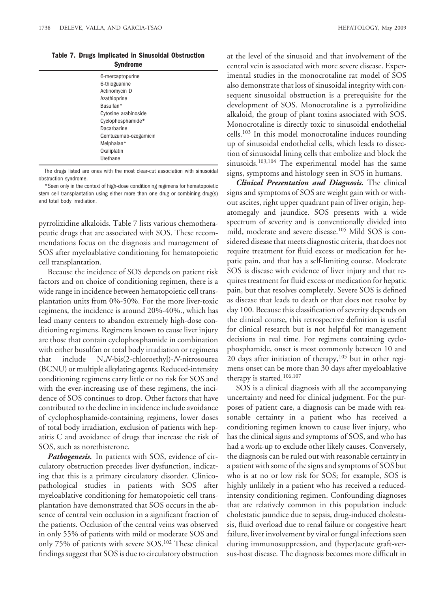**Table 7. Drugs Implicated in Sinusoidal Obstruction**

| <b>JULIONIU</b>       |
|-----------------------|
| 6-mercaptopurine      |
| 6-thioguanine         |
| Actinomycin D         |
| Azathioprine          |
| Busulfan*             |
| Cytosine arabinoside  |
| Cyclophosphamide*     |
| Dacarbazine           |
| Gemtuzumab-ozogamicin |
| Melphalan*            |
| Oxaliplatin           |
| Urethane              |
|                       |

**Syndrome**

The drugs listed are ones with the most clear-cut association with sinusoidal obstruction syndrome.

\*Seen only in the context of high-dose conditioning regimens for hematopoietic stem cell transplantation using either more than one drug or combining drug(s) and total body irradiation.

pyrrolizidine alkaloids. Table 7 lists various chemotherapeutic drugs that are associated with SOS. These recommendations focus on the diagnosis and management of SOS after myeloablative conditioning for hematopoietic cell transplantation.

Because the incidence of SOS depends on patient risk factors and on choice of conditioning regimen, there is a wide range in incidence between hematopoietic cell transplantation units from 0%-50%. For the more liver-toxic regimens, the incidence is around 20%-40%., which has lead many centers to abandon extremely high-dose conditioning regimens. Regimens known to cause liver injury are those that contain cyclophosphamide in combination with either busulfan or total body irradiation or regimens that include N,*N*-bis(2-chloroethyl)-*N*-nitrosourea (BCNU) or multiple alkylating agents. Reduced-intensity conditioning regimens carry little or no risk for SOS and with the ever-increasing use of these regimens, the incidence of SOS continues to drop. Other factors that have contributed to the decline in incidence include avoidance of cyclophosphamide-containing regimens, lower doses of total body irradiation, exclusion of patients with hepatitis C and avoidance of drugs that increase the risk of SOS, such as norethisterone.

Pathogenesis. In patients with SOS, evidence of circulatory obstruction precedes liver dysfunction, indicating that this is a primary circulatory disorder. Clinicopathological studies in patients with SOS after myeloablative conditioning for hematopoietic cell transplantation have demonstrated that SOS occurs in the absence of central vein occlusion in a significant fraction of the patients. Occlusion of the central veins was observed in only 55% of patients with mild or moderate SOS and only 75% of patients with severe SOS.102 These clinical findings suggest that SOS is due to circulatory obstruction

at the level of the sinusoid and that involvement of the central vein is associated with more severe disease. Experimental studies in the monocrotaline rat model of SOS also demonstrate that loss of sinusoidal integrity with consequent sinusoidal obstruction is a prerequisite for the development of SOS. Monocrotaline is a pyrrolizidine alkaloid, the group of plant toxins associated with SOS. Monocrotaline is directly toxic to sinusoidal endothelial cells.103 In this model monocrotaline induces rounding up of sinusoidal endothelial cells, which leads to dissection of sinusoidal lining cells that embolize and block the sinusoids.<sup>103,104</sup> The experimental model has the same signs, symptoms and histology seen in SOS in humans.

*Clinical Presentation and Diagnosis.* The clinical signs and symptoms of SOS are weight gain with or without ascites, right upper quadrant pain of liver origin, hepatomegaly and jaundice. SOS presents with a wide spectrum of severity and is conventionally divided into mild, moderate and severe disease.<sup>105</sup> Mild SOS is considered disease that meets diagnostic criteria, that does not require treatment for fluid excess or medication for hepatic pain, and that has a self-limiting course. Moderate SOS is disease with evidence of liver injury and that requires treatment for fluid excess or medication for hepatic pain, but that resolves completely. Severe SOS is defined as disease that leads to death or that does not resolve by day 100. Because this classification of severity depends on the clinical course, this retrospective definition is useful for clinical research but is not helpful for management decisions in real time. For regimens containing cyclophosphamide, onset is most commonly between 10 and 20 days after initiation of therapy,105 but in other regimens onset can be more than 30 days after myeloablative therapy is started.<sup>106,107</sup>

SOS is a clinical diagnosis with all the accompanying uncertainty and need for clinical judgment. For the purposes of patient care, a diagnosis can be made with reasonable certainty in a patient who has received a conditioning regimen known to cause liver injury, who has the clinical signs and symptoms of SOS, and who has had a work-up to exclude other likely causes. Conversely, the diagnosis can be ruled out with reasonable certainty in a patient with some of the signs and symptoms of SOS but who is at no or low risk for SOS; for example, SOS is highly unlikely in a patient who has received a reducedintensity conditioning regimen. Confounding diagnoses that are relatively common in this population include cholestatic jaundice due to sepsis, drug-induced cholestasis, fluid overload due to renal failure or congestive heart failure, liver involvement by viral or fungal infections seen during immunosuppression, and (hyper)acute graft-versus-host disease. The diagnosis becomes more difficult in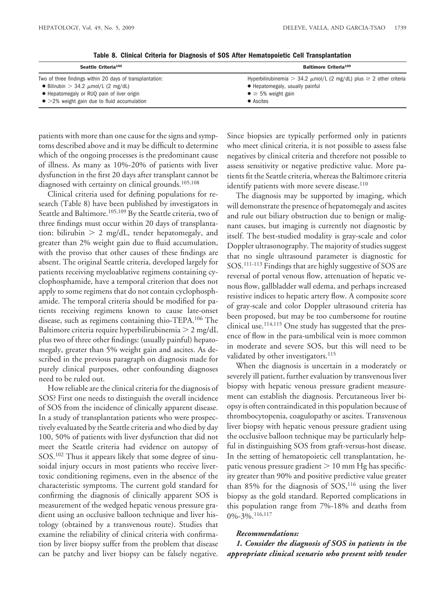| $1.0001$ of chilical chilication in programmatic at each filter finite politically contribution in              |  |  |
|-----------------------------------------------------------------------------------------------------------------|--|--|
| <b>Baltimore Criteria<sup>109</sup></b>                                                                         |  |  |
| Hyperbilirubinemia > 34.2 $\mu$ mol/L (2 mg/dL) plus $\geq$ 2 other criteria<br>• Hepatomegaly, usually painful |  |  |
| $\bullet \geq 5\%$ weight gain<br>• Ascites                                                                     |  |  |
|                                                                                                                 |  |  |

**Table 8. Clinical Criteria for Diagnosis of SOS After Hematopoietic Cell Transplantation**

patients with more than one cause for the signs and symptoms described above and it may be difficult to determine which of the ongoing processes is the predominant cause of illness. As many as 10%-20% of patients with liver dysfunction in the first 20 days after transplant cannot be diagnosed with certainty on clinical grounds.<sup>105,108</sup>

Clinical criteria used for defining populations for research (Table 8) have been published by investigators in Seattle and Baltimore.<sup>105,109</sup> By the Seattle criteria, two of three findings must occur within 20 days of transplantation: bilirubin  $> 2$  mg/dL, tender hepatomegaly, and greater than 2% weight gain due to fluid accumulation, with the proviso that other causes of these findings are absent. The original Seattle criteria, developed largely for patients receiving myeloablative regimens containing cyclophosphamide, have a temporal criterion that does not apply to some regimens that do not contain cyclophosphamide. The temporal criteria should be modified for patients receiving regimens known to cause late-onset disease, such as regimens containing thio-TEPA.106 The Baltimore criteria require hyperbilirubinemia 2 mg/dL plus two of three other findings: (usually painful) hepatomegaly, greater than 5% weight gain and ascites. As described in the previous paragraph on diagnosis made for purely clinical purposes, other confounding diagnoses need to be ruled out.

How reliable are the clinical criteria for the diagnosis of SOS? First one needs to distinguish the overall incidence of SOS from the incidence of clinically apparent disease. In a study of transplantation patients who were prospectively evaluated by the Seattle criteria and who died by day 100, 50% of patients with liver dysfunction that did not meet the Seattle criteria had evidence on autopsy of SOS.102 Thus it appears likely that some degree of sinusoidal injury occurs in most patients who receive livertoxic conditioning regimens, even in the absence of the characteristic symptoms. The current gold standard for confirming the diagnosis of clinically apparent SOS is measurement of the wedged hepatic venous pressure gradient using an occlusive balloon technique and liver histology (obtained by a transvenous route). Studies that examine the reliability of clinical criteria with confirmation by liver biopsy suffer from the problem that disease can be patchy and liver biopsy can be falsely negative.

Since biopsies are typically performed only in patients who meet clinical criteria, it is not possible to assess false negatives by clinical criteria and therefore not possible to assess sensitivity or negative predictive value. More patients fit the Seattle criteria, whereas the Baltimore criteria identify patients with more severe disease.<sup>110</sup>

The diagnosis may be supported by imaging, which will demonstrate the presence of hepatomegaly and ascites and rule out biliary obstruction due to benign or malignant causes, but imaging is currently not diagnostic by itself. The best-studied modality is gray-scale and color Doppler ultrasonography. The majority of studies suggest that no single ultrasound parameter is diagnostic for SOS.111-113 Findings that are highly suggestive of SOS are reversal of portal venous flow, attenuation of hepatic venous flow, gallbladder wall edema, and perhaps increased resistive indices to hepatic artery flow. A composite score of gray-scale and color Doppler ultrasound criteria has been proposed, but may be too cumbersome for routine clinical use. $114,115$  One study has suggested that the presence of flow in the para-umbilical vein is more common in moderate and severe SOS, but this will need to be validated by other investigators.<sup>115</sup>

When the diagnosis is uncertain in a moderately or severely ill patient, further evaluation by transvenous liver biopsy with hepatic venous pressure gradient measurement can establish the diagnosis. Percutaneous liver biopsy is often contraindicated in this population because of thrombocytopenia, coagulopathy or ascites. Transvenous liver biopsy with hepatic venous pressure gradient using the occlusive balloon technique may be particularly helpful in distinguishing SOS from graft-versus-host disease. In the setting of hematopoietic cell transplantation, hepatic venous pressure gradient  $> 10$  mm Hg has specificity greater than 90% and positive predictive value greater than 85% for the diagnosis of  $SOS$ ,<sup>116</sup> using the liver biopsy as the gold standard. Reported complications in this population range from 7%-18% and deaths from 0%-3%.116,117

#### *Recommendations:*

*1. Consider the diagnosis of SOS in patients in the appropriate clinical scenario who present with tender*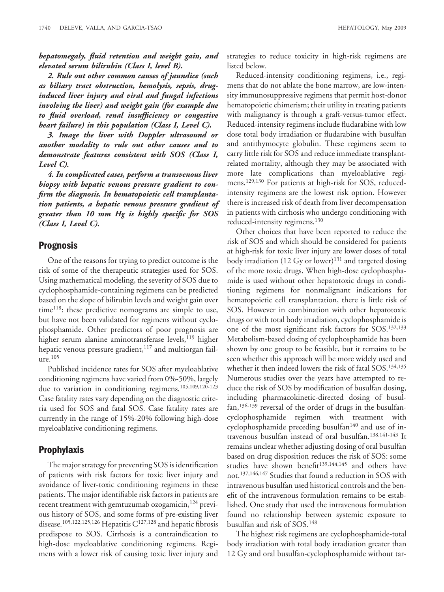*hepatomegaly, fluid retention and weight gain, and elevated serum bilirubin (Class I, level B).*

*2. Rule out other common causes of jaundice (such as biliary tract obstruction, hemolysis, sepsis, druginduced liver injury and viral and fungal infections involving the liver) and weight gain (for example due to fluid overload, renal insufficiency or congestive heart failure) in this population (Class I, Level C).*

*3. Image the liver with Doppler ultrasound or another modality to rule out other causes and to demonstrate features consistent with SOS (Class I, Level C).*

*4. In complicated cases, perform a transvenous liver biopsy with hepatic venous pressure gradient to confirm the diagnosis. In hematopoietic cell transplantation patients, a hepatic venous pressure gradient of greater than 10 mm Hg is highly specific for SOS (Class I, Level C).*

### **Prognosis**

One of the reasons for trying to predict outcome is the risk of some of the therapeutic strategies used for SOS. Using mathematical modeling, the severity of SOS due to cyclophosphamide-containing regimens can be predicted based on the slope of bilirubin levels and weight gain over time<sup>118</sup>: these predictive nomograms are simple to use, but have not been validated for regimens without cyclophosphamide. Other predictors of poor prognosis are higher serum alanine aminotransferase levels,<sup>119</sup> higher hepatic venous pressure gradient,<sup>117</sup> and multiorgan failure.105

Published incidence rates for SOS after myeloablative conditioning regimens have varied from 0%-50%, largely due to variation in conditioning regimens.<sup>105,109,120-123</sup> Case fatality rates vary depending on the diagnostic criteria used for SOS and fatal SOS. Case fatality rates are currently in the range of 15%-20% following high-dose myeloablative conditioning regimens.

### **Prophylaxis**

The major strategy for preventing SOS is identification of patients with risk factors for toxic liver injury and avoidance of liver-toxic conditioning regimens in these patients. The major identifiable risk factors in patients are recent treatment with gemtuzumab ozogamicin,<sup>124</sup> previous history of SOS, and some forms of pre-existing liver disease.<sup>105,122,125,126</sup> Hepatitis  $C^{127,128}$  and hepatic fibrosis predispose to SOS. Cirrhosis is a contraindication to high-dose myeloablative conditioning regimens. Regimens with a lower risk of causing toxic liver injury and

strategies to reduce toxicity in high-risk regimens are listed below.

Reduced-intensity conditioning regimens, i.e., regimens that do not ablate the bone marrow, are low-intensity immunosuppressive regimens that permit host-donor hematopoietic chimerism; their utility in treating patients with malignancy is through a graft-versus-tumor effect. Reduced-intensity regimens include fludarabine with low dose total body irradiation or fludarabine with busulfan and antithymocyte globulin. These regimens seem to carry little risk for SOS and reduce immediate transplantrelated mortality, although they may be associated with more late complications than myeloablative regimens.129,130 For patients at high-risk for SOS, reducedintensity regimens are the lowest risk option. However there is increased risk of death from liver decompensation in patients with cirrhosis who undergo conditioning with reduced-intensity regimens.<sup>130</sup>

Other choices that have been reported to reduce the risk of SOS and which should be considered for patients at high-risk for toxic liver injury are lower doses of total body irradiation  $(12 \text{ Gy or lower})^{131}$  and targeted dosing of the more toxic drugs. When high-dose cyclophosphamide is used without other hepatotoxic drugs in conditioning regimens for nonmalignant indications for hematopoietic cell transplantation, there is little risk of SOS. However in combination with other hepatotoxic drugs or with total body irradiation, cyclophosphamide is one of the most significant risk factors for SOS.132,133 Metabolism-based dosing of cyclophosphamide has been shown by one group to be feasible, but it remains to be seen whether this approach will be more widely used and whether it then indeed lowers the risk of fatal SOS.<sup>134,135</sup> Numerous studies over the years have attempted to reduce the risk of SOS by modification of busulfan dosing, including pharmacokinetic-directed dosing of busulfan,136-139 reversal of the order of drugs in the busulfancyclophosphamide regimen with treatment with cyclophosphamide preceding busulfan<sup>140</sup> and use of intravenous busulfan instead of oral busulfan.138,141-143 It remains unclear whether adjusting dosing of oral busulfan based on drug disposition reduces the risk of SOS: some studies have shown benefit<sup>139,144,145</sup> and others have not.137,146,147 Studies that found a reduction in SOS with intravenous busulfan used historical controls and the benefit of the intravenous formulation remains to be established. One study that used the intravenous formulation found no relationship between systemic exposure to busulfan and risk of SOS.148

The highest risk regimens are cyclophosphamide-total body irradiation with total body irradiation greater than 12 Gy and oral busulfan-cyclophosphamide without tar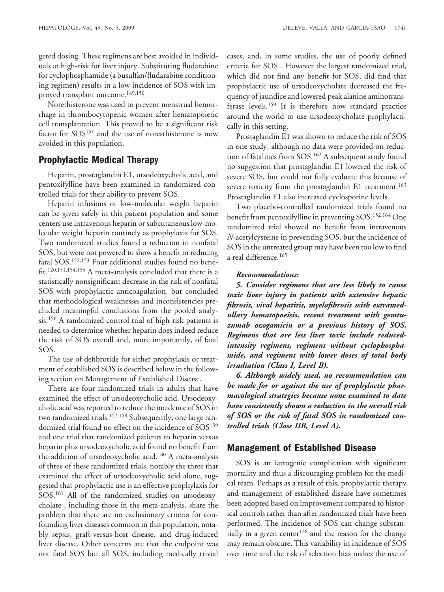geted dosing. These regimens are best avoided in individuals at high-risk for liver injury. Substituting fludarabine for cyclophosphamide (a busulfan/fludarabine conditioning regimen) results in a low incidence of SOS with improved transplant outcome.<sup>149,150</sup>

Norethisterone was used to prevent menstrual hemorrhage in thrombocytopenic women after hematopoietic cell transplantation. This proved to be a significant risk factor for SOS<sup>151</sup> and the use of noresthisterone is now avoided in this population.

### **Prophylactic Medical Therapy**

Heparin, prostaglandin E1, ursodeoxycholic acid, and pentoxifylline have been examined in randomized controlled trials for their ability to prevent SOS.

Heparin infusions or low-molecular weight heparin can be given safely in this patient population and some centers use intravenous heparin or subcutaneous low-molecular weight heparin routinely as prophylaxis for SOS. Two randomized studies found a reduction in nonfatal SOS, but were not powered to show a benefit in reducing fatal SOS.152,153 Four additional studies found no benefit.120,151,154,155 A meta-analysis concluded that there is a statistically nonsignificant decrease in the risk of nonfatal SOS with prophylactic anticoagulation, but concluded that methodological weaknesses and inconsistencies precluded meaningful conclusions from the pooled analysis.156 A randomized control trial of high-risk patients is needed to determine whether heparin does indeed reduce the risk of SOS overall and, more importantly, of fatal SOS.

The use of defibrotide for either prophylaxis or treatment of established SOS is described below in the following section on Management of Established Disease.

There are four randomized trials in adults that have examined the effect of ursodeoxycholic acid. Ursodeoxycholic acid was reported to reduce the incidence of SOS in two randomized trials.157,158 Subsequently, one large randomized trial found no effect on the incidence of SOS<sup>159</sup> and one trial that randomized patients to heparin versus heparin plus ursodeoxycholic acid found no benefit from the addition of ursodeoxycholic acid.<sup>160</sup> A meta-analysis of three of these randomized trials, notably the three that examined the effect of ursodeoxycholic acid alone, suggested that prophylactic use is an effective prophylaxis for SOS.161 All of the randomized studies on ursodeoxycholate , including those in the meta-analysis, share the problem that there are no exclusionary criteria for confounding liver diseases common in this population, notably sepsis, graft-versus-host disease, and drug-induced liver disease. Other concerns are that the endpoint was not fatal SOS but all SOS, including medically trivial

cases, and, in some studies, the use of poorly defined criteria for SOS . However the largest randomized trial, which did not find any benefit for SOS, did find that prophylactic use of ursodeoxycholate decreased the frequency of jaundice and lowered peak alanine aminotransferase levels.159 It is therefore now standard practice around the world to use ursodeoxycholate prophylactically in this setting.

Prostaglandin E1 was shown to reduce the risk of SOS in one study, although no data were provided on reduction of fatalities from SOS.162 A subsequent study found no suggestion that prostaglandin E1 lowered the risk of severe SOS, but could not fully evaluate this because of severe toxicity from the prostaglandin E1 treatment.<sup>163</sup> Prostaglandin E1 also increased cyclosporine levels.

Two placebo-controlled randomized trials found no benefit from pentoxifylline in preventing SOS.<sup>152,164</sup> One randomized trial showed no benefit from intravenous *N*-acetylcysteine in preventing SOS, but the incidence of SOS in the untreated group may have been too low to find a real difference.165

#### *Recommendations:*

*5. Consider regimens that are less likely to cause toxic liver injury in patients with extensive hepatic fibrosis, viral hepatitis, myelofibrosis with extramedullary hematopoeisis, recent treatment with gemtuzumab ozogamicin or a previous history of SOS. Regimens that are less liver toxic include reducedintensity regimens, regimens without cyclophosphamide, and regimens with lower doses of total body irradiation (Class I, Level B).*

*6. Although widely used, no recommendation can be made for or against the use of prophylactic pharmacological strategies because none examined to date have consistently shown a reduction in the overall risk of SOS or the risk of fatal SOS in randomized controlled trials (Class IIB, Level A).*

### **Management of Established Disease**

SOS is an iatrogenic complication with significant mortality and thus a discouraging problem for the medical team. Perhaps as a result of this, prophylactic therapy and management of established disease have sometimes been adopted based on improvement compared to historical controls rather than after randomized trials have been performed. The incidence of SOS can change substantially in a given center<sup>126</sup> and the reason for the change may remain obscure. This variability in incidence of SOS over time and the risk of selection bias makes the use of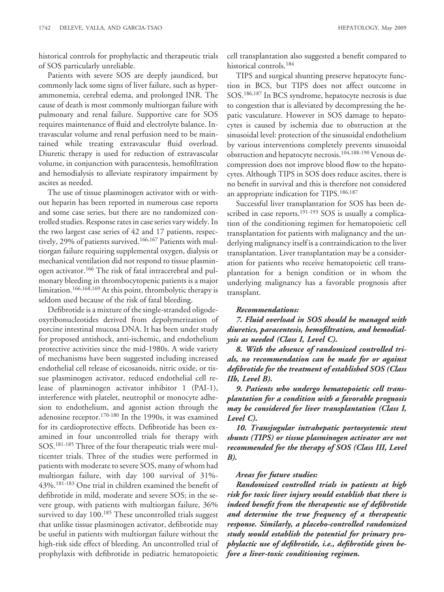historical controls for prophylactic and therapeutic trials of SOS particularly unreliable.

Patients with severe SOS are deeply jaundiced, but commonly lack some signs of liver failure, such as hyperammonemia, cerebral edema, and prolonged INR. The cause of death is most commonly multiorgan failure with pulmonary and renal failure. Supportive care for SOS requires maintenance of fluid and electrolyte balance. Intravascular volume and renal perfusion need to be maintained while treating extravascular fluid overload. Diuretic therapy is used for reduction of extravascular volume, in conjunction with paracentesis, hemofiltration and hemodialysis to alleviate respiratory impairment by ascites as needed.

The use of tissue plasminogen activator with or without heparin has been reported in numerous case reports and some case series, but there are no randomized controlled studies. Response rates in case series vary widely. In the two largest case series of 42 and 17 patients, respectively, 29% of patients survived.<sup>166,167</sup> Patients with multiorgan failure requiring supplemental oxygen, dialysis or mechanical ventilation did not respond to tissue plasminogen activator.166 The risk of fatal intracerebral and pulmonary bleeding in thrombocytopenic patients is a major limitation.<sup>166,168,169</sup> At this point, thrombolytic therapy is seldom used because of the risk of fatal bleeding.

Defibrotide is a mixture of the single-stranded oligodeoxyribonucleotides derived from depolymerization of porcine intestinal mucosa DNA. It has been under study for proposed antishock, anti-ischemic, and endothelium protective activities since the mid-1980s. A wide variety of mechanisms have been suggested including increased endothelial cell release of eicosanoids, nitric oxide, or tissue plasminogen activator, reduced endothelial cell release of plasminogen activator inhibitor 1 (PAI-1), interference with platelet, neutrophil or monocyte adhesion to endothelium, and agonist action through the adenosine receptor.170-180 In the 1990s, it was examined for its cardioprotective effects. Defibrotide has been examined in four uncontrolled trials for therapy with SOS.181-185 Three of the four therapeutic trials were multicenter trials. Three of the studies were performed in patients with moderate to severe SOS, many of whom had multiorgan failure, with day 100 survival of 31%- 43%.181-183 One trial in children examined the benefit of defibrotide in mild, moderate and severe SOS; in the severe group, with patients with multiorgan failure, 36% survived to day 100.<sup>185</sup> These uncontrolled trials suggest that unlike tissue plasminogen activator, defibrotide may be useful in patients with multiorgan failure without the high-risk side effect of bleeding. An uncontrolled trial of prophylaxis with defibrotide in pediatric hematopoietic

cell transplantation also suggested a benefit compared to historical controls.184

TIPS and surgical shunting preserve hepatocyte function in BCS, but TIPS does not affect outcome in SOS.186,187 In BCS syndrome, hepatocyte necrosis is due to congestion that is alleviated by decompressing the hepatic vasculature. However in SOS damage to hepatocytes is caused by ischemia due to obstruction at the sinusoidal level: protection of the sinusoidal endothelium by various interventions completely prevents sinusoidal obstruction and hepatocyte necrosis.104,188-190 Venous decompression does not improve blood flow to the hepatocytes. Although TIPS in SOS does reduce ascites, there is no benefit in survival and this is therefore not considered an appropriate indication for TIPS.186,187

Successful liver transplantation for SOS has been described in case reports.<sup>191-193</sup> SOS is usually a complication of the conditioning regimen for hematopoietic cell transplantation for patients with malignancy and the underlying malignancy itself is a contraindication to the liver transplantation. Liver transplantation may be a consideration for patients who receive hematopoietic cell transplantation for a benign condition or in whom the underlying malignancy has a favorable prognosis after transplant.

#### *Recommendations:*

*7. Fluid overload in SOS should be managed with diuretics, paracentesis, hemofiltration, and hemodialysis as needed (Class I, Level C).*

*8. With the absence of randomized controlled trials, no recommendation can be made for or against defibrotide for the treatment of established SOS (Class IIb, Level B).*

*9. Patients who undergo hematopoietic cell transplantation for a condition with a favorable prognosis may be considered for liver transplantation (Class I, Level C).*

*10. Transjugular intrahepatic portosystemic stent shunts (TIPS) or tissue plasminogen activator are not recommended for the therapy of SOS (Class III, Level B).*

#### *Areas for future studies:*

*Randomized controlled trials in patients at high risk for toxic liver injury would establish that there is indeed benefit from the therapeutic use of defibrotide and determine the true frequency of a therapeutic response. Similarly, a placebo-controlled randomized study would establish the potential for primary prophylactic use of defibrotide, i.e., defibrotide given before a liver-toxic conditioning regimen.*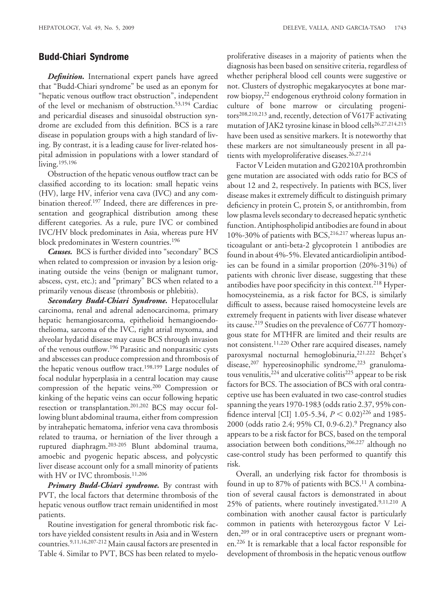# **Budd-Chiari Syndrome**

*Definition.* International expert panels have agreed that "Budd-Chiari syndrome" be used as an eponym for "hepatic venous outflow tract obstruction", independent of the level or mechanism of obstruction.53,194 Cardiac and pericardial diseases and sinusoidal obstruction syndrome are excluded from this definition. BCS is a rare disease in population groups with a high standard of living. By contrast, it is a leading cause for liver-related hospital admission in populations with a lower standard of living.<sup>195,196</sup>

Obstruction of the hepatic venous outflow tract can be classified according to its location: small hepatic veins (HV), large HV, inferior vena cava (IVC) and any combination thereof.<sup>197</sup> Indeed, there are differences in presentation and geographical distribution among these different categories. As a rule, pure IVC or combined IVC/HV block predominates in Asia, whereas pure HV block predominates in Western countries.<sup>196</sup>

*Causes.* BCS is further divided into "secondary" BCS when related to compression or invasion by a lesion originating outside the veins (benign or malignant tumor, abscess, cyst, etc.); and "primary" BCS when related to a primarily venous disease (thrombosis or phlebitis).

*Secondary Budd-Chiari Syndrome.* Hepatocellular carcinoma, renal and adrenal adenocarcinoma, primary hepatic hemangiosarcoma, epithelioid hemangioendothelioma, sarcoma of the IVC, right atrial myxoma, and alveolar hydatid disease may cause BCS through invasion of the venous outflow.196 Parasitic and nonparasitic cysts and abscesses can produce compression and thrombosis of the hepatic venous outflow tract.<sup>198,199</sup> Large nodules of focal nodular hyperplasia in a central location may cause compression of the hepatic veins.200 Compression or kinking of the hepatic veins can occur following hepatic resection or transplantation.201,202 BCS may occur following blunt abdominal trauma, either from compression by intrahepatic hematoma, inferior vena cava thrombosis related to trauma, or herniation of the liver through a ruptured diaphragm.203-205 Blunt abdominal trauma, amoebic and pyogenic hepatic abscess, and polycystic liver disease account only for a small minority of patients with HV or IVC thrombosis.<sup>11,206</sup>

*Primary Budd-Chiari syndrome.* By contrast with PVT, the local factors that determine thrombosis of the hepatic venous outflow tract remain unidentified in most patients.

Routine investigation for general thrombotic risk factors have yielded consistent results in Asia and in Western countries.9,11,16,207-212 Main causal factors are presented in Table 4. Similar to PVT, BCS has been related to myeloproliferative diseases in a majority of patients when the diagnosis has been based on sensitive criteria, regardless of whether peripheral blood cell counts were suggestive or not. Clusters of dystrophic megakaryocytes at bone marrow biopsy,22 endogenous erythroid colony formation in culture of bone marrow or circulating progenitors208,210,213 and, recently, detection of V617F activating mutation of JAK2 tyrosine kinase in blood cells<sup>26,27,214,215</sup> have been used as sensitive markers. It is noteworthy that these markers are not simultaneously present in all patients with myeloproliferative diseases.<sup>26,27,214</sup>

Factor V Leiden mutation and G20210A prothrombin gene mutation are associated with odds ratio for BCS of about 12 and 2, respectively. In patients with BCS, liver disease makes it extremely difficult to distinguish primary deficiency in protein C, protein S, or antithrombin, from low plasma levels secondary to decreased hepatic synthetic function. Antiphospholipid antibodies are found in about 10%-30% of patients with BCS,<sup>216,217</sup> whereas lupus anticoagulant or anti-beta-2 glycoprotein 1 antibodies are found in about 4%-5%. Elevated anticardiolipin antibodies can be found in a similar proportion (20%-31%) of patients with chronic liver disease, suggesting that these antibodies have poor specificity in this context.<sup>218</sup> Hyperhomocysteinemia, as a risk factor for BCS, is similarly difficult to assess, because raised homocysteine levels are extremely frequent in patients with liver disease whatever its cause.219 Studies on the prevalence of C677T homozygous state for MTHFR are limited and their results are not consistent.11,220 Other rare acquired diseases, namely paroxysmal nocturnal hemoglobinuria,<sup>221,222</sup> Behçet's disease,<sup>207</sup> hypereosinophilic syndrome,<sup>223</sup> granulomatous venulitis,  $224$  and ulcerative colitis $225$  appear to be risk factors for BCS. The association of BCS with oral contraceptive use has been evaluated in two case-control studies spanning the years 1970-1983 (odds ratio 2.37, 95% confidence interval [CI]  $1.05$ -5.34,  $P < 0.02$ <sup>226</sup> and 1985-2000 (odds ratio 2.4; 95% CI, 0.9-6.2).9 Pregnancy also appears to be a risk factor for BCS, based on the temporal association between both conditions,206,227 although no case-control study has been performed to quantify this risk.

Overall, an underlying risk factor for thrombosis is found in up to 87% of patients with BCS.<sup>11</sup> A combination of several causal factors is demonstrated in about 25% of patients, where routinely investigated. $9,11,210$  A combination with another causal factor is particularly common in patients with heterozygous factor V Leiden,<sup>209</sup> or in oral contraceptive users or pregnant women.226 It is remarkable that a local factor responsible for development of thrombosis in the hepatic venous outflow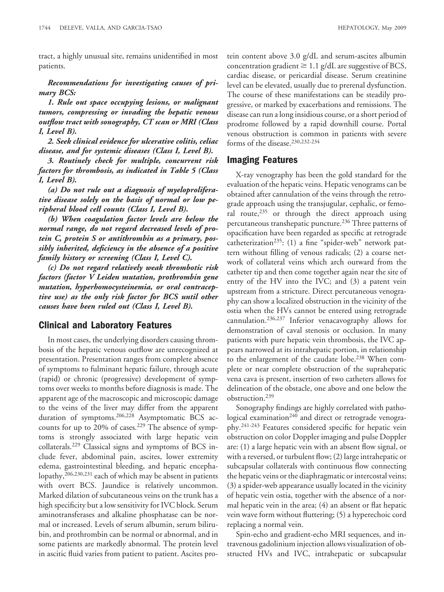tract, a highly unusual site, remains unidentified in most patients.

*Recommendations for investigating causes of primary BCS:*

*1. Rule out space occupying lesions, or malignant tumors, compressing or invading the hepatic venous outflow tract with sonography, CT scan or MRI (Class I, Level B).*

*2. Seek clinical evidence for ulcerative colitis, celiac disease, and for systemic diseases (Class I, Level B).*

*3. Routinely check for multiple, concurrent risk factors for thrombosis, as indicated in Table 5 (Class I, Level B).*

*(a) Do not rule out a diagnosis of myeloproliferative disease solely on the basis of normal or low peripheral blood cell counts (Class I, Level B).*

*(b) When coagulation factor levels are below the normal range, do not regard decreased levels of protein C, protein S or antithrombin as a primary, possibly inherited, deficiency in the absence of a positive family history or screening (Class I, Level C).*

*(c) Do not regard relatively weak thrombotic risk factors (factor V Leiden mutation, prothrombin gene mutation, hyperhomocysteinemia, or oral contraceptive use) as the only risk factor for BCS until other causes have been ruled out (Class I, Level B).*

# **Clinical and Laboratory Features**

In most cases, the underlying disorders causing thrombosis of the hepatic venous outflow are unrecognized at presentation. Presentation ranges from complete absence of symptoms to fulminant hepatic failure, through acute (rapid) or chronic (progressive) development of symptoms over weeks to months before diagnosis is made. The apparent age of the macroscopic and microscopic damage to the veins of the liver may differ from the apparent duration of symptoms.206,228 Asymptomatic BCS accounts for up to 20% of cases.<sup>229</sup> The absence of symptoms is strongly associated with large hepatic vein collaterals.229 Classical signs and symptoms of BCS include fever, abdominal pain, ascites, lower extremity edema, gastrointestinal bleeding, and hepatic encephalopathy,206,230,231 each of which may be absent in patients with overt BCS. Jaundice is relatively uncommon. Marked dilation of subcutaneous veins on the trunk has a high specificity but a low sensitivity for IVC block. Serum aminotransferases and alkaline phosphatase can be normal or increased. Levels of serum albumin, serum bilirubin, and prothrombin can be normal or abnormal, and in some patients are markedly abnormal. The protein level in ascitic fluid varies from patient to patient. Ascites protein content above 3.0 g/dL and serum-ascites albumin concentration gradient  $\geq 1.1$  g/dL are suggestive of BCS, cardiac disease, or pericardial disease. Serum creatinine level can be elevated, usually due to prerenal dysfunction. The course of these manifestations can be steadily progressive, or marked by exacerbations and remissions. The disease can run a long insidious course, or a short period of prodrome followed by a rapid downhill course. Portal venous obstruction is common in patients with severe forms of the disease.230,232-234

# **Imaging Features**

X-ray venography has been the gold standard for the evaluation of the hepatic veins. Hepatic venograms can be obtained after cannulation of the veins through the retrograde approach using the transjugular, cephalic, or femoral route, $235$  or through the direct approach using percutaneous transhepatic puncture.<sup>236</sup> Three patterns of opacification have been regarded as specific at retrograde catheterization<sup>235</sup>: (1) a fine "spider-web" network pattern without filling of venous radicals; (2) a coarse network of collateral veins which arch outward from the catheter tip and then come together again near the site of entry of the HV into the IVC; and (3) a patent vein upstream from a stricture. Direct percutaneous venography can show a localized obstruction in the vicinity of the ostia when the HVs cannot be entered using retrograde cannulation.236,237 Inferior venacavography allows for demonstration of caval stenosis or occlusion. In many patients with pure hepatic vein thrombosis, the IVC appears narrowed at its intrahepatic portion, in relationship to the enlargement of the caudate lobe.<sup>238</sup> When complete or near complete obstruction of the suprahepatic vena cava is present, insertion of two catheters allows for delineation of the obstacle, one above and one below the obstruction.239

Sonography findings are highly correlated with pathological examination<sup>240</sup> and direct or retrograde venography.241-243 Features considered specific for hepatic vein obstruction on color Doppler imaging and pulse Doppler are: (1) a large hepatic vein with an absent flow signal, or with a reversed, or turbulent flow; (2) large intrahepatic or subcapsular collaterals with continuous flow connecting the hepatic veins or the diaphragmatic or intercostal veins; (3) a spider-web appearance usually located in the vicinity of hepatic vein ostia, together with the absence of a normal hepatic vein in the area; (4) an absent or flat hepatic vein wave form without fluttering; (5) a hyperechoic cord replacing a normal vein.

Spin-echo and gradient-echo MRI sequences, and intravenous gadolinium injection allows visualization of obstructed HVs and IVC, intrahepatic or subcapsular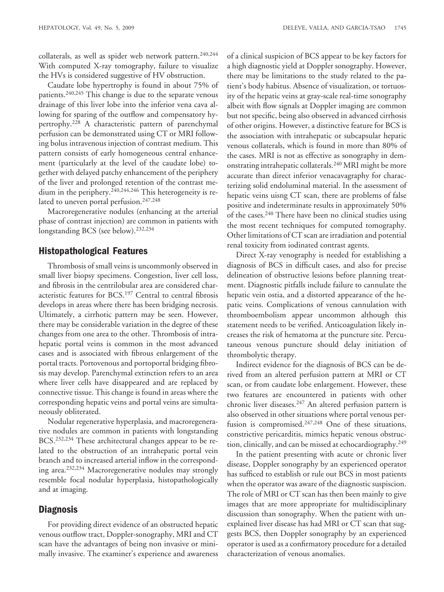collaterals, as well as spider web network pattern.<sup>240,244</sup> With computed X-ray tomography, failure to visualize the HVs is considered suggestive of HV obstruction.

Caudate lobe hypertrophy is found in about 75% of patients.240,245 This change is due to the separate venous drainage of this liver lobe into the inferior vena cava allowing for sparing of the outflow and compensatory hypertrophy.228 A characteristic pattern of parenchymal perfusion can be demonstrated using CT or MRI following bolus intravenous injection of contrast medium. This pattern consists of early homogeneous central enhancement (particularly at the level of the caudate lobe) together with delayed patchy enhancement of the periphery of the liver and prolonged retention of the contrast medium in the periphery.240,244,246 This heterogeneity is related to uneven portal perfusion.<sup>247,248</sup>

Macroregenerative nodules (enhancing at the arterial phase of contrast injection) are common in patients with longstanding BCS (see below).<sup>232,234</sup>

### **Histopathological Features**

Thrombosis of small veins is uncommonly observed in small liver biopsy specimens. Congestion, liver cell loss, and fibrosis in the centrilobular area are considered characteristic features for BCS.197 Central to central fibrosis develops in areas where there has been bridging necrosis. Ultimately, a cirrhotic pattern may be seen. However, there may be considerable variation in the degree of these changes from one area to the other. Thrombosis of intrahepatic portal veins is common in the most advanced cases and is associated with fibrous enlargement of the portal tracts. Portovenous and portoportal bridging fibrosis may develop. Parenchymal extinction refers to an area where liver cells have disappeared and are replaced by connective tissue. This change is found in areas where the corresponding hepatic veins and portal veins are simultaneously obliterated.

Nodular regenerative hyperplasia, and macroregenerative nodules are common in patients with longstanding BCS.232,234 These architectural changes appear to be related to the obstruction of an intrahepatic portal vein branch and to increased arterial inflow in the corresponding area.232,234 Macroregenerative nodules may strongly resemble focal nodular hyperplasia, histopathologically and at imaging.

# **Diagnosis**

For providing direct evidence of an obstructed hepatic venous outflow tract, Doppler-sonography, MRI and CT scan have the advantages of being non invasive or minimally invasive. The examiner's experience and awareness

of a clinical suspicion of BCS appear to be key factors for a high diagnostic yield at Doppler sonography. However, there may be limitations to the study related to the patient's body habitus. Absence of visualization, or tortuosity of the hepatic veins at gray-scale real-time sonography albeit with flow signals at Doppler imaging are common but not specific, being also observed in advanced cirrhosis of other origins. However, a distinctive feature for BCS is the association with intrahepatic or subcapsular hepatic venous collaterals, which is found in more than 80% of the cases. MRI is not as effective as sonography in demonstrating intrahepatic collaterals.240 MRI might be more accurate than direct inferior venacavagraphy for characterizing solid endoluminal material. In the assessment of hepatic veins uisng CT scan, there are problems of false positive and indeterminate results in approximately 50% of the cases.240 There have been no clinical studies using the most recent techniques for computed tomography. Other limitations of CT scan are irradiation and potential renal toxicity from iodinated contrast agents.

Direct X-ray venography is needed for establishing a diagnosis of BCS in difficult cases, and also for precise delineation of obstructive lesions before planning treatment. Diagnostic pitfalls include failure to cannulate the hepatic vein ostia, and a distorted appearance of the hepatic veins. Complications of venous cannulation with thromboembolism appear uncommon although this statement needs to be verified. Anticoagulation likely increases the risk of hematoma at the puncture site. Percutaneous venous puncture should delay initiation of thrombolytic therapy.

Indirect evidence for the diagnosis of BCS can be derived from an altered perfusion pattern at MRI or CT scan, or from caudate lobe enlargement. However, these two features are encountered in patients with other chronic liver diseases.247 An altered perfusion pattern is also observed in other situations where portal venous perfusion is compromised.<sup>247,248</sup> One of these situations, constrictive pericarditis, mimics hepatic venous obstruction, clinically, and can be missed at echocardiography.249

In the patient presenting with acute or chronic liver disease, Doppler sonography by an experienced operator has sufficed to establish or rule out BCS in most patients when the operator was aware of the diagnostic suspiscion. The role of MRI or CT scan has then been mainly to give images that are more appropriate for multidisciplinary discussion than sonography. When the patient with unexplained liver disease has had MRI or CT scan that suggests BCS, then Doppler sonography by an experienced operator is used as a confirmatory procedure for a detailed characterization of venous anomalies.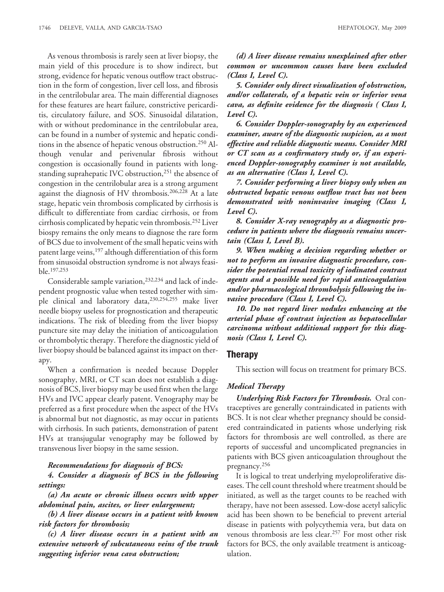As venous thrombosis is rarely seen at liver biopsy, the main yield of this procedure is to show indirect, but strong, evidence for hepatic venous outflow tract obstruction in the form of congestion, liver cell loss, and fibrosis in the centrilobular area. The main differential diagnoses for these features are heart failure, constrictive pericarditis, circulatory failure, and SOS. Sinusoidal dilatation, with or without predominance in the centrilobular area, can be found in a number of systemic and hepatic conditions in the absence of hepatic venous obstruction.250 Although venular and perivenular fibrosis without congestion is occasionally found in patients with longstanding suprahepatic IVC obstruction,  $^{251}$  the absence of congestion in the centrilobular area is a strong argument against the diagnosis of HV thrombosis.206,228 At a late stage, hepatic vein thrombosis complicated by cirrhosis is difficult to differentiate from cardiac cirrhosis, or from cirrhosis complicated by hepatic vein thrombosis.252 Liver biospy remains the only means to diagnose the rare form of BCS due to involvement of the small hepatic veins with patent large veins,<sup>197</sup> although differentiation of this form from sinusoidal obstruction syndrome is not always feasible.197,253

Considerable sample variation,<sup>232,234</sup> and lack of independent prognostic value when tested together with simple clinical and laboratory data,230,254,255 make liver needle biopsy useless for prognostication and therapeutic indications. The risk of bleeding from the liver biopsy puncture site may delay the initiation of anticoagulation or thrombolytic therapy. Therefore the diagnostic yield of liver biopsy should be balanced against its impact on therapy.

When a confirmation is needed because Doppler sonography, MRI, or CT scan does not establish a diagnosis of BCS, liver biopsy may be used first when the large HVs and IVC appear clearly patent. Venography may be preferred as a first procedure when the aspect of the HVs is abnormal but not diagnostic, as may occur in patients with cirrhosis. In such patients, demonstration of patent HVs at transjugular venography may be followed by transvenous liver biopsy in the same session.

#### *Recommendations for diagnosis of BCS:*

*4. Consider a diagnosis of BCS in the following settings:*

*(a) An acute or chronic illness occurs with upper abdominal pain, ascites, or liver enlargement;*

*(b) A liver disease occurs in a patient with known risk factors for thrombosis;*

*(c) A liver disease occurs in a patient with an extensive network of subcutaneous veins of the trunk suggesting inferior vena cava obstruction;*

*(d) A liver disease remains unexplained after other common or uncommon causes have been excluded (Class I, Level C).*

*5. Consider only direct visualization of obstruction, and/or collaterals, of a hepatic vein or inferior vena cava, as definite evidence for the diagnosis ( Class I, Level C).*

*6. Consider Doppler-sonography by an experienced examiner, aware of the diagnostic suspicion, as a most effective and reliable diagnostic means. Consider MRI or CT scan as a confirmatory study or, if an experienced Doppler-sonography examiner is not available, as an alternative (Class I, Level C).*

*7. Consider performing a liver biopsy only when an obstructed hepatic venous outflow tract has not been demonstrated with noninvasive imaging (Class I, Level C).*

*8. Consider X-ray venography as a diagnostic procedure in patients where the diagnosis remains uncertain (Class I, Level B).*

*9. When making a decision regarding whether or not to perform an invasive diagnostic procedure, consider the potential renal toxicity of iodinated contrast agents and a possible need for rapid anticoagulation and/or pharmacological thrombolysis following the invasive procedure (Class I, Level C).*

*10. Do not regard liver nodules enhancing at the arterial phase of contrast injection as hepatocellular carcinoma without additional support for this diagnosis (Class I, Level C).*

### **Therapy**

This section will focus on treatment for primary BCS.

### *Medical Therapy*

*Underlying Risk Factors for Thrombosis.* Oral contraceptives are generally contraindicated in patients with BCS. It is not clear whether pregnancy should be considered contraindicated in patients whose underlying risk factors for thrombosis are well controlled, as there are reports of successful and uncomplicated pregnancies in patients with BCS given anticoagulation throughout the pregnancy.256

It is logical to treat underlying myeloproliferative diseases. The cell count threshold where treatment should be initiated, as well as the target counts to be reached with therapy, have not been assessed. Low-dose acetyl salicylic acid has been shown to be beneficial to prevent arterial disease in patients with polycythemia vera, but data on venous thrombosis are less clear.257 For most other risk factors for BCS, the only available treatment is anticoagulation.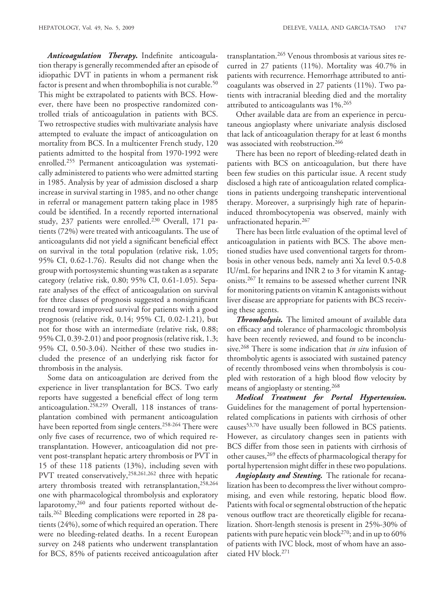*Anticoagulation Therapy.* Indefinite anticoagulation therapy is generally recommended after an episode of idiopathic DVT in patients in whom a permanent risk factor is present and when thrombophilia is not curable.<sup>50</sup> This might be extrapolated to patients with BCS. However, there have been no prospective randomized controlled trials of anticoagulation in patients with BCS. Two retrospective studies with multivariate analysis have attempted to evaluate the impact of anticoagulation on mortality from BCS. In a multicenter French study, 120 patients admitted to the hospital from 1970-1992 were enrolled.<sup>255</sup> Permanent anticoagulation was systematically administered to patients who were admitted starting in 1985. Analysis by year of admission disclosed a sharp increase in survival starting in 1985, and no other change in referral or management pattern taking place in 1985 could be identified. In a recently reported international study, 237 patients were enrolled.<sup>230</sup> Overall, 171 patients (72%) were treated with anticoagulants. The use of anticoagulants did not yield a significant beneficial effect on survival in the total population (relative risk, 1.05; 95% CI, 0.62-1.76). Results did not change when the group with portosystemic shunting was taken as a separate category (relative risk, 0.80; 95% CI, 0.61-1.05). Separate analyses of the effect of anticoagulation on survival for three classes of prognosis suggested a nonsignificant trend toward improved survival for patients with a good prognosis (relative risk, 0.14; 95% CI, 0.02-1.21), but not for those with an intermediate (relative risk, 0.88; 95% CI, 0.39-2.01) and poor prognosis (relative risk, 1.3; 95% CI, 0.50-3.04). Neither of these two studies included the presence of an underlying risk factor for thrombosis in the analysis.

Some data on anticoagulation are derived from the experience in liver transplantation for BCS. Two early reports have suggested a beneficial effect of long term anticoagulation.258,259 Overall, 118 instances of transplantation combined with permanent anticoagulation have been reported from single centers.<sup>258-264</sup> There were only five cases of recurrence, two of which required retransplantation. However, anticoagulation did not prevent post-transplant hepatic artery thrombosis or PVT in 15 of these 118 patients (13%), including seven with PVT treated conservatively,<sup>258,261,262</sup> three with hepatic artery thrombosis treated with retransplantation,<sup>258,264</sup> one with pharmacological thrombolysis and exploratory laparotomy,<sup>260</sup> and four patients reported without details.262 Bleeding complications were reported in 28 patients (24%), some of which required an operation. There were no bleeding-related deaths. In a recent European survey on 248 patients who underwent transplantation for BCS, 85% of patients received anticoagulation after

transplantation.265 Venous thrombosis at various sites recurred in 27 patients (11%). Mortality was 40.7% in patients with recurrence. Hemorrhage attributed to anticoagulants was observed in 27 patients (11%). Two patients with intracranial bleeding died and the mortality attributed to anticoagulants was 1%.265

Other available data are from an experience in percutaneous angioplasty where univariate analysis disclosed that lack of anticoagulation therapy for at least 6 months was associated with reobstruction.<sup>266</sup>

There has been no report of bleeding-related death in patients with BCS on anticoagulation, but there have been few studies on this particular issue. A recent study disclosed a high rate of anticoagulation related complications in patients undergoing transhepatic interventional therapy. Moreover, a surprisingly high rate of heparininduced thrombocytopenia was observed, mainly with unfractionated heparin.267

There has been little evaluation of the optimal level of anticoagulation in patients with BCS. The above mentioned studies have used conventional targets for thrombosis in other venous beds, namely anti Xa level 0.5-0.8 IU/mL for heparins and INR 2 to 3 for vitamin K antagonists.267 It remains to be assessed whether current INR for monitoring patients on vitamin K antagonists without liver disease are appropriate for patients with BCS receiving these agents.

*Thrombolysis.* The limited amount of available data on efficacy and tolerance of pharmacologic thrombolysis have been recently reviewed, and found to be inconclusive.268 There is some indication that *in situ* infusion of thrombolytic agents is associated with sustained patency of recently thrombosed veins when thrombolysis is coupled with restoration of a high blood flow velocity by means of angioplasty or stenting.<sup>268</sup>

*Medical Treatment for Portal Hypertension.* Guidelines for the management of portal hypertensionrelated complications in patients with cirrhosis of other causes<sup>53,70</sup> have usually been followed in BCS patients. However, as circulatory changes seen in patients with BCS differ from those seen in patients with cirrhosis of other causes,269 the effects of pharmacological therapy for portal hypertension might differ in these two populations.

*Angioplasty and Stenting.* The rationale for recanalization has been to decompress the liver without compromising, and even while restoring, hepatic blood flow. Patients with focal or segmental obstruction of the hepatic venous outflow tract are theoretically eligible for recanalization. Short-length stenosis is present in 25%-30% of patients with pure hepatic vein block<sup>270</sup>; and in up to 60% of patients with IVC block, most of whom have an associated HV block.271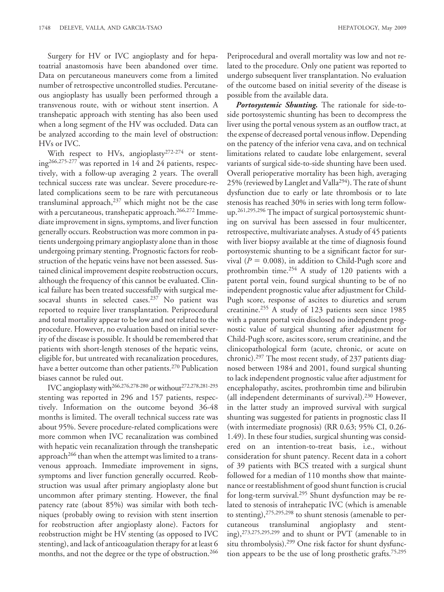Surgery for HV or IVC angioplasty and for hepatoatrial anastomosis have been abandoned over time. Data on percutaneous maneuvers come from a limited number of retrospective uncontrolled studies. Percutaneous angioplasty has usually been performed through a transvenous route, with or without stent insertion. A transhepatic approach with stenting has also been used when a long segment of the HV was occluded. Data can be analyzed according to the main level of obstruction: HVs or IVC.

With respect to HVs, angioplasty<sup>272-274</sup> or stenting266,275-277 was reported in 14 and 24 patients, respectively, with a follow-up averaging 2 years. The overall technical success rate was unclear. Severe procedure-related complications seem to be rare with percutaneous transluminal approach, $237$  which might not be the case with a percutaneous, transhepatic approach.<sup>266,272</sup> Immediate improvement in signs, symptoms, and liver function generally occurs. Reobstruction was more common in patients undergoing primary angioplasty alone than in those undergoing primary stenting. Prognostic factors for reobstruction of the hepatic veins have not been assessed. Sustained clinical improvement despite reobstruction occurs, although the frequency of this cannot be evaluated. Clinical failure has been treated successfully with surgical mesocaval shunts in selected cases.<sup>237</sup> No patient was reported to require liver transplantation. Periprocedural and total mortality appear to be low and not related to the procedure. However, no evaluation based on initial severity of the disease is possible. It should be remembered that patients with short-length stenoses of the hepatic veins, eligible for, but untreated with recanalization procedures, have a better outcome than other patients.270 Publication biases cannot be ruled out.

IVC angioplasty with<sup>266,276,278-280</sup> or without<sup>272,278,281-293</sup> stenting was reported in 296 and 157 patients, respectively. Information on the outcome beyond 36-48 months is limited. The overall technical success rate was about 95%. Severe procedure-related complications were more common when IVC recanalization was combined with hepatic vein recanalization through the transhepatic approach<sup>266</sup> than when the attempt was limited to a transvenous approach. Immediate improvement in signs, symptoms and liver function generally occurred. Reobstruction was usual after primary angioplasty alone but uncommon after primary stenting. However, the final patency rate (about 85%) was similar with both techniques (probably owing to revision with stent insertion for reobstruction after angioplasty alone). Factors for reobstruction might be HV stenting (as opposed to IVC stenting), and lack of anticoagulation therapy for at least 6 months, and not the degree or the type of obstruction.<sup>266</sup>

Periprocedural and overall mortality was low and not related to the procedure. Only one patient was reported to undergo subsequent liver transplantation. No evaluation of the outcome based on initial severity of the disease is possible from the available data.

*Portosystemic Shunting.* The rationale for side-toside portosystemic shunting has been to decompress the liver using the portal venous system as an outflow tract, at the expense of decreased portal venous inflow. Depending on the patency of the inferior vena cava, and on technical limitations related to caudate lobe enlargement, several variants of surgical side-to-side shunting have been used. Overall perioperative mortality has been high, averaging 25% (reviewed by Langlet and Valla<sup>294</sup>). The rate of shunt dysfunction due to early or late thrombosis or to late stenosis has reached 30% in series with long term followup.261,295,296 The impact of surgical portosystemic shunting on survival has been assessed in four multicenter, retrospective, multivariate analyses. A study of 45 patients with liver biopsy available at the time of diagnosis found portosystemic shunting to be a significant factor for survival  $(P = 0.008)$ , in addition to Child-Pugh score and prothrombin time.254 A study of 120 patients with a patent portal vein, found surgical shunting to be of no independent prognostic value after adjustment for Child-Pugh score, response of ascites to diuretics and serum creatinine.255 A study of 123 patients seen since 1985 with a patent portal vein disclosed no independent prognostic value of surgical shunting after adjustment for Child-Pugh score, ascites score, serum creatinine, and the clinicopathological form (acute, chronic, or acute on chronic).297 The most recent study, of 237 patients diagnosed between 1984 and 2001, found surgical shunting to lack independent prognostic value after adjustment for encephalopathy, ascites, prothrombin time and bilirubin (all independent determinants of survival).<sup>230</sup> However, in the latter study an improved survival with surgical shunting was suggested for patients in prognostic class II (with intermediate prognosis) (RR 0.63; 95% CI, 0.26- 1.49). In these four studies, surgical shunting was considered on an intention-to-treat basis, i.e., without consideration for shunt patency. Recent data in a cohort of 39 patients with BCS treated with a surgical shunt followed for a median of 110 months show that maintenance or reestablishment of good shunt function is crucial for long-term survival.<sup>295</sup> Shunt dysfunction may be related to stenosis of intrahepatic IVC (which is amenable to stenting),275,295,298 to shunt stenosis (amenable to percutaneous transluminal angioplasty and stenting),273,275,295,299 and to shunt or PVT (amenable to in situ thrombolysis).299 One risk factor for shunt dysfunction appears to be the use of long prosthetic grafts.75,295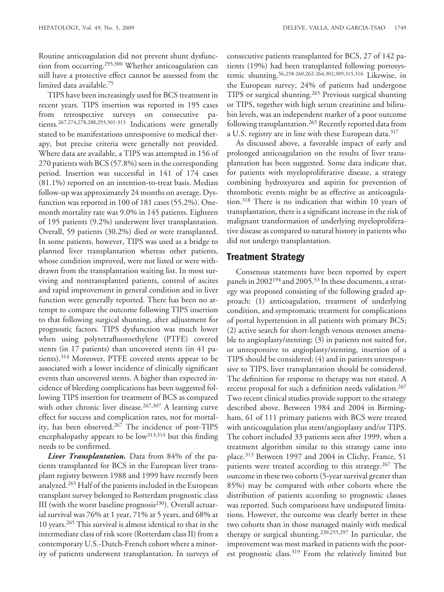Routine anticoagulation did not prevent shunt dysfunction from occurring.<sup>295,300</sup> Whether anticoagulation can still have a protective effect cannot be assessed from the limited data available.75

TIPS have been increasingly used for BCS treatment in recent years. TIPS insertion was reported in 195 cases from retrospective surveys on consecutive patients.267,274,278,288,293,301-313 Indications were generally stated to be manifestations unresponsive to medical therapy, but precise criteria were generally not provided. Where data are available, a TIPS was attempted in 156 of 270 patients with BCS (57.8%) seen in the corresponding period. Insertion was successful in 141 of 174 cases (81.1%) reported on an intention-to-treat basis. Median follow-up was approximately 24 months on average. Dysfunction was reported in 100 of 181 cases (55.2%). Onemonth mortality rate was 9.0% in 145 patients. Eighteen of 195 patients (9.2%) underwent liver transplantation. Overall, 59 patients (30.2%) died or were transplanted. In some patients, however, TIPS was used as a bridge to planned liver transplantation whereas other patients, whose condition improved, were not listed or were withdrawn from the transplantation waiting list. In most surviving and nontransplanted patients, control of ascites and rapid improvement in general condition and in liver function were generally reported. There has been no attempt to compare the outcome following TIPS insertion to that following surgical shunting, after adjustment for prognostic factors. TIPS dysfunction was much lower when using polytetrafluoroethylene (PTFE) covered stents (in 17 patients) than uncovered stents (in 41 patients).314 Moreover, PTFE covered stents appear to be associated with a lower incidence of clinically significant events than uncovered stents. A higher than expected incidence of bleeding complications has been suggested following TIPS insertion for treatment of BCS as compared with other chronic liver disease.<sup>267,307</sup> A learning curve effect for success and complication rates, not for mortality, has been observed.<sup>267</sup> The incidence of post-TIPS encephalopathy appears to be  $low^{313,314}$  but this finding needs to be confirmed.

*Liver Transplantation.* Data from 84% of the patients transplanted for BCS in the European liver transplant registry between 1988 and 1999 have recently been analyzed.265 Half of the patients included in the European transplant survey belonged to Rotterdam prognostic class III (with the worst baseline prognosis230). Overall actuarial survival was 76% at 1 year, 71% at 5 years, and 68% at 10 years.265 This survival is almost identical to that in the intermediate class of risk score (Rotterdam class II) from a contemporary U.S.-Dutch-French cohort where a minority of patients underwent transplantation. In surveys of consecutive patients transplanted for BCS, 27 of 142 patients (19%) had been transplanted following portosystemic shunting.56,258-260,262-264,302,309,315,316 Likewise, in the European survey, 24% of patients had undergone TIPS or surgical shunting.<sup>265</sup> Previous surgical shunting or TIPS, together with high serum creatinine and bilirubin levels, was an independent marker of a poor outcome following transplantation.<sup>265</sup> Recently reported data from a U.S. registry are in line with these European data.<sup>317</sup>

As discussed above, a favorable impact of early and prolonged anticoagulation on the results of liver transplantation has been suggested. Some data indicate that, for patients with myeloproliferative disease, a strategy combining hydroxyurea and aspirin for prevention of thrombotic events might be as effective as anticoagulation.318 There is no indication that within 10 years of transplantation, there is a significant increase in the risk of malignant transformation of underlying myeloproliferative disease as compared to natural history in patients who did not undergo transplantation.

# **Treatment Strategy**

Consensus statements have been reported by expert panels in  $2002^{194}$  and  $2005<sup>53</sup>$  In these documents, a strategy was proposed consisting of the following graded approach: (1) anticoagulation, treatment of underlying condition, and symptomatic treatment for complications of portal hypertension in all patients with primary BCS; (2) active search for short-length venous stenoses amenable to angioplasty/stenting; (3) in patients not suited for, or unresponsive to angioplasty/stenting, insertion of a TIPS should be considered; (4) and in patients unresponsive to TIPS, liver transplantation should be considered. The definition for response to therapy was not stated. A recent proposal for such a definition needs validation.<sup>267</sup> Two recent clinical studies provide support to the strategy described above. Between 1984 and 2004 in Birmingham, 61 of 111 primary patients with BCS were treated with anticoagulation plus stent/angioplasty and/or TIPS. The cohort included 33 patients seen after 1999, when a treatment algorithm similar to this strategy came into place.313 Between 1997 and 2004 in Clichy, France, 51 patients were treated according to this strategy.<sup>267</sup> The outcome in these two cohorts (5-year survival greater than 85%) may be compared with other cohorts where the distribution of patients according to prognostic classes was reported. Such comparisons have undisputed limitations. However, the outcome was clearly better in these two cohorts than in those managed mainly with medical therapy or surgical shunting.230,255,297 In particular, the improvement was most marked in patients with the poorest prognostic class.<sup>319</sup> From the relatively limited but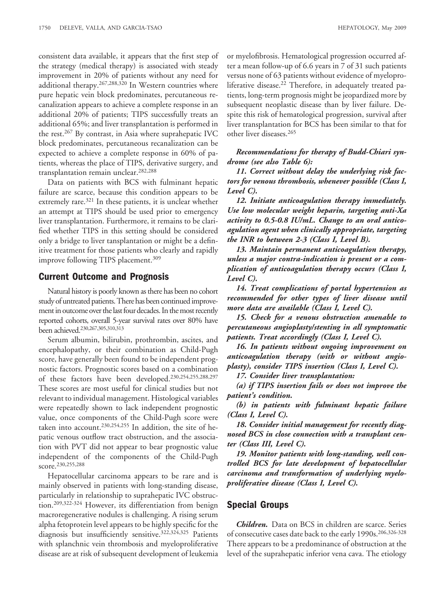consistent data available, it appears that the first step of the strategy (medical therapy) is associated with steady improvement in 20% of patients without any need for additional therapy.267,288,320 In Western countries where pure hepatic vein block predominates, percutaneous recanalization appears to achieve a complete response in an additional 20% of patients; TIPS successfully treats an additional 65%; and liver transplantation is performed in the rest.267 By contrast, in Asia where suprahepatic IVC block predominates, percutaneous recanalization can be expected to achieve a complete response in 60% of patients, whereas the place of TIPS, derivative surgery, and transplantation remain unclear.282,288

Data on patients with BCS with fulminant hepatic failure are scarce, because this condition appears to be extremely rare. $321$  In these patients, it is unclear whether an attempt at TIPS should be used prior to emergency liver transplantation. Furthermore, it remains to be clarified whether TIPS in this setting should be considered only a bridge to liver tansplantation or might be a definitive treatment for those patients who clearly and rapidly improve following TIPS placement.<sup>309</sup>

### **Current Outcome and Prognosis**

Natural history is poorly known as there has been no cohort study of untreated patients. There has been continued improvement in outcome over the last four decades. In the most recently reported cohorts, overall 5-year survival rates over 80% have been achieved.230,267,305,310,313

Serum albumin, bilirubin, prothrombin, ascites, and encephalopathy, or their combination as Child-Pugh score, have generally been found to be independent prognostic factors. Prognostic scores based on a combination of these factors have been developed.230,254,255,288,297 These scores are most useful for clinical studies but not relevant to individual management. Histological variables were repeatedly shown to lack independent prognostic value, once components of the Child-Pugh score were taken into account.<sup>230,254,255</sup> In addition, the site of hepatic venous outflow tract obstruction, and the association with PVT did not appear to bear prognostic value independent of the components of the Child-Pugh score.230,255,288

Hepatocellular carcinoma appears to be rare and is mainly observed in patients with long-standing disease, particularly in relationship to suprahepatic IVC obstruction.209,322-324 However, its differentiation from benign macroregenerative nodules is challenging. A rising serum alpha fetoprotein level appears to be highly specific for the diagnosis but insufficiently sensitive.322,324,325 Patients with splanchnic vein thrombosis and myeloproliferative disease are at risk of subsequent development of leukemia

or myelofibrosis. Hematological progression occurred after a mean follow-up of 6.6 years in 7 of 31 such patients versus none of 63 patients without evidence of myeloproliferative disease.<sup>22</sup> Therefore, in adequately treated patients, long-term prognosis might be jeopardized more by subsequent neoplastic disease than by liver failure. Despite this risk of hematological progression, survival after liver transplantation for BCS has been similar to that for other liver diseases.<sup>265</sup>

*Recommendations for therapy of Budd-Chiari syndrome (see also Table 6):*

*11. Correct without delay the underlying risk factors for venous thrombosis, whenever possible (Class I, Level C).*

*12. Initiate anticoagulation therapy immediately. Use low molecular weight heparin, targeting anti-Xa activity to 0.5-0.8 IU/mL. Change to an oral anticoagulation agent when clinically appropriate, targeting the INR to between 2-3 (Class I, Level B).*

*13. Maintain permanent anticoagulation therapy, unless a major contra-indication is present or a complication of anticoagulation therapy occurs (Class I, Level C).*

*14. Treat complications of portal hypertension as recommended for other types of liver disease until more data are available (Class I, Level C).*

*15. Check for a venous obstruction amenable to percutaneous angioplasty/stenting in all symptomatic patients. Treat accordingly (Class I, Level C).*

*16. In patients without ongoing improvement on anticoagulation therapy (with or without angioplasty), consider TIPS insertion (Class I, Level C).*

*17. Consider liver transplantation:*

*(a) if TIPS insertion fails or does not improve the patient's condition.*

*(b) in patients with fulminant hepatic failure (Class I, Level C).*

*18. Consider initial management for recently diagnosed BCS in close connection with a transplant center (Class III, Level C).*

*19. Monitor patients with long-standing, well controlled BCS for late development of hepatocellular carcinoma and transformation of underlying myeloproliferative disease (Class I, Level C).*

### **Special Groups**

*Children.* Data on BCS in children are scarce. Series of consecutive cases date back to the early 1990s.<sup>206,326-328</sup> There appears to be a predominance of obstruction at the level of the suprahepatic inferior vena cava. The etiology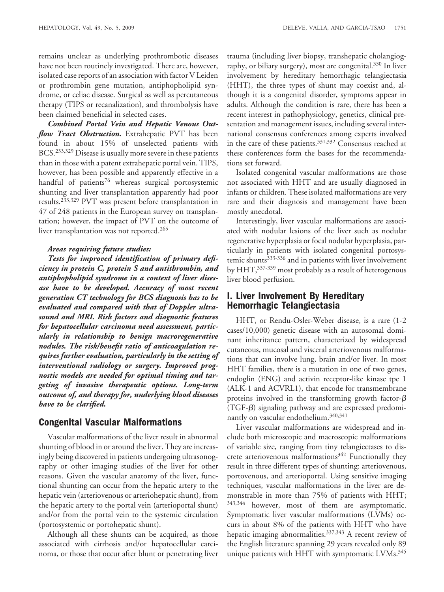remains unclear as underlying prothrombotic diseases have not been routinely investigated. There are, however, isolated case reports of an association with factor V Leiden or prothrombin gene mutation, antiphopholipid syndrome, or celiac disease. Surgical as well as percutaneous therapy (TIPS or recanalization), and thrombolysis have been claimed beneficial in selected cases.

*Combined Portal Vein and Hepatic Venous Outflow Tract Obstruction.* Extrahepatic PVT has been found in about 15% of unselected patients with BCS.<sup>233,329</sup> Disease is usually more severe in these patients than in those with a patent extrahepatic portal vein. TIPS, however, has been possible and apparently effective in a handful of patients<sup>76</sup> whereas surgical portosystemic shunting and liver transplantation apparently had poor results.233,329 PVT was present before transplantation in 47 of 248 patients in the European survey on transplantation; however, the impact of PVT on the outcome of liver transplantation was not reported.<sup>265</sup>

#### *Areas requiring future studies:*

*Tests for improved identification of primary deficiency in protein C, protein S and antithrombin, and antiphopholipid syndrome in a context of liver disesase have to be developed. Accuracy of most recent generation CT technology for BCS diagnosis has to be evaluated and compared with that of Doppler ultrasound and MRI. Risk factors and diagnostic features for hepatocellular carcinoma need assessment, particularly in relationship to benign macroregenerative nodules. The risk/benefit ratio of anticoagulation requires further evaluation, particularly in the setting of interventional radiology or surgery. Improved prognostic models are needed for optimal timing and targeting of invasive therapeutic options. Long-term outcome of, and therapy for, underlying blood diseases have to be clarified.*

### **Congenital Vascular Malformations**

Vascular malformations of the liver result in abnormal shunting of blood in or around the liver. They are increasingly being discovered in patients undergoing ultrasonography or other imaging studies of the liver for other reasons. Given the vascular anatomy of the liver, functional shunting can occur from the hepatic artery to the hepatic vein (arteriovenous or arteriohepatic shunt), from the hepatic artery to the portal vein (arterioportal shunt) and/or from the portal vein to the systemic circulation (portosystemic or portohepatic shunt).

Although all these shunts can be acquired, as those associated with cirrhosis and/or hepatocellular carcinoma, or those that occur after blunt or penetrating liver

trauma (including liver biopsy, transhepatic cholangiography, or biliary surgery), most are congenital.<sup>330</sup> In liver involvement by hereditary hemorrhagic telangiectasia (HHT), the three types of shunt may coexist and, although it is a congenital disorder, symptoms appear in adults. Although the condition is rare, there has been a recent interest in pathophysiology, genetics, clinical presentation and management issues, including several international consensus conferences among experts involved in the care of these patients.331,332 Consensus reached at these conferences form the bases for the recommendations set forward.

Isolated congenital vascular malformations are those not associated with HHT and are usually diagnosed in infants or children. These isolated malformations are very rare and their diagnosis and management have been mostly anecdotal.

Interestingly, liver vascular malformations are associated with nodular lesions of the liver such as nodular regenerative hyperplasia or focal nodular hyperplasia, particularly in patients with isolated congenital portosystemic shunts<sup>333-336</sup> and in patients with liver involvement by HHT,<sup>337-339</sup> most probably as a result of heterogenous liver blood perfusion.

# **I. Liver Involvement By Hereditary Hemorrhagic Telangiectasia**

HHT, or Rendu-Osler-Weber disease, is a rare (1-2 cases/10,000) genetic disease with an autosomal dominant inheritance pattern, characterized by widespread cutaneous, mucosal and visceral arteriovenous malformations that can involve lung, brain and/or liver. In most HHT families, there is a mutation in one of two genes, endoglin (ENG) and activin receptor-like kinase tpe 1 (ALK-1 and ACVRL1), that encode for transmembrane proteins involved in the transforming growth factor- $\beta$  $(TGF- $\beta$ ) signaling pathway and are expressed predomin$ nantly on vascular endothelium.340,341

Liver vascular malformations are widespread and include both microscopic and macroscopic malformations of variable size, ranging from tiny telangiectases to discrete arteriovenous malformations $342$  Functionally they result in three different types of shunting: arteriovenous, portovenous, and arterioportal. Using sensitive imaging techniques, vascular malformations in the liver are demonstrable in more than 75% of patients with HHT; 343,344 however, most of them are asymptomatic. Symptomatic liver vascular malformations (LVMs) occurs in about 8% of the patients with HHT who have hepatic imaging abnormalities.<sup>337,343</sup> A recent review of the English literature spanning 29 years revealed only 89 unique patients with HHT with symptomatic LVMs.<sup>345</sup>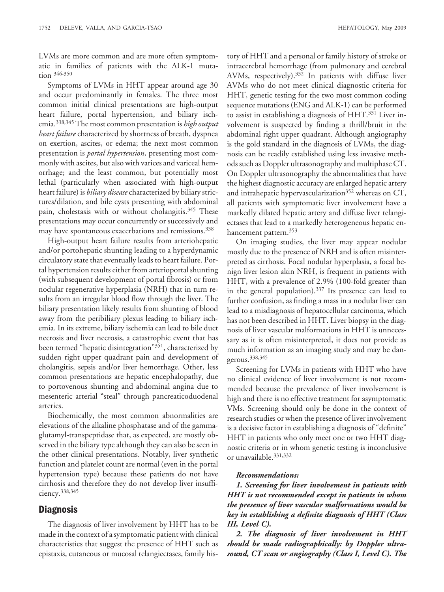LVMs are more common and are more often symptomatic in families of patients with the ALK-1 mutation 346-350

Symptoms of LVMs in HHT appear around age 30 and occur predominantly in females. The three most common initial clinical presentations are high-output heart failure, portal hypertension, and biliary ischemia.338,345 The most common presentation is *high output heart failure* characterized by shortness of breath, dyspnea on exertion, ascites, or edema; the next most common presentation is *portal hypertension*, presenting most commonly with ascites, but also with varices and variceal hemorrhage; and the least common, but potentially most lethal (particularly when associated with high-output heart failure) is *biliary disease* characterized by biliary strictures/dilation, and bile cysts presenting with abdominal pain, cholestasis with or without cholangitis.<sup>345</sup> These presentations may occur concurrently or successively and may have spontaneous exacerbations and remissions.<sup>338</sup>

High-output heart failure results from arteriohepatic and/or portohepatic shunting leading to a hyperdynamic circulatory state that eventually leads to heart failure. Portal hypertension results either from arterioportal shunting (with subsequent development of portal fibrosis) or from nodular regenerative hyperplasia (NRH) that in turn results from an irregular blood flow through the liver. The biliary presentation likely results from shunting of blood away from the peribiliary plexus leading to biliary ischemia. In its extreme, biliary ischemia can lead to bile duct necrosis and liver necrosis, a catastrophic event that has been termed "hepatic disintegration"351, characterized by sudden right upper quadrant pain and development of cholangitis, sepsis and/or liver hemorrhage. Other, less common presentations are hepatic encephalopathy, due to portovenous shunting and abdominal angina due to mesenteric arterial "steal" through pancreaticoduodenal arteries.

Biochemically, the most common abnormalities are elevations of the alkaline phosphatase and of the gammaglutamyl-transpeptidase that, as expected, are mostly observed in the biliary type although they can also be seen in the other clinical presentations. Notably, liver synthetic function and platelet count are normal (even in the portal hypertension type) because these patients do not have cirrhosis and therefore they do not develop liver insufficiency.338,345

# **Diagnosis**

The diagnosis of liver involvement by HHT has to be made in the context of a symptomatic patient with clinical characteristics that suggest the presence of HHT such as epistaxis, cutaneous or mucosal telangiectases, family history of HHT and a personal or family history of stroke or intracerebral hemorrhage (from pulmonary and cerebral AVMs, respectively).<sup>332</sup> In patients with diffuse liver AVMs who do not meet clinical diagnostic criteria for HHT, genetic testing for the two most common coding sequence mutations (ENG and ALK-1) can be performed to assist in establishing a diagnosis of HHT.<sup>331</sup> Liver involvement is suspected by finding a thrill/bruit in the abdominal right upper quadrant. Although angiography is the gold standard in the diagnosis of LVMs, the diagnosis can be readily established using less invasive methods such as Doppler ultrasonography and multiphase CT. On Doppler ultrasonography the abnormalities that have the highest diagnostic accuracy are enlarged hepatic artery and intrahepatic hypervascularization<sup>352</sup> whereas on CT, all patients with symptomatic liver involvement have a markedly dilated hepatic artery and diffuse liver telangiectases that lead to a markedly heterogeneous hepatic enhancement pattern.353

On imaging studies, the liver may appear nodular mostly due to the presence of NRH and is often misinterpreted as cirrhosis. Focal nodular hyperplasia, a focal benign liver lesion akin NRH, is frequent in patients with HHT, with a prevalence of 2.9% (100-fold greater than in the general population).337 Its presence can lead to further confusion, as finding a mass in a nodular liver can lead to a misdiagnosis of hepatocellular carcinoma, which has not been described in HHT. Liver biopsy in the diagnosis of liver vascular malformations in HHT is unnecessary as it is often misinterpreted, it does not provide as much information as an imaging study and may be dangerous.338,345

Screening for LVMs in patients with HHT who have no clinical evidence of liver involvement is not recommended because the prevalence of liver involvement is high and there is no effective treatment for asymptomatic VMs. Screening should only be done in the context of research studies or when the presence of liver involvement is a decisive factor in establishing a diagnosis of "definite" HHT in patients who only meet one or two HHT diagnostic criteria or in whom genetic testing is inconclusive or unavailable.331,332

#### *Recommendations:*

*1. Screening for liver involvement in patients with HHT is not recommended except in patients in whom the presence of liver vascular malformations would be key in establishing a definite diagnosis of HHT (Class III, Level C).*

*2. The diagnosis of liver involvement in HHT should be made radiographically: by Doppler ultrasound, CT scan or angiography (Class I, Level C). The*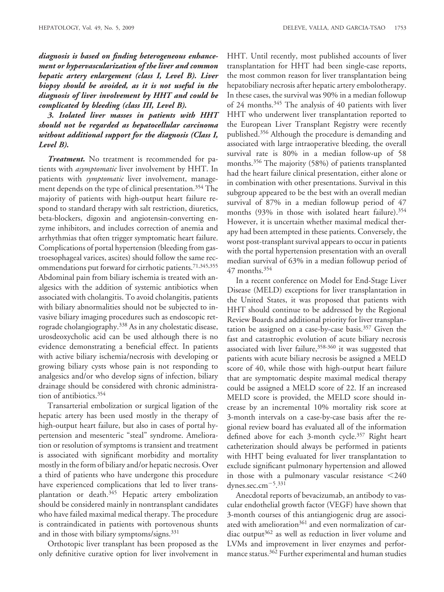HEPATOLOGY, Vol. 49, No. 5, 2009 DELEVE, VALLA, AND GARCIA-TSAO 1753

*diagnosis is based on finding heterogeneous enhancement or hypervascularization of the liver and common hepatic artery enlargement (class I, Level B). Liver biopsy should be avoided, as it is not useful in the diagnosis of liver involvement by HHT and could be complicated by bleeding (class III, Level B).*

*3. Isolated liver masses in patients with HHT should not be regarded as hepatocellular carcinoma without additional support for the diagnosis (Class I, Level B).*

*Treatment.* No treatment is recommended for patients with *asymptomatic* liver involvement by HHT. In patients with *symptomatic* liver involvement, management depends on the type of clinical presentation.<sup>354</sup> The majority of patients with high-output heart failure respond to standard therapy with salt restriction, diuretics, beta-blockers, digoxin and angiotensin-converting enzyme inhibitors, and includes correction of anemia and arrhythmias that often trigger symptomatic heart failure. Complications of portal hypertension (bleeding from gastroesophageal varices, ascites) should follow the same recommendations put forward for cirrhotic patients.71,345,355 Abdominal pain from biliary ischemia is treated with analgesics with the addition of systemic antibiotics when associated with cholangitis. To avoid cholangitis, patients with biliary abnormalities should not be subjected to invasive biliary imaging procedures such as endoscopic retrograde cholangiography.338 As in any cholestatic disease, urosdeoxycholic acid can be used although there is no evidence demonstrating a beneficial effect. In patients with active biliary ischemia/necrosis with developing or growing biliary cysts whose pain is not responding to analgesics and/or who develop signs of infection, biliary drainage should be considered with chronic administration of antibiotics.354

Transarterial embolization or surgical ligation of the hepatic artery has been used mostly in the therapy of high-output heart failure, but also in cases of portal hypertension and mesenteric "steal" syndrome. Amelioration or resolution of symptoms is transient and treatment is associated with significant morbidity and mortality mostly in the form of biliary and/or hepatic necrosis. Over a third of patients who have undergone this procedure have experienced complications that led to liver transplantation or death.<sup>345</sup> Hepatic artery embolization should be considered mainly in nontransplant candidates who have failed maximal medical therapy. The procedure is contraindicated in patients with portovenous shunts and in those with biliary symptoms/signs.<sup>331</sup>

Orthotopic liver transplant has been proposed as the only definitive curative option for liver involvement in

HHT. Until recently, most published accounts of liver transplantation for HHT had been single-case reports, the most common reason for liver transplantation being hepatobiliary necrosis after hepatic artery embolotherapy. In these cases, the survival was 90% in a median followup of 24 months.<sup>345</sup> The analysis of 40 patients with liver HHT who underwent liver transplantation reported to the European Liver Transplant Registry were recently published.356 Although the procedure is demanding and associated with large intraoperative bleeding, the overall survival rate is 80% in a median follow-up of 58 months.356 The majority (58%) of patients transplanted had the heart failure clinical presentation, either alone or in combination with other presentations. Survival in this subgroup appeared to be the best with an overall median survival of 87% in a median followup period of 47 months (93% in those with isolated heart failure).<sup>354</sup> However, it is uncertain whether maximal medical therapy had been attempted in these patients. Conversely, the worst post-transplant survival appears to occur in patients with the portal hypertension presentation with an overall median survival of 63% in a median followup period of 47 months.354

In a recent conference on Model for End-Stage Liver Disease (MELD) exceptions for liver transplantation in the United States, it was proposed that patients with HHT should continue to be addressed by the Regional Review Boards and additional priority for liver transplantation be assigned on a case-by-case basis.357 Given the fast and catastrophic evolution of acute biliary necrosis associated with liver failure,<sup>358-360</sup> it was suggested that patients with acute biliary necrosis be assigned a MELD score of 40, while those with high-output heart failure that are symptomatic despite maximal medical therapy could be assigned a MELD score of 22. If an increased MELD score is provided, the MELD score should increase by an incremental 10% mortality risk score at 3-month intervals on a case-by-case basis after the regional review board has evaluated all of the information defined above for each 3-month cycle.<sup>357</sup> Right heart catheterization should always be performed in patients with HHT being evaluated for liver transplantation to exclude significant pulmonary hypertension and allowed in those with a pulmonary vascular resistance  $\leq$ 240 dynes.sec.cm<sup>-5</sup>.<sup>331</sup>

Anecdotal reports of bevacizumab, an antibody to vascular endothelial growth factor (VEGF) have shown that 3-month courses of this antiangiogenic drug are associated with amelioration<sup>361</sup> and even normalization of cardiac output<sup>362</sup> as well as reduction in liver volume and LVMs and improvement in liver enzymes and performance status.362 Further experimental and human studies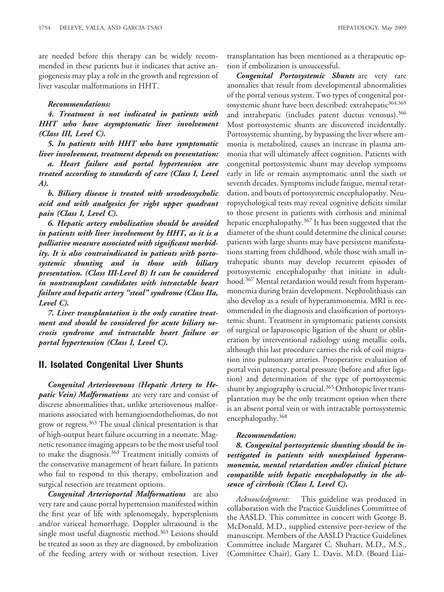are needed before this therapy can be widely recommended in these patients but it indicates that active angiogenesis may play a role in the growth and regression of liver vascular malformations in HHT.

### *Recommendations:*

*4. Treatment is not indicated in patients with HHT who have asymptomatic liver involvement (Class III, Level C).*

*5. In patients with HHT who have symptomatic liver involvement, treatment depends on presentation:*

*a. Heart failure and portal hypertension are treated according to standards of care (Class I, Level A).*

*b. Biliary disease is treated with ursodeoxycholic acid and with analgesics for right upper quadrant pain (Class I, Level C).*

*6. Hepatic artery embolization should be avoided in patients with liver involvement by HHT, as it is a palliative measure associated with significant morbidity. It is also contraindicated in patients with portosystemic shunting and in those with biliary presentation. (Class III-Level B) It can be considered in nontransplant candidates with intractable heart failure and hepatic artery "steal" syndrome (Class IIa, Level C).*

*7. Liver transplantation is the only curative treatment and should be considered for acute biliary necrosis syndrome and intractable heart failure or portal hypertension (Class I, Level C).*

# **II. Isolated Congenital Liver Shunts**

*Congenital Arteriovenous (Hepatic Artery to Hepatic Vein) Malformations* are very rare and consist of discrete abnormalities that, unlike arteriovenous malformations associated with hemangioendotheliomas, do not grow or regress.363 The usual clinical presentation is that of high-output heart failure occurring in a neonate. Magnetic resonance imaging appears to be the most useful tool to make the diagnosis.<sup>363</sup> Treatment initially consists of the conservative management of heart failure. In patients who fail to respond to this therapy, embolization and surgical resection are treatment options.

*Congenital Arterioportal Malformations* are also very rare and cause portal hypertension manifested within the first year of life with splenomegaly, hypersplenism and/or variceal hemorrhage. Doppler ultrasound is the single most useful diagnostic method.<sup>363</sup> Lesions should be treated as soon as they are diagnosed, by embolization of the feeding artery with or without resection. Liver

transplantation has been mentioned as a therapeutic option if embolization is unsuccessful.

*Congenital Portosystemic Shunts* are very rare anomalies that result from developmental abnormalities of the portal venous system. Two types of congenital portosystemic shunt have been described: extrahepatic<sup>364,365</sup> and intrahepatic (includes patent ductus venosus).<sup>366</sup> Most portosystemic shunts are discovered incidentally. Portosystemic shunting, by bypassing the liver where ammonia is metabolized, causes an increase in plasma ammonia that will ultimately affect cognition. Patients with congenital portosystemic shunt may develop symptoms early in life or remain asymptomatic until the sixth or seventh decades. Symptoms include fatigue, mental retardation, and bouts of portosystemic encephalopathy. Neuropsychological tests may reveal cognitive deficits similar to those present in patients with cirrhosis and minimal hepatic encephalopathy.<sup>367</sup> It has been suggested that the diameter of the shunt could determine the clinical course: patients with large shunts may have persistent manifestations starting from childhood, while those with small intrahepatic shunts may develop recurrent episodes of portosystemic encephalopathy that initiate in adulthood.367 Mental retardation would result from hyperammonemia during brain development. Nephrolithiasis can also develop as a result of hyperammonemia. MRI is recommended in the diagnosis and classification of portosystemic shunt. Treatment in symptomatic patients consists of surgical or laparoscopic ligation of the shunt or obliteration by interventional radiology using metallic coils, although this last procedure carries the risk of coil migration into pulmonary arteries. Preoperative evaluation of portal vein patency, portal pressure (before and after ligation) and determination of the type of portosystemic shunt by angiography is crucial.<sup>365</sup> Orthotopic liver transplantation may be the only treatment option when there is an absent portal vein or with intractable portosystemic encephalopathy.368

#### *Recommendation:*

*8. Congenital portosystemic shunting should be investigated in patients with unexplained hyperammonemia, mental retardation and/or clinical picture compatible with hepatic encephalopathy in the absence of cirrhosis (Class I, Level C).*

*Acknowledgment:* This guideline was produced in collaboration with the Practice Guidelines Committee of the AASLD. This committee in concert with George B. McDonald, M.D., supplied extensive peer-review of the manuscript. Members of the AASLD Practice Guidelines Committee include Margaret C. Shuhart, M.D., M.S., (Committee Chair), Gary L. Davis, M.D. (Board Liai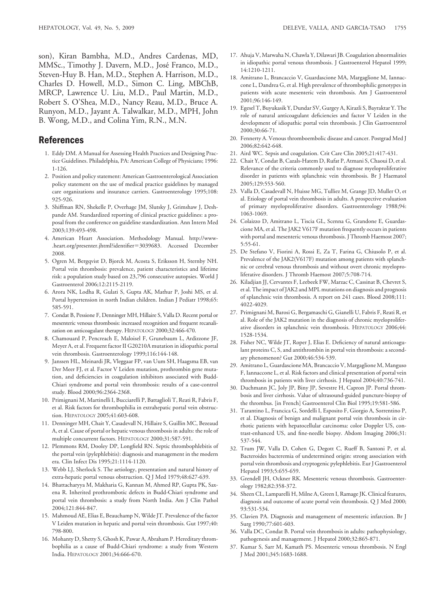son), Kiran Bambha, M.D., Andres Cardenas, MD, MMSc., Timothy J. Davern, M.D., José Franco, M.D., Steven-Huy B. Han, M.D., Stephen A. Harrison, M.D., Charles D. Howell, M.D., Simon C. Ling, MBChB, MRCP, Lawrence U. Liu, M.D., Paul Martin, M.D., Robert S. O'Shea, M.D., Nancy Reau, M.D., Bruce A. Runyon, M.D., Jayant A. Talwalkar, M.D., MPH, John B. Wong, M.D., and Colina Yim, R.N., M.N.

## **References**

- 1. Eddy DM. A Manual for Assessing Health Practices and Designing Practice Guidelines. Philadelphia, PA: American College of Physicians; 1996: 1-126.
- 2. Position and policy statement: American Gastroenterological Association policy statement on the use of medical practice guidelines by managed care organizations and insurance carriers. Gastroenterology 1995;108: 925-926.
- 3. Shiffman RN, Shekelle P, Overhage JM, Slutsky J, Grimshaw J, Deshpande AM. Standardized reporting of clinical practice guidelines: a proposal from the conference on guideline standardization. Ann Intern Med 2003;139:493-498.
- 4. American Heart Association. Methodology Manual. http://www- .heart.org/presenter.jhtml?identifier=3039683. Accessed December 2008.
- 5. Ogren M, Bergqvist D, Bjorck M, Acosta S, Eriksson H, Sternby NH. Portal vein thrombosis: prevalence, patient characteristics and lifetime risk: a population study based on 23,796 consecutive autopsies. World J Gastroenterol 2006;12:2115-2119.
- 6. Arora NK, Lodha R, Gulati S, Gupta AK, Mathur P, Joshi MS, et al. Portal hypertension in north Indian children. Indian J Pediatr 1998;65: 585-591.
- 7. Condat B, Pessione F, Denninger MH, Hillaire S, Valla D. Recent portal or mesenteric venous thrombosis: increased recognition and frequent recanalization on anticoagulant therapy. HEPATOLOGY 2000;32:466-470.
- 8. Chamouard P, Pencreach E, Maloisel F, Grunebaum L, Ardizzone JF, Meyer A, et al. Frequent factor II G20210A mutation in idiopathic portal vein thrombosis. Gastroenterology 1999;116:144-148.
- 9. Janssen HL, Meinardi JR, Vleggaar FP, van Uum SH, Haagsma EB, van Der Meer FJ, et al. Factor V Leiden mutation, prothrombin gene mutation, and deficiencies in coagulation inhibitors associated with Budd-Chiari syndrome and portal vein thrombosis: results of a case-control study. Blood 2000;96:2364-2368.
- 10. Primignani M, Martinelli I, Bucciarelli P, Battaglioli T, Reati R, Fabris F, et al. Risk factors for thrombophilia in extrahepatic portal vein obstruction. HEPATOLOGY 2005;41:603-608.
- 11. Denninger MH, Chait Y, Casadevall N, Hillaire S, Guillin MC, Bezeaud A, et al. Cause of portal or hepatic venous thrombosis in adults: the role of multiple concurrent factors. HEPATOLOGY 2000;31:587-591.
- 12. Plemmons RM, Dooley DP, Longfield RN. Septic thrombophlebitis of the portal vein (pylephlebitis): diagnosis and management in the modern era. Clin Infect Dis 1995;21:1114-1120.
- 13. Webb LJ, Sherlock S. The aetiology, presentation and natural history of extra-hepatic portal venous obstruction. Q J Med 1979;48:627-639.
- 14. Bhattacharyya M, Makharia G, Kannan M, Ahmed RP, Gupta PK, Saxena R. Inherited prothrombotic defects in Budd-Chiari syndrome and portal vein thrombosis: a study from North India. Am J Clin Pathol 2004;121:844-847.
- 15. Mahmoud AE, Elias E, Beauchamp N, Wilde JT. Prevalence of the factor V Leiden mutation in hepatic and portal vein thrombosis. Gut 1997;40: 798-800.
- 16. Mohanty D, Shetty S, Ghosh K, Pawar A, Abraham P. Hereditary thrombophilia as a cause of Budd-Chiari syndrome: a study from Western India. HEPATOLOGY 2001;34:666-670.
- 17. Ahuja V, Marwaha N, Chawla Y, Dilawari JB. Coagulation abnormalities in idiopathic portal venous thrombosis. J Gastroenterol Hepatol 1999;
- 18. Amitrano L, Brancaccio V, Guardascione MA, Margaglione M, Iannaccone L, Dandrea G, et al. High prevalence of thrombophilic genotypes in patients with acute mesenteric vein thrombosis. Am J Gastroenterol 2001;96:146-149.

14:1210-1211.

- 19. Egesel T, Buyukasik Y, Dundar SV, Gurgey A, Kirazli S, Bayraktar Y. The role of natural anticoagulant deficiencies and factor V Leiden in the development of idiopathic portal vein thrombosis. J Clin Gastroenterol 2000;30:66-71.
- 20. Fennerty A. Venous thromboembolic disease and cancer. Postgrad Med J 2006;82:642-648.
- 21. Aird WC. Sepsis and coagulation. Crit Care Clin 2005;21:417-431.
- 22. Chait Y, Condat B, Cazals-Hatem D, Rufat P, Atmani S, Chaoui D, et al. Relevance of the criteria commonly used to diagnose myeloproliferative disorder in patients with splanchnic vein thrombosis. Br J Haematol 2005;129:553-560.
- 23. Valla D, Casadevall N, Huisse MG, Tulliez M, Grange JD, Muller O, et al. Etiology of portal vein thrombosis in adults. A prospective evaluation of primary myeloproliferative disorders. Gastroenterology 1988;94: 1063-1069.
- 24. Colaizzo D, Amitrano L, Tiscia GL, Scenna G, Grandone E, Guardascione MA, et al. The JAK2 V617F mutation frequently occurs in patients with portal and mesenteric venous thrombosis. J Thromb Haemost 2007; 5:55-61.
- 25. De Stefano V, Fiorini A, Rossi E, Za T, Farina G, Chiusolo P, et al. Prevalence of the JAK2(V617F) mutation among patients with splanchnic or cerebral venous thrombosis and without overt chronic myeloproliferative disorders. J Thromb Haemost 2007;5:708-714.
- 26. Kiladjian JJ, Cervantes F, Leebeek FW, Marzac C, Cassinat B, Chevret S, et al. The impact of JAK2 and MPL mutations on diagnosis and prognosis of splanchnic vein thrombosis. A report on 241 cases. Blood 2008;111: 4022-4029.
- 27. Primignani M, Barosi G, Bergamaschi G, Gianelli U, Fabris F, Reati R, et al. Role of the JAK2 mutation in the diagnosis of chronic myeloproliferative disorders in splanchnic vein thrombosis. HEPATOLOGY 2006;44: 1528-1534.
- 28. Fisher NC, Wilde JT, Roper J, Elias E. Deficiency of natural anticoagulant proteins C, S, and antithrombin in portal vein thrombosis: a secondary phenomenon? Gut 2000;46:534-539.
- 29. Amitrano L, Guardascione MA, Brancaccio V, Margaglione M, Manguso F, Iannaccone L, et al. Risk factors and clinical presentation of portal vein thrombosis in patients with liver cirrhosis. J Hepatol 2004;40:736-741.
- 30. Duchmann JC, Joly JP, Biny JP, Sevestre H, Capron JP. Portal thrombosis and liver cirrhosis. Value of ultrasound-guided puncture-biopsy of the thrombus. [in French] Gastroenterol Clin Biol 1995;19:581-586.
- 31. Tarantino L, Francica G, Sordelli I, Esposito F, Giorgio A, Sorrentino P, et al. Diagnosis of benign and malignant portal vein thrombosis in cirrhotic patients with hepatocellular carcinoma: color Doppler US, contrast-enhanced US, and fine-needle biopsy. Abdom Imaging 2006;31: 537-544.
- 32. Trum JW, Valla D, Cohen G, Degott C, Rueff B, Santoni P, et al. Bacteroides bacteremia of undetermined origin: strong association with portal vein thrombosis and cryptogenic pylephlebitis. Eur J Gastroenterol Hepatol 1993;5:655-659.
- 33. Grendell JH, Ockner RK. Mesenteric venous thrombosis. Gastroenterology 1982;82:358-372.
- 34. Sheen CL, Lamparelli H, Milne A, Green I, Ramage JK. Clinical features, diagnosis and outcome of acute portal vein thrombosis. Q J Med 2000; 93:531-534.
- 35. Clavien PA. Diagnosis and management of mesenteric infarction. Br J Surg 1990;77:601-603.
- 36. Valla DC, Condat B. Portal vein thrombosis in adults: pathophysiology, pathogenesis and management. J Hepatol 2000;32:865-871.
- 37. Kumar S, Sarr M, Kamath PS. Mesenteric venous thrombosis. N Engl J Med 2001;345:1683-1688.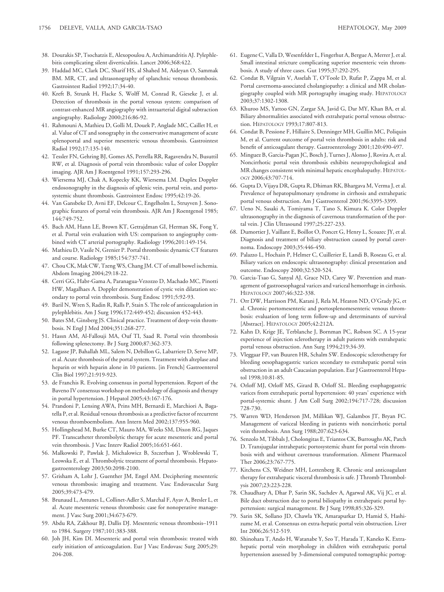- 38. Dourakis SP, Tsochatzis E, Alexopoulou A, Archimandritis AJ. Pylephlebitis complicating silent diverticulitis. Lancet 2006;368:422.
- 39. Haddad MC, Clark DC, Sharif HS, al Shahed M, Aideyan O, Sammak BM. MR, CT, and ultrasonography of splanchnic venous thrombosis. Gastrointest Radiol 1992;17:34-40.
- 40. Kreft B, Strunk H, Flacke S, Wolff M, Conrad R, Gieseke J, et al. Detection of thrombosis in the portal venous system: comparison of contrast-enhanced MR angiography with intraarterial digital subtraction angiography. Radiology 2000;216:86-92.
- 41. Rahmouni A, Mathieu D, Golli M, Douek P, Anglade MC, Caillet H, et al. Value of CT and sonography in the conservative management of acute splenoportal and superior mesenteric venous thrombosis. Gastrointest Radiol 1992;17:135-140.
- 42. Tessler FN, Gehring BJ, Gomes AS, Perrella RR, Ragavendra N, Busuttil RW, et al. Diagnosis of portal vein thrombosis: value of color Doppler imaging. AJR Am J Roentgenol 1991;157:293-296.
- 43. Wiersema MJ, Chak A, Kopecky KK, Wiersema LM. Duplex Doppler endosonography in the diagnosis of splenic vein, portal vein, and portosystemic shunt thrombosis. Gastrointest Endosc 1995;42:19-26.
- 44. Van Gansbeke D, Avni EF, Delcour C, Engelholm L, Struyven J. Sonographic features of portal vein thrombosis. AJR Am J Roentgenol 1985; 144:749-752.
- 45. Bach AM, Hann LE, Brown KT, Getrajdman GI, Herman SK, Fong Y, et al. Portal vein evaluation with US: comparison to angiography combined with CT arterial portography. Radiology 1996;201:149-154.
- 46. Mathieu D, Vasile N, Grenier P. Portal thrombosis: dynamic CT features and course. Radiology 1985;154:737-741.
- 47. Chou CK, Mak CW, Tzeng WS, Chang JM. CT of small bowel ischemia. Abdom Imaging 2004;29:18-22.
- 48. Cerri GG, Habr-Gama A, Paranagua-Vezozzo D, Machado MC, Pinotti HW, Magalhaes A. Doppler demonstration of cystic vein dilatation secondary to portal vein thrombosis. Surg Endosc 1991;5:92-93.
- 49. Baril N, Wren S, Radin R, Ralls P, Stain S. The role of anticoagulation in pylephlebitis. Am J Surg 1996;172:449-452; discussion 452-443.
- 50. Bates SM, Ginsberg JS. Clinical practice. Treatment of deep-vein thrombosis. N Engl J Med 2004;351:268-277.
- 51. Hassn AM, Al-Fallouji MA, Ouf TI, Saad R. Portal vein thrombosis following splenectomy. Br J Surg 2000;87:362-373.
- 52. Lagasse JP, Bahallah ML, Salem N, Debillon G, Labarriere D, Serve MP, et al. Acute thrombosis of the portal system. Treatment with alteplase and heparin or with heparin alone in 10 patients. [in French] Gastroenterol Clin Biol 1997;21:919-923.
- 53. de Franchis R. Evolving consensus in portal hypertension. Report of the Baveno IV consensus workshop on methodology of diagnosis and therapy in portal hypertension. J Hepatol 2005;43:167-176.
- 54. Prandoni P, Lensing AWA, Prins MH, Bernardi E, Marchiori A, Bagatella P, et al. Residual venous thrombosis as a predictive factor of recurrent venous thromboembolism. Ann Intern Med 2002;137:955-960.
- 55. Hollingshead M, Burke CT, Mauro MA, Weeks SM, Dixon RG, Jaques PF. Transcatheter thrombolytic therapy for acute mesenteric and portal vein thrombosis. J Vasc Interv Radiol 2005;16:651-661.
- 56. Malkowski P, Pawlak J, Michalowicz B, Szczerban J, Wroblewski T, Leowska E, et al. Thrombolytic treatment of portal thrombosis. Hepatogastroenterology 2003;50:2098-2100.
- 57. Grisham A, Lohr J, Guenther JM, Engel AM. Deciphering mesenteric venous thrombosis: imaging and treatment. Vasc Endovascular Surg 2005;39:473-479.
- 58. Brunaud L, Antunes L, Collinet-Adler S, Marchal F, Ayav A, Bresler L, et al. Acute mesenteric venous thrombosis: case for nonoperative management. J Vasc Surg 2001;34:673-679.
- 59. Abdu RA, Zakhour BJ, Dallis DJ. Mesenteric venous thrombosis–1911 to 1984. Surgery 1987;101:383-388.
- 60. Joh JH, Kim DI. Mesenteric and portal vein thrombosis: treated with early initiation of anticoagulation. Eur J Vasc Endovasc Surg 2005;29: 204-208.
- 61. Eugene C, Valla D, Wesenfelder L, Fingerhut A, Bergue A, Merrer J, et al. Small intestinal stricture complicating superior mesenteric vein thrombosis. A study of three cases. Gut 1995;37:292-295.
- 62. Condat B, Vilgrain V, Asselah T, O'Toole D, Rufat P, Zappa M, et al. Portal cavernoma-associated cholangiopathy: a clinical and MR cholangiography coupled with MR portography imaging study. HEPATOLOGY 2003;37:1302-1308.
- 63. Khuroo MS, Yattoo GN, Zargar SA, Javid G, Dar MY, Khan BA, et al. Biliary abnormalities associated with extrahepatic portal venous obstruction. HEPATOLOGY 1993;17:807-813.
- 64. Condat B, Pessione F, Hillaire S, Denninger MH, Guillin MC, Poliquin M, et al. Current outcome of portal vein thrombosis in adults: risk and benefit of anticoagulant therapy. Gastroenterology 2001;120:490-497.
- 65. Minguez B, Garcia-Pagan JC, Bosch J, Turnes J, Alonso J, Rovira A, et al. Noncirrhotic portal vein thrombosis exhibits neuropsychological and MR changes consistent with minimal hepatic encephalopathy. HEPATOL-OGY 2006;43:707-714.
- 66. Gupta D, Vijaya DR, Gupta R, Dhiman RK, Bhargava M, Verma J, et al. Prevalence of hepatopulmonary syndrome in cirrhosis and extrahepatic portal venous obstruction. Am J Gastroenterol 2001;96:3395-3399.
- 67. Ueno N, Sasaki A, Tomiyama T, Tano S, Kimura K. Color Doppler ultrasonography in the diagnosis of cavernous transformation of the portal vein. J Clin Ultrasound 1997;25:227-233.
- 68. Dumortier J, Vaillant E, Boillot O, Poncet G, Henry L, Scoazec JY, et al. Diagnosis and treatment of biliary obstruction caused by portal cavernoma. Endoscopy 2003;35:446-450.
- 69. Palazzo L, Hochain P, Helmer C, Cuillerier E, Landi B, Roseau G, et al. Biliary varices on endoscopic ultrasonography: clinical presentation and outcome. Endoscopy 2000;32:520-524.
- 70. Garcia-Tsao G, Sanyal AJ, Grace ND, Carey W. Prevention and management of gastroesophageal varices and variceal hemorrhage in cirrhosis. HEPATOLOGY 2007;46:322-338.
- 71. Orr DW, Harrisson PM, Karani J, Rela M, Heaton ND, O'Grady JG, et al. Chronic portomesenteric and portosplenomesenteric venous thrombosis: evaluation of long term follow-up and determinants of survival [Abstract]. HEPATOLOGY 2005;42:212A.
- 72. Kahn D, Krige JE, Terblanche J, Bornman PC, Robson SC. A 15-year experience of injection sclerotherapy in adult patients with extrahepatic portal venous obstruction. Ann Surg 1994;219:34-39.
- 73. Vleggaar FP, van Buuren HR, Schalm SW. Endoscopic sclerotherapy for bleeding oesophagogastric varices secondary to extrahepatic portal vein obstruction in an adult Caucasian population. Eur J Gastroenterol Hepatol 1998;10:81-85.
- 74. Orloff MJ, Orloff MS, Girard B, Orloff SL. Bleeding esophagogastric varices from extrahepatic portal hypertension: 40 years' experience with portal-systemic shunt. J Am Coll Surg 2002;194:717-728; discussion 728-730.
- 75. Warren WD, Henderson JM, Millikan WJ, Galambos JT, Bryan FC. Management of variceal bleeding in patients with noncirrhotic portal vein thrombosis. Ann Surg 1988;207:623-634.
- 76. Senzolo M, Tibbals J, Cholongitas E, Triantos CK, Burroughs AK, Patch D. Transjugular intrahepatic portosystemic shunt for portal vein thrombosis with and without cavernous transformation. Aliment Pharmacol Ther 2006;23:767-775.
- 77. Kitchens CS, Weidner MH, Lottenberg R. Chronic oral anticoagulant therapy for extrahepatic visceral thrombosis is safe. J Thromb Thrombolysis 2007;23:223-228.
- 78. Chaudhary A, Dhar P, Sarin SK, Sachdev A, Agarwal AK, Vij JC, et al. Bile duct obstruction due to portal biliopathy in extrahepatic portal hypertension: surgical management. Br J Surg 1998;85:326-329.
- 79. Sarin SK, Sollano JD, Chawla YK, Amarapurkar D, Hamid S, Hashizume M, et al. Consensus on extra-hepatic portal vein obstruction. Liver Int 2006;26:512-519.
- 80. Shinohara T, Ando H, Watanabe Y, Seo T, Harada T, Kaneko K. Extrahepatic portal vein morphology in children with extrahepatic portal hypertension assessed by 3-dimensional computed tomographic portog-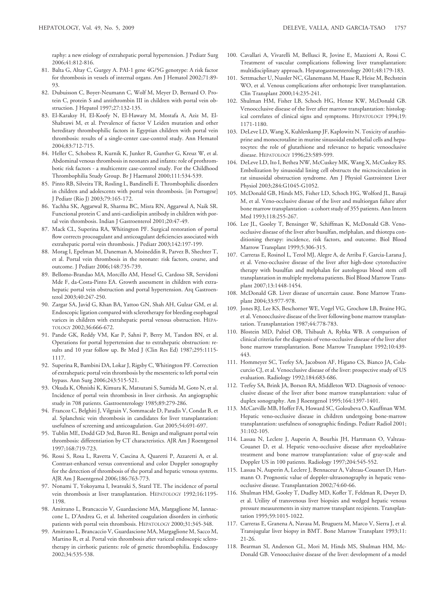raphy: a new etiology of extrahepatic portal hypertension. J Pediatr Surg 2006;41:812-816.

- 81. Balta G, Altay C, Gurgey A. PAI-1 gene 4G/5G genotype: A risk factor for thrombosis in vessels of internal organs. Am J Hematol 2002;71:89- 93.
- 82. Dubuisson C, Boyer-Neumann C, Wolf M, Meyer D, Bernard O. Protein C, protein S and antithrombin III in children with portal vein obstruction. J Hepatol 1997;27:132-135.
- 83. El-Karaksy H, El-Koofy N, El-Hawary M, Mostafa A, Aziz M, El-Shabrawi M, et al. Prevalence of factor V Leiden mutation and other hereditary thrombophilic factors in Egyptian children with portal vein thrombosis: results of a single-center case-control study. Ann Hematol 2004;83:712-715.
- 84. Heller C, Schobess R, Kurnik K, Junker R, Gunther G, Kreuz W, et al. Abdominal venous thrombosis in neonates and infants: role of prothrombotic risk factors - a multicentre case-control study. For the Childhood Thrombophilia Study Group. Br J Haematol 2000;111:534-539.
- 85. Pinto RB, Silveira TR, Rosling L, Bandinelli E. Thrombophilic disorders in children and adolescents with portal vein thrombosis. [in Portugese] J Pediatr (Rio J) 2003;79:165-172.
- 86. Yachha SK, Aggarwal R, Sharma BC, Misra RN, Aggarwal A, Naik SR. Functional protein C and anti-cardiolipin antibody in children with portal vein thrombosis. Indian J Gastroenterol 2001;20:47-49.
- 87. Mack CL, Superina RA, Whitington PF. Surgical restoration of portal flow corrects procoagulant and anticoagulant deficiencies associated with extrahepatic portal vein thrombosis. J Pediatr 2003;142:197-199.
- 88. Morag I, Epelman M, Daneman A, Moineddin R, Parvez B, Shechter T, et al. Portal vein thrombosis in the neonate: risk factors, course, and outcome. J Pediatr 2006;148:735-739.
- 89. Bellomo-Brandao MA, Morcillo AM, Hessel G, Cardoso SR, Servidoni Mde F, da-Costa-Pinto EA. Growth assessment in children with extrahepatic portal vein obstruction and portal hypertension. Arq Gastroenterol 2003;40:247-250.
- 90. Zargar SA, Javid G, Khan BA, Yattoo GN, Shah AH, Gulzar GM, et al. Endoscopic ligation compared with sclerotherapy for bleeding esophageal varices in children with extrahepatic portal venous obstruction. HEPA-TOLOGY 2002;36:666-672.
- 91. Pande GK, Reddy VM, Kar P, Sahni P, Berry M, Tandon BN, et al. Operations for portal hypertension due to extrahepatic obstruction: results and 10 year follow up. Br Med J (Clin Res Ed) 1987;295:1115- 1117.
- 92. Superina R, Bambini DA, Lokar J, Rigsby C, Whitington PF. Correction of extrahepatic portal vein thrombosis by the mesenteric to left portal vein bypass. Ann Surg 2006;243:515-521.
- 93. Okuda K, Ohnishi K, Kimura K, Matsutani S, Sumida M, Goto N, et al. Incidence of portal vein thrombosis in liver cirrhosis. An angiographic study in 708 patients. Gastroenterology 1985;89:279-286.
- 94. Francoz C, Belghiti J, Vilgrain V, Sommacale D, Paradis V, Condat B, et al. Splanchnic vein thrombosis in candidates for liver transplantation: usefulness of screening and anticoagulation. Gut 2005;54:691-697.
- 95. Tublin ME, Dodd GD 3rd, Baron RL. Benign and malignant portal vein thrombosis: differentiation by CT characteristics. AJR Am J Roentgenol 1997;168:719-723.
- 96. Rossi S, Rosa L, Ravetta V, Cascina A, Quaretti P, Azzaretti A, et al. Contrast-enhanced versus conventional and color Doppler sonography for the detection of thrombosis of the portal and hepatic venous systems. AJR Am J Roentgenol 2006;186:763-773.
- 97. Nonami T, Yokoyama I, Iwatsuki S, Starzl TE. The incidence of portal vein thrombosis at liver transplantation. HEPATOLOGY 1992;16:1195- 1198.
- 98. Amitrano L, Brancaccio V, Guardascione MA, Margaglione M, Iannaccone L, D'Andrea G, et al. Inherited coagulation disorders in cirrhotic patients with portal vein thrombosis. HEPATOLOGY 2000;31:345-348.
- 99. Amitrano L, Brancaccio V, Guardascione MA, Margaglione M, Sacco M, Martino R, et al. Portal vein thrombosis after variceal endoscopic sclerotherapy in cirrhotic patients: role of genetic thrombophilia. Endoscopy 2002;34:535-538.
- 100. Cavallari A, Vivarelli M, Bellusci R, Jovine E, Mazziotti A, Rossi C. Treatment of vascular complications following liver transplantation: multidisciplinary approach. Hepatogastroenterology 2001;48:179-183.
- 101. Settmacher U, Nussler NC, Glanemann M, Haase R, Heise M, Bechstein WO, et al. Venous complications after orthotopic liver transplantation. Clin Transplant 2000;14:235-241.
- 102. Shulman HM, Fisher LB, Schoch HG, Henne KW, McDonald GB. Venoocclusive disease of the liver after marrow transplantation: histological correlates of clinical signs and symptoms. HEPATOLOGY 1994;19: 1171-1180.
- 103. DeLeve LD, Wang X, Kuhlenkamp JF, Kaplowitz N. Toxicity of azathioprine and monocrotaline in murine sinusoidal endothelial cells and hepatocytes: the role of glutathione and relevance to hepatic venooclusive disease. HEPATOLOGY 1996;23:589-599.
- 104. DeLeve LD, Ito I, Bethea NW, McCuskey MK, Wang X, McCuskey RS. Embolization by sinusoidal lining cell obstructs the microcirculation in rat sinusoidal obstruction syndrome. Am J Physiol Gastrointest Liver Physiol 2003;284:G1045-G1052.
- 105. McDonald GB, Hinds MS, Fisher LD, Schoch HG, Wolford JL, Banaji M, et al. Veno-occlusive disease of the liver and multiorgan failure after bone marrow transplantation - a cohort study of 355 patients. Ann Intern Med 1993;118:255-267.
- 106. Lee JL, Gooley T, Bensinger W, Schiffman K, McDonald GB. Venoocclusive disease of the liver after busulfan, melphalan, and thiotepa conditioning therapy: incidence, risk factors, and outcome. Biol Blood Marrow Transplant 1999;5:306-315.
- 107. Carreras E, Rosinol L, Terol MJ, Alegre A, de Arriba F, Garcia-Larana J, et al. Veno-occlusive disease of the liver after high-dose cytoreductive therapy with busulfan and melphalan for autologous blood stem cell transplantation in multiple myeloma patients. Biol Blood Marrow Transplant 2007;13:1448-1454.
- 108. McDonald GB. Liver disease of uncertain cause. Bone Marrow Transplant 2004;33:977-978.
- 109. Jones RJ, Lee KS, Beschorner WE, Vogel VG, Grochow LB, Braine HG, et al. Venoocclusive disease of the liver following bone marrow transplantation. Transplantation 1987;44:778-783.
- 110. Blostein MD, Paltiel OB, Thibault A, Rybka WB. A comparison of clinical criteria for the diagnosis of veno-occlusive disease of the liver after bone marrow transplantation. Bone Marrow Transplant 1992;10:439- 443.
- 111. Hommeyer SC, Teefey SA, Jacobson AF, Higano CS, Bianco JA, Colacurcio CJ, et al. Venocclusive disease of the liver: prospective study of US evaluation. Radiology 1992;184:683-686.
- 112. Teefey SA, Brink JA, Borson RA, Middleton WD. Diagnosis of venoocclusive disease of the liver after bone marrow transplantation: value of duplex sonography. Am J Roentgenol 1995;164:1397-1401.
- 113. McCarville MB, Hoffer FA, Howard SC, Goloubeva O, Kauffman WM. Hepatic veno-occlusive disease in children undergoing bone-marrow transplantation: usefulness of sonographic findings. Pediatr Radiol 2001; 31:102-105.
- 114. Lassau N, Leclere J, Auperin A, Bourhis JH, Hartmann O, Valteau-Couanet D, et al. Hepatic veno-occlusive disease after myeloablative treatment and bone marrow transplantation: value of gray-scale and Doppler US in 100 patients. Radiology 1997;204:545-552.
- 115. Lassau N, Auperin A, Leclere J, Bennaceur A, Valteau-Couanet D, Hartmann O. Prognostic value of doppler-ultrasonography in hepatic venoocclusive disease. Transplantation 2002;74:60-66.
- 116. Shulman HM, Gooley T, Dudley MD, Kofler T, Feldman R, Dwyer D, et al. Utility of transvenous liver biopsies and wedged hepatic venous pressure measurements in sixty marrow transplant recipients. Transplantation 1995;59:1015-1022.
- 117. Carreras E, Granena A, Navasa M, Bruguera M, Marco V, Sierra J, et al. Transjugular liver biopsy in BMT. Bone Marrow Transplant 1993;11: 21-26.
- 118. Bearman SI, Anderson GL, Mori M, Hinds MS, Shulman HM, Mc-Donald GB. Venoocclusive disease of the liver: development of a model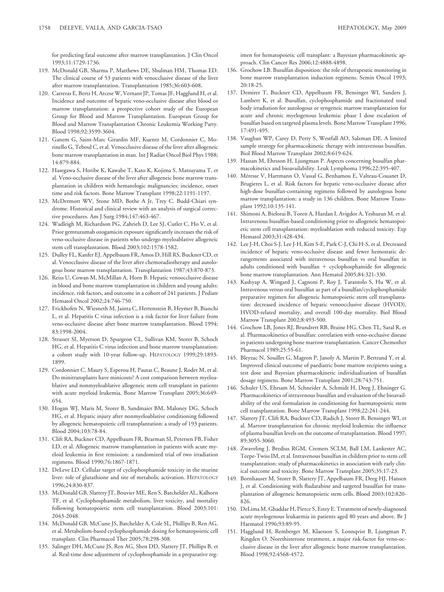for predicting fatal outcome after marrow transplantation. J Clin Oncol 1993;11:1729-1736.

- 119. McDonald GB, Sharma P, Matthews DE, Shulman HM, Thomas ED. The clinical course of 53 patients with venocclusive disease of the liver after marrow transplantation. Transplantation 1985;36:603-608.
- 120. Carreras E, Bertz H, Arcese W, Vernant JP, Tomas JF, Hagglund H, et al. Incidence and outcome of hepatic veno-occlusive disease after blood or marrow transplantation: a prospective cohort study of the European Group for Blood and Marrow Transplantation. European Group for Blood and Marrow Transplantation Chronic Leukemia Working Party. Blood 1998;92:3599-3604.
- 121. Ganem G, Saint-Marc Girardin MF, Kuentz M, Cordonnier C, Morinello G, Teboul C, et al. Venocclusive disease of the liver after allogeneic bone marrow transplantation in man. Int J Radiat Oncol Biol Phys 1988; 14:879-884.
- 122. Hasegawa S, Horibe K, Kawabe T, Kato K, Kojima S, Matsuyama T, et al. Veno-occlusive disease of the liver after allogeneic bone marrow transplantation in children with hematologic malignancies: incidence, onset time and risk factors. Bone Marrow Transplant 1998;22:1191-1197.
- 123. McDermott WV, Stone MD, Bothe A Jr, Trey C. Budd-Chiari syndrome. Historical and clinical review with an analysis of surgical corrective procedures. Am J Surg 1984;147:463-467.
- 124. Wadleigh M, Richardson PG, Zahrieh D, Lee SJ, Cutler C, Ho V, et al. Prior gemtuzumab ozogamicin exposure significantly increases the risk of veno-occlusive disease in patients who undergo myeloablative allogeneic stem cell transplantation. Blood 2003;102:1578-1582.
- 125. Dulley FL, Kanfer EJ, Appelbaum FR, Amos D, Hill RS, Buckner CD, et al. Venocclusive disease of the liver after chemoradiotherapy and autologous bone marrow transplantation. Transplantation 1987;43:870-873.
- 126. Reiss U, Cowan M, McMillan A, Horn B. Hepatic venoocclusive disease in blood and bone marrow transplantation in children and young adults: incidence, risk factors, and outcome in a cohort of 241 patients. J Pediatr Hematol Oncol 2002;24:746-750.
- 127. Frickhofen N, Wiesneth M, Jainta C, Hertenstein B, Heymer B, Bianchi L, et al. Hepatitis C virus infection is a risk factor for liver failure from veno-occlusive disease after bone marrow transplantation. Blood 1994; 83:1998-2004.
- 128. Strasser SI, Myerson D, Spurgeon CL, Sullivan KM, Storer B, Schoch HG, et al. Hepatitis C virus infection and bone marrow transplantation: a cohort study with 10-year follow-up. HEPATOLOGY 1999;29:1893- 1899.
- 129. Cordonnier C, Maury S, Esperou H, Pautas C, Beaune J, Rodet M, et al. Do minitransplants have minicosts? A cost comparison between myeloablative and nonmyeloablative allogeneic stem cell transplant in patients with acute myeloid leukemia. Bone Marrow Transplant 2005;36:649- 654.
- 130. Hogan WJ, Maris M, Storer B, Sandmaier BM, Maloney DG, Schoch HG, et al. Hepatic injury after nonmyeloablative conditioning followed by allogeneic hematopoietic cell transplantation: a study of 193 patients. Blood 2004;103:78-84.
- 131. Clift RA, Buckner CD, Appelbaum FR, Bearman SI, Petersen FB, Fisher LD, et al. Allogeneic marrow transplantation in patients with acute myeloid leukemia in first remission: a randomized trial of two irradiation regimens. Blood 1990;76:1867-1871.
- 132. DeLeve LD. Cellular target of cyclophosphamide toxicity in the murine liver: role of glutathione and site of metabolic activation. HEPATOLOGY 1996;24:830-837.
- 133. McDonald GB, Slattery JT, Bouvier ME, Ren S, Batchelder AL, Kalhorn TF, et al. Cyclophosphamide metabolism, liver toxicity, and mortality following hematopoietic stem cell transplantation. Blood 2003;101: 2043-2048.
- 134. McDonald GB, McCune JS, Batchelder A, Cole SL, Phillips B, Ren AG, et al. Metabolism-based cyclophosphamide dosing for hematopoietic cell transplant. Clin Pharmacol Ther 2005;78:298-308.
- 135. Salinger DH, McCune JS, Ren AG, Shen DD, Slattery JT, Phillips B, et al. Real-time dose adjustment of cyclophosphamide in a preparative reg-

imen for hematopoietic cell transplant: a Bayesian pharmacokinetic approach. Clin Cancer Res 2006;12:4888-4898.

- 136. Grochow LB. Busulfan disposition: the role of therapeutic monitoring in bone marrow transplantation induction regimens. Semin Oncol 1993; 20:18-25.
- 137. Demirer T, Buckner CD, Appelbaum FR, Bensinger WI, Sanders J, Lambert K, et al. Busulfan, cyclophosphamide and fractionated total body irradiation for autologous or syngeneic marrow transplantation for acute and chronic myelogenous leukemia: phase I dose escalation of busulfan based on targeted plasma levels. Bone Marrow Transplant 1996; 17:491-495.
- 138. Vaughan WP, Carey D, Perry S, Westfall AO, Salzman DE. A limited sample strategy for pharmacokinetic therapy with intravenous busulfan. Biol Blood Marrow Transplant 2002;8:619-624.
- 139. Hassan M, Ehrsson H, Ljungman P. Aspects concerning busulfan pharmacokinetics and bioavailability. Leuk Lymphoma 1996;22:395-407.
- 140. Méresse V, Hartmann O, Vassal G, Benhamou E, Valteau-Couanet D, Brugieres L, et al. Risk factors for hepatic veno-occlusive disease after high-dose busulfan-containing regimens followed by autologous bone marrow transplantation: a study in 136 children. Bone Marrow Transplant 1992;10:135-141.
- 141. Shimoni A, Bielorai B, Toren A, Hardan I, Avigdor A, Yeshuran M, et al. Intravenous busulfan-based conditioning prior to allogeneic hematopoietic stem cell transplantation: myeloablation with reduced toxicity. Exp Hematol 2003;31:428-434.
- 142. Lee J-H, Choi S-J, Lee J-H, Kim S-E, Park C-J, Chi H-S, et al. Decreased incidence of hepatic veno-occlusive disease and fewer hemostatic derangements associated with intravenous busulfan vs oral busulfan in adults conditioned with busulfan  $+$  cyclophosphamide for allogeneic bone marrow transplantation. Ann Hematol 2005;84:321-330.
- 143. Kashyap A, Wingard J, Cagnoni P, Roy J, Tarantolo S, Hu W, et al. Intravenous versus oral busulfan as part of a busulfan/cyclophosphamide preparative regimen for allogeneic hematopoietic stem cell transplantation: decreased incidence of hepatic venoocclusive disease (HVOD), HVOD-related mortality, and overall 100-day mortality. Biol Blood Marrow Transplant 2002;8:493-500.
- 144. Grochow LB, Jones RJ, Brundrett RB, Braine HG, Chen TL, Saral R, et al. Pharmacokinetics of busulfan: correlation with veno-occlusive disease in patients undergoing bone marrow transplantation. Cancer Chemother Pharmacol 1989;25:55-61.
- 145. Bleyzac N, Souillet G, Magron P, Janoly A, Martin P, Bertrand Y, et al. Improved clinical outcome of paediatric bone marrow recipients using a test dose and Bayesian pharmacokinetic individualization of busulfan dosage regimens. Bone Marrow Transplant 2001;28:743-751.
- 146. Schuler US, Ehrsam M, Schneider A, Schmidt H, Deeg J, Ehninger G. Pharmacokinetics of intravenous busulfan and evaluation of the bioavailability of the oral formulation in conditioning for haematopoietic stem cell transplantation. Bone Marrow Transplant 1998;22:241-244.
- 147. Slattery JT, Clift RA, Buckner CD, Radich J, Storer B, Bensinger WI, et al. Marrow transplantation for chronic myeloid leukemia: the influence of plasma busulfan levels on the outcome of transplantation. Blood 1997; 89:3055-3060.
- 148. Zwaveling J, Bredius RGM, Cremers SCLM, Ball LM, Lankester AC, Teepe-Twiss IM, et al. Intravenous busulfan in children prior to stem cell transplantation: study of pharmacokinetics in association with early clinical outcome and toxicity. Bone Marrow Transplant 2005;35:17-23.
- 149. Bornhauser M, Storer B, Slattery JT, Appelbaum FR, Deeg HJ, Hansen J, et al. Conditioning with fludarabine and targeted busulfan for transplantation of allogeneic hematopoietic stem cells. Blood 2003;102:820- 826.
- 150. DeLima M, Ghaddar H, Pierce S, Estey E. Treatment of newly-diagnosed acute myelogenous leukaemia in patients aged 80 years and above. Br J Haematol 1996;93:89-95.
- 151. Hagglund H, Remberger M, Klaesson S, Lonnqvist B, Ljungman P, Ringden O. Norethisterone treatment, a major risk-factor for veno-occlusive disease in the liver after allogeneic bone marrow transplantation. Blood 1998;92:4568-4572.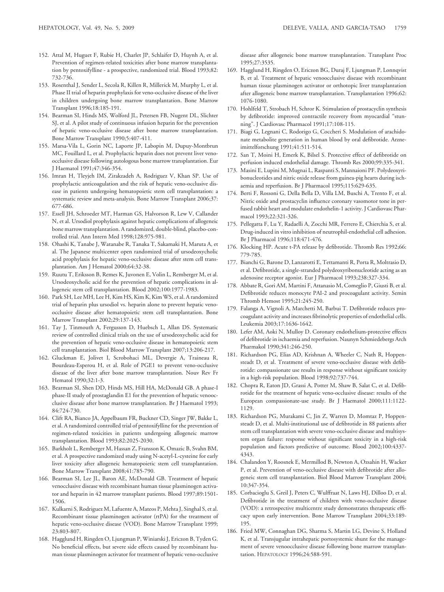- 152. Attal M, Huguet F, Rubie H, Charlet JP, Schlaifer D, Huynh A, et al. Prevention of regimen-related toxicities after bone marrow transplantation by pentoxifylline - a prospective, randomized trial. Blood 1993;82: 732-736.
- 153. Rosenthal J, Sender L, Secola R, Killen R, Millerick M, Murphy L, et al. Phase II trial of heparin prophylaxis for veno-occlusive disease of the liver in children undergoing bone marrow transplantation. Bone Marrow Transplant 1996;18:185-191.
- 154. Bearman SI, Hinds MS, Wolford JL, Petersen FB, Nugent DL, Slichter SJ, et al. A pilot study of continuous infusion heparin for the prevention of hepatic veno-occlusive disease after bone marrow transplantation. Bone Marrow Transplant 1990;5:407-411.
- 155. Marsa-Vila L, Gorin NC, Laporte JP, Labopin M, Dupuy-Montbrun MC, Fouillard L, et al. Prophylactic heparin does not prevent liver venoocclusive disease following autologous bone marrow transplantation. Eur J Haematol 1991;47:346-354.
- 156. Imran H, Tleyjeh IM, Zirakzadeh A, Rodriguez V, Khan SP. Use of prophylactic anticoagulation and the risk of hepatic veno-occlusive disease in patients undergoing hematopoietic stem cell transplantation: a systematic review and meta-analysis. Bone Marrow Transplant 2006;37: 677-686.
- 157. Essell JH, Schroeder MT, Harman GS, Halvorson R, Lew V, Callander N, et al. Ursodiol prophylaxis against hepatic complications of allogeneic bone marrow transplantation. A randomized, double-blind, placebo-controlled trial. Ann Intern Med 1998;128:975-981.
- 158. Ohashi K, Tanabe J, Watanabe R, Tanaka T, Sakamaki H, Maruta A, et al. The Japanese multicenter open randomized trial of ursodeoxycholic acid prophylaxis for hepatic veno-occlusive disease after stem cell transplantation. Am J Hematol 2000;64:32-38.
- 159. Ruutu T, Eriksson B, Remes K, Juvonen E, Volin L, Remberger M, et al. Ursodeoxycholic acid for the prevention of hepatic complications in allogeneic stem cell transplantation. Blood 2002;100:1977-1983.
- 160. Park SH, Lee MH, Lee H, Kim HS, Kim K, Kim WS, et al. A randomized trial of heparin plus ursodiol vs. heparin alone to prevent hepatic venoocclusive disease after hematopoietic stem cell transplantation. Bone Marrow Transplant 2002;29:137-143.
- 161. Tay J, Tinmouth A, Fergusson D, Huebsch L, Allan DS. Systematic review of controlled clinical trials on the use of ursodeoxycholic acid for the prevention of hepatic veno-occlusive disease in hematopoietic stem cell transplantation. Biol Blood Marrow Transplant 2007;13:206-217.
- 162. Gluckman E, Jolivet I, Scrobohaci ML, Devergie A, Traineau R, Bourdeau-Esperou H, et al. Role of PGE1 to prevent veno-occlusive disease of the liver after bone marrow transplantation. Nouv Rev Fr Hematol 1990;32:1-3.
- 163. Bearman SI, Shen DD, Hinds MS, Hill HA, McDonald GB. A phase-I phase-II study of prostaglandin E1 for the prevention of hepatic venoocclusive disease after bone marrow transplantation. Br J Haematol 1993; 84:724-730.
- 164. Clift RA, Bianco JA, Appelbaum FR, Buckner CD, Singer JW, Bakke L, et al. A randomized controlled trial of pentoxifylline for the prevention of regimen-related toxicities in patients undergoing allogeneic marrow transplantation. Blood 1993;82:2025-2030.
- 165. Barkholt L, Remberger M, Hassan Z, Fransson K, Omazic B, Svahn BM, et al. A prospective randomized study using N-acetyl-L-cysteine for early liver toxicity after allogeneic hematopoietic stem cell transplantation. Bone Marrow Transplant 2008;41:785-790.
- 166. Bearman SI, Lee JL, Baron AE, McDonald GB. Treatment of hepatic venocclusive disease with recombinant human tissue plasminogen activator and heparin in 42 marrow transplant patients. Blood 1997;89:1501- 1506.
- 167. Kulkarni S, Rodriguez M, Lafuente A, Mateos P, Mehta J, Singhal S, et al. Recombinant tissue plasminogen activator (rtPA) for the treatment of hepatic veno-occlusive disease (VOD). Bone Marrow Transplant 1999; 23:803-807.
- 168. Hagglund H, Ringden O, Ljungman P, Winiarski J, Ericzon B, Tyden G. No beneficial effects, but severe side effects caused by recombinant human tissue plasminogen activator for treatment of hepatic veno-occlusive

disease after allogeneic bone marrow transplantation. Transplant Proc 1995;27:3535.

- 169. Hagglund H, Ringden O, Ericzon BG, Duraj F, Ljungman P, Lonnqvist B, et al. Treatment of hepatic venoocclusive disease with recombinant human tissue plasminogen activator or orthotopic liver transplantation after allogeneic bone marrow transplantation. Transplantation 1996;62: 1076-1080.
- 170. Hohlfeld T, Strobach H, Schror K. Stimulation of prostacyclin synthesis by defibrotide: improved contractile recovery from myocardial "stunning". J Cardiovasc Pharmacol 1991;17:108-115.
- 171. Biagi G, Legnani C, Rodorigo G, Coccheri S. Modulation of arachidonate metabolite generation in human blood by oral defibrotide. Arzneimittelforschung 1991;41:511-514.
- 172. San T, Moini H, Emerk K, Bilsel S. Protective effect of defibrotide on perfusion induced endothelial damage. Thromb Res 2000;99:335-341.
- 173. Masini E, Lupini M, Mugnai L, Raspanti S, Mannaioni PF. Polydeoxyribonucleotides and nitric oxide release from guinea-pig hearts during ischaemia and reperfusion. Br J Pharmacol 1995;115:629-635.
- 174. Berti F, Rossoni G, Della Bella D, Villa LM, Buschi A, Trento F, et al. Nitric oxide and prostacyclin influence coronary vasomotor tone in perfused rabbit heart and modulate endothelin-1 activity. J Cardiovasc Pharmacol 1993;22:321-326.
- 175. Pellegatta F, Lu Y, Radaelli A, Zocchi MR, Ferrero E, Chierchia S, et al. Drug-induced in vitro inhibition of neutrophil-endothelial cell adhesion. Br J Pharmacol 1996;118:471-476.
- 176. Klocking HP. Acute t-PA release by defibrotide. Thromb Res 1992;66: 779-785.
- 177. Bianchi G, Barone D, Lanzarotti E, Tettamanti R, Porta R, Moltrasio D, et al. Defibrotide, a single-stranded polydeoxyribonucleotide acting as an adenosine receptor agonist. Eur J Pharmacol 1993;238:327-334.
- 178. Abbate R, Gori AM, Martini F, Attanasio M, Comeglio P, Giusti B, et al. Defibrotide reduces monocyte PAI-2 and procoagulant activity. Semin Thromb Hemost 1995;21:245-250.
- 179. Falanga A, Vignoli A, Marchetti M, Barbui T. Defibrotide reduces procoagulant activity and increases fibrinolytic properties of endothelial cells. Leukemia 2003;17:1636-1642.
- 180. Lefer AM, Aoki N, Mulloy D. Coronary endothelium-protective effects of defibrotide in ischaemia and reperfusion. Naunyn Schmiedebergs Arch Pharmakol 1990;341:246-250.
- 181. Richardson PG, Elias AD, Krishnan A, Wheeler C, Nath R, Hoppensteadt D, et al. Treatment of severe veno-occlusive disease with defibrotide: compassionate use results in response without significant toxicity in a high-risk population. Blood 1998;92:737-744.
- 182. Chopra R, Eaton JD, Grassi A, Potter M, Shaw B, Salat C, et al. Defibrotide for the treatment of hepatic veno-occlusive disease: results of the European compassionate-use study. Br J Haematol 2000;111:1122- 1129.
- 183. Richardson PG, Murakami C, Jin Z, Warren D, Momtaz P, Hoppensteadt D, et al. Multi-institutional use of defibrotide in 88 patients after stem cell transplantation with severe veno-occlusive disease and multisystem organ failure: response without significant toxicity in a high-risk population and factors predictive of outcome. Blood 2002;100:4337- 4343.
- 184. Chalandon Y, Roosnek E, Mermillod B, Newton A, Ozsahin H, Wacker P, et al. Prevention of veno-occlusive disease with defibrotide after allogeneic stem cell transplantation. Biol Blood Marrow Transplant 2004; 10:347-354.
- 185. Corbacioglu S, Greil J, Peters C, Wulffraat N, Laws HJ, Dilloo D, et al. Defibrotide in the treatment of children with veno-occlusive disease (VOD): a retrospective multicentre study demonstrates therapeutic efficacy upon early intervention. Bone Marrow Transplant 2004;33:189- 195.
- 186. Fried MW, Connaghan DG, Sharma S, Martin LG, Devine S, Holland K, et al. Transjugular intrahepatic portosystemic shunt for the management of severe venoocclusive disease following bone marrow transplantation. HEPATOLOGY 1996;24:588-591.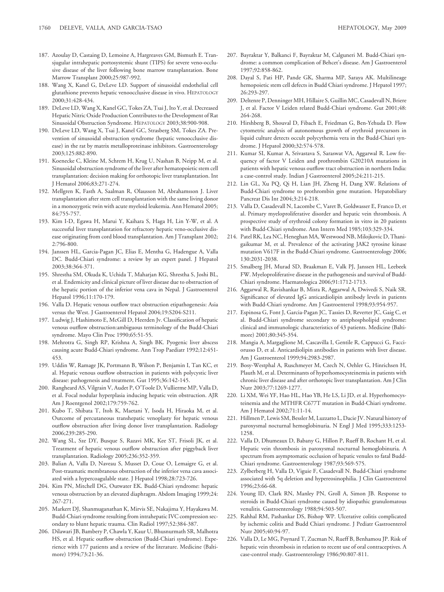- 187. Azoulay D, Castaing D, Lemoine A, Hargreaves GM, Bismuth E. Transjugular intrahepatic portosystemic shunt (TIPS) for severe veno-occlusive disease of the liver following bone marrow transplantation. Bone Marrow Transplant 2000;25:987-992.
- 188. Wang X, Kanel G, DeLeve LD. Support of sinusoidal endothelial cell glutathione prevents hepatic venoocclusive disease in vivo. HEPATOLOGY 2000;31:428-434.
- 189. DeLeve LD, Wang X, Kanel GC, Tokes ZA, Tsai J, Ito Y, et al. Decreased Hepatic Nitric Oxide Production Contributes to the Development of Rat Sinusoidal Obstruction Syndrome. HEPATOLOGY 2003;38:900-908.
- 190. DeLeve LD, Wang X, Tsai J, Kanel GC, Strasberg SM, Tokes ZA. Prevention of sinusoidal obstruction syndrome (hepatic venoocclusive disease) in the rat by matrix metalloproteinase inhibitors. Gastroenterology 2003;125:882-890.
- 191. Koenecke C, Kleine M, Schrem H, Krug U, Nashan B, Neipp M, et al. Sinusoidal obstruction syndrome of the liver after hematopoietic stem cell transplantation: decision making for orthotopic liver transplantation. Int J Hematol 2006;83:271-274.
- 192. Mellgren K, Fasth A, Saalman R, Olausson M, Abrahamsson J. Liver transplantation after stem cell transplantation with the same living donor in a monozygotic twin with acute myeloid leukemia. Ann Hematol 2005; 84:755-757.
- 193. Kim I-D, Egawa H, Marui Y, Kaihara S, Haga H, Lin Y-W, et al. A successful liver transplantation for refractory hepatic veno-occlusive disease originating from cord blood transplantation. Am J Transplant 2002; 2:796-800.
- 194. Janssen HL, Garcia-Pagan JC, Elias E, Mentha G, Hadengue A, Valla DC. Budd-Chiari syndrome: a review by an expert panel. J Hepatol 2003;38:364-371.
- 195. Shrestha SM, Okuda K, Uchida T, Maharjan KG, Shrestha S, Joshi BL, et al. Endemicity and clinical picture of liver disease due to obstruction of the hepatic portion of the inferior vena cava in Nepal. J Gastroenterol Hepatol 1996;11:170-179.
- 196. Valla D. Hepatic venous outflow tract obstruction etipathogenesis: Asia versus the West. J Gastroenterol Hepatol 2004;19:S204-S211.
- 197. Ludwig J, Hashimoto E, McGill D, Heerden Jv. Classification of hepatic venous outflow obstruction:ambiguous terminology of the Budd-Chiari syndrome. Mayo Clin Proc 1990;65:51-55.
- 198. Mehrotra G, Singh RP, Krishna A, Singh BK. Pyogenic liver abscess causing acute Budd-Chiari syndrome. Ann Trop Paediatr 1992;12:451- 453.
- 199. Uddin W, Ramage JK, Portmann B, Wilson P, Benjamin I, Tan KC, et al. Hepatic venous outflow obstruction in patients with polycystic liver disease: pathogenesis and treatment. Gut 1995;36:142-145.
- 200. Rangheard AS, Vilgrain V, Audet P, O'Toole D, Vullierme MP, Valla D, et al. Focal nodular hyperplasia inducing hepatic vein obstruction. AJR Am J Roentgenol 2002;179:759-762.
- 201. Kubo T, Shibata T, Itoh K, Maetani Y, Isoda H, Hiraoka M, et al. Outcome of percutaneous transhepatic venoplasty for hepatic venous outflow obstruction after living donor liver transplantation. Radiology 2006;239:285-290.
- 202. Wang SL, Sze DY, Busque S, Razavi MK, Kee ST, Frisoli JK, et al. Treatment of hepatic venous outflow obstruction after piggyback liver transplantation. Radiology 2005;236:352-359.
- 203. Balian A, Valla D, Naveau S, Musset D, Coue O, Lemaigre G, et al. Post-traumatic membranous obstruction of the inferior vena cava associated with a hypercoagulable state. J Hepatol 1998;28:723-726.
- 204. Kim PN, Mitchell DG, Outwater EK. Budd-Chiari syndrome: hepatic venous obstruction by an elevated diaphragm. Abdom Imaging 1999;24: 267-271.
- 205. Markert DJ, Shanmuganathan K, Mirvis SE, Nakajima Y, Hayakawa M. Budd-Chiari syndrome resulting from intrahepatic IVC compression secondary to blunt hepatic trauma. Clin Radiol 1997;52:384-387.
- 206. Dilawari JB, Bambery P, Chawla Y, Kaur U, Bhusnurmath SR, Malhotra HS, et al. Hepatic outflow obstruction (Budd-Chiari syndrome). Experience with 177 patients and a review of the literature. Medicine (Baltimore) 1994;73:21-36.
- 207. Bayraktar Y, Balkanci F, Bayraktar M, Calguneri M. Budd-Chiari syndrome: a common complication of Behcet's disease. Am J Gastroenterol 1997;92:858-862.
- 208. Dayal S, Pati HP, Pande GK, Sharma MP, Saraya AK. Multilineage hemopoietic stem cell defects in Budd Chiari syndrome. J Hepatol 1997; 26:293-297.
- 209. Deltenre P, Denninger MH, Hillaire S, Guillin MC, Casadevall N, Briere J, et al. Factor V Leiden related Budd-Chiari syndrome. Gut 2001;48: 264-268.
- 210. Hirshberg B, Shouval D, Fibach E, Friedman G, Ben-Yehuda D. Flow cytometric analysis of autonomous growth of erythroid precursors in liquid culture detects occult polycythemia vera in the Budd-Chiari syndrome. J Hepatol 2000;32:574-578.
- 211. Kumar SI, Kumar A, Srivastava S, Saraswat VA, Aggarwal R. Low frequency of factor V Leiden and prothrombin G20210A mutations in patients with hepatic venous outflow tract obstruction in northern India: a case-control study. Indian J Gastroenterol 2005;24:211-215.
- 212. Lin GL, Xu PQ, Qi H, Lian JH, Zheng H, Dang XW. Relations of Budd-Chiari syndrome to prothrombin gene mutation. Hepatobiliary Pancreat Dis Int 2004;3:214-218.
- 213. Valla D, Casadevall N, Lacombe C, Varet B, Goldwasser E, Franco D, et al. Primary myeloproliferative disorder and hepatic vein thrombosis. A prospective study of erythroid colony formation in vitro in 20 patients with Budd-Chiari syndrome. Ann Intern Med 1985;103:329-334.
- 214. Patel RK, Lea NC, Heneghan MA, Westwood NB, Milojkovic D, Thanigaikumar M, et al. Prevalence of the activating JAK2 tyrosine kinase mutation V617F in the Budd-Chiari syndrome. Gastroenterology 2006; 130:2031-2038.
- 215. Smalberg JH, Murad SD, Braakman E, Valk PJ, Janssen HL, Leebeek FW. Myeloproliferative disease in the pathogenesis and survival of Budd-Chiari syndrome. Haematologica 2006;91:1712-1713.
- 216. Aggarwal R, Ravishankar B, Misra R, Aggarwal A, Dwivedi S, Naik SR. Significance of elevated IgG anticardiolipin antibody levels in patients with Budd-Chiari syndrome. Am J Gastroenterol 1998;93:954-957.
- 217. Espinosa G, Font J, Garcia-Pagan JC, Tassies D, Reverter JC, Gaig C, et al. Budd-Chiari syndrome secondary to antiphospholipid syndrome: clinical and immunologic characteristics of 43 patients. Medicine (Baltimore) 2001;80:345-354.
- 218. Mangia A, Margaglione M, Cascavilla I, Gentile R, Cappucci G, Facciorusso D, et al. Anticardiolipin antibodies in patients with liver disease. Am J Gastroenterol 1999;94:2983-2987.
- 219. Bosy-Westphal A, Ruschmeyer M, Czech N, Oehler G, Hinrichsen H, Plauth M, et al. Determinants of hyperhomocysteinemia in patients with chronic liver disease and after orthotopic liver transplantation. Am J Clin Nutr 2003;77:1269-1277.
- 220. Li XM, Wei YF, Hao HL, Hao YB, He LS, Li JD, et al. Hyperhomocysteinemia and the MTHFR C677T mutation in Budd-Chiari syndrome. Am J Hematol 2002;71:11-14.
- 221. Hillmen P, Lewis SM, Bessler M, Luzzatto L, Dacie JV. Natural history of paroxysmal nocturnal hemoglobinuria. N Engl J Med 1995;333:1253- 1258.
- 222. Valla D, Dhumeaux D, Babany G, Hillon P, Rueff B, Rochant H, et al. Hepatic vein thrombosis in paroxysmal nocturnal hemoglobinuria. A spectrum from asymptomatic occlusion of hepatic venules to fatal Budd-Chiari syndrome. Gastroenterology 1987;93:569-575.
- 223. Zylberberg H, Valla D, Viguie F, Casadevall N. Budd-Chiari syndrome associated with 5q deletion and hypereosinophilia. J Clin Gastroenterol 1996;23:66-68.
- 224. Young ID, Clark RN, Manley PN, Groll A, Simon JB. Response to steroids in Budd-Chiari syndrome caused by idiopathic granulomatous venulitis. Gastroenterology 1988;94:503-507.
- 225. Rahhal RM, Pashankar DS, Bishop WP. Ulcerative colitis complicated by ischemic colitis and Budd Chiari syndrome. J Pediatr Gastroenterol Nutr 2005;40:94-97.
- 226. Valla D, Le MG, Poynard T, Zucman N, Rueff B, Benhamou JP. Risk of hepatic vein thrombosis in relation to recent use of oral contraceptives. A case-control study. Gastroenterology 1986;90:807-811.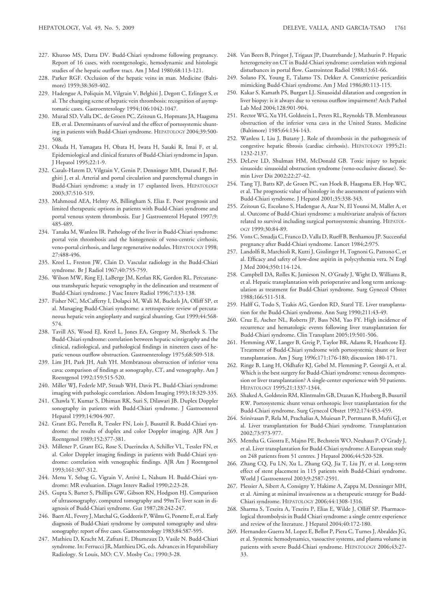- 227. Khuroo MS, Datta DV. Budd-Chiari syndrome following pregnancy. Report of 16 cases, with roentgenologic, hemodynamic and histologic studies of the hepatic outflow tract. Am J Med 1980;68:113-121.
- 228. Parker RGF. Occlusion of the hepatic veins in man. Medicine (Baltimore) 1959;38:369-402.
- 229. Hadengue A, Poliquin M, Vilgrain V, Belghiti J, Degott C, Erlinger S, et al. The changing scene of hepatic vein thrombosis: recognition of asymptomatic cases. Gastroenterology 1994;106:1042-1047.
- 230. Murad SD, Valla DC, de Groen PC, Zeitoun G, Hopmans JA, Haagsma EB, et al. Determinants of survival and the effect of portosystemic shunting in patients with Budd-Chiari syndrome. HEPATOLOGY 2004;39:500- 508.
- 231. Okuda H, Yamagata H, Obata H, Iwata H, Sasaki R, Imai F, et al. Epidemiological and clinical features of Budd-Chiari syndrome in Japan. J Hepatol 1995;22:1-9.
- 232. Cazals-Hatem D, Vilgrain V, Genin P, Denninger MH, Durand F, Belghiti J, et al. Arterial and portal circulation and parenchymal changes in Budd-Chiari syndrome: a study in 17 explanted livers. HEPATOLOGY 2003;37:510-519.
- 233. Mahmoud AEA, Helmy AS, Billingham S, Elias E. Poor prognosis and limited therapeutic options in patients with Budd-Chiari syndrome and portal venous system thrombosis. Eur J Gastroenterol Hepatol 1997;9: 485-489.
- 234. Tanaka M, Wanless IR. Pathology of the liver in Budd-Chiari syndrome: portal vein thrombosis and the histogenesis of veno-centric cirrhosis, veno-portal cirrhosis, and large regenerative nodules. HEPATOLOGY 1998; 27:488-496.
- 235. Kreel L, Freston JW, Clain D. Vascular radiology in the Budd-Chiari syndrome. Br J Radiol 1967;40:755-759.
- 236. Wilson MW, Ring EJ, LaBerge JM, Kerlan RK, Gordon RL. Percutaneous transhepatic hepatic venography in the delineation and treatment of Budd-Chiari syndrome. J Vasc Interv Radiol 1996;7:133-138.
- 237. Fisher NC, McCafferty I, Dolapci M, Wali M, Buckels JA, Olliff SP, et al. Managing Budd-Chiari syndrome: a retrospective review of percutaneous hepatic vein angioplasty and surgical shunting. Gut 1999;44:568- 574.
- 238. Tavill AS, Wood EJ, Kreel L, Jones EA, Gregory M, Sherlock S. The Budd-Chiari syndrome: correlation between hepatic scintigraphy and the clinical, radiological, and pathological findings in nineteen cases of hepatic venous outflow obstruction. Gastroenterology 1975;68:509-518.
- 239. Lim JH, Park JH, Auh YH. Membranous obstruction of inferior vena cava: comparison of findings at sonography, CT, and venography. Am J Roentgenol 1992;159:515-520.
- 240. Miller WJ, Federle MP, Straub WH, Davis PL. Budd-Chiari syndrome: imaging with pathologic correlation. Abdom Imaging 1993;18:329-335.
- 241. Chawla Y, Kumar S, Dhiman RK, Suri S, Dilawari JB. Duplex Doppler sonography in patients with Budd-Chiari syndrome. J Gastroenterol Hepatol 1999;14:904-907.
- 242. Grant EG, Perrella R, Tessler FN, Lois J, Busuttil R. Budd-Chiari syndrome: the results of duplex and color Doppler imaging. AJR Am J Roentgenol 1989;152:377-381.
- 243. Millener P, Grant EG, Rose S, Duerinckx A, Schiller VL, Tessler FN, et al. Color Doppler imaging findings in patients with Budd-Chiari syndrome: correlation with venographic findings. AJR Am J Roentgenol 1993;161:307-312.
- 244. Menu Y, Sebag G, Vigrain V, Arrivé L, Nahum H. Budd-Chiari syndrome: MR evaluation. Diagn Interv Radiol 1990;2:23-28.
- 245. Gupta S, Barter S, Phillips GW, Gibson RN, Hodgson HJ. Comparison of ultrasonography, computed tomography and 99mTc liver scan in diagnosis of Budd-Chiari syndrome. Gut 1987;28:242-247.
- 246. Baert AL, Fevery J, Marchal G, Goddeeris P, Wilms G, Ponette E, et al. Early diagnosis of Budd-Chiari syndrome by computed tomography and ultrasonography: report of five cases. Gastroenterology 1983;84:587-595.
- 247. Mathieu D, Kracht M, Zafrani E, Dhumeaux D, Vasile N. Budd-Chiari syndrome. In: Ferrucci JR, Matthieu DG, eds. Advances in Hepatobiliary Radiology. St Louis, MO: C.V. Mosby Co.; 1990:3-28.
- 248. Van Beers B, Pringot J, Trigaux JP, Dautrebande J, Mathurin P. Hepatic heterogeneity on CT in Budd-Chiari syndrome: correlation with regional disturbances in portal flow. Gastrointest Radiol 1988;13:61-66.
- 249. Solano FX, Young E, Talamo TS, Dekker A. Constrictive pericarditis mimicking Budd-Chiari syndrome. Am J Med 1986;80:113-115.
- 250. Kakar S, Kamath PS, Burgart LJ. Sinusoidal dilatation and congestion in liver biopsy: is it always due to venous outflow impairment? Arch Pathol Lab Med 2004;128:901-904.
- 251. Rector WG, Xu YH, Goldstein L, Peters RL, Reynolds TB. Membranous obstruction of the inferior vena cava in the United States. Medicine (Baltimore) 1985;64:134-143.
- 252. Wanless I, Liu J, Butany J. Role of thrombosis in the pathogenesis of congestive hepatic fibrosis (cardiac cirrhosis). HEPATOLOGY 1995;21: 1232-2137.
- 253. DeLeve LD, Shulman HM, McDonald GB. Toxic injury to hepatic sinusoids: sinusoidal obstruction syndrome (veno-occlusive disease). Semin Liver Dis 2002;22:27-42.
- 254. Tang TJ, Batts KP, de Groen PC, van Hoek B, Haagsma EB, Hop WC, et al. The prognostic value of histology in the assessment of patients with Budd-Chiari syndrome. J Hepatol 2001;35:338-343.
- 255. Zeitoun G, Escolano S, Hadengue A, Azar N, El Younsi M, Mallet A, et al. Outcome of Budd-Chiari syndrome: a multivariate analysis of factors related to survival including surgical portosystemic shunting. HEPATOL-OGY 1999;30:84-89.
- 256. Vons C, Smadja C, Franco D, Valla D, Rueff B, Benhamou JP. Successful pregnancy after Budd-Chiari syndrome. Lancet 1984;2:975.
- 257. Landolfi R, Marchioli R, Kutti J, Gisslinger H, Tognoni G, Patrono C, et al. Efficacy and safety of low-dose aspirin in polycythemia vera. N Engl J Med 2004;350:114-124.
- 258. Campbell DA, Rolles K, Jamieson N, O'Grady J, Wight D, Williams R, et al. Hepatic transplantation with perioperative and long term anticoagulation as treatment for Budd-Chiari syndrome. Surg Gynecol Obstet 1988;166:511-518.
- 259. Halff G, Todo S, Tzakis AG, Gordon RD, Starzl TE. Liver transplantation for the Budd-Chiari syndrome. Ann Surg 1990;211:43-49.
- 260. Cruz E, Ascher NL, Roberts JP, Bass NM, Yao FY. High incidence of recurrence and hematologic events following liver transplantation for Budd-Chiari syndrome. Clin Transplant 2005;19:501-506.
- 261. Hemming AW, Langer B, Greig P, Taylor BR, Adams R, Heathcote EJ. Treatment of Budd-Chiari syndrome with portosystemic shunt or liver transplantation. Am J Surg 1996;171:176-180; discussion 180-171.
- 262. Ringe B, Lang H, Oldhafer KJ, Gebel M, Flemming P, Georgii A, et al. Which is the best surgery for Budd-Chiari syndrome: venous decompression or liver transplantation? A single-center experience with 50 patients. HEPATOLOGY 1995;21:1337-1344.
- 263. Shaked A, Goldstein RM, Klintmalm GB, Drazan K, Husberg B, Busuttil RW. Portosystemic shunt versus orthotopic liver transplantation for the Budd-Chiari syndrome. Surg Gynecol Obstet 1992;174:453-459.
- 264. Srinivasan P, Rela M, Prachalias A, Muiesan P, Portmann B, Mufti GJ, et al. Liver transplantation for Budd-Chiari syndrome. Transplantation 2002;73:973-977.
- 265. Mentha G, Giostra E, Majno PE, Bechstein WO, Neuhaus P, O'Grady J, et al. Liver transplantation for Budd-Chiari syndrome: A European study on 248 patients from 51 centres. J Hepatol 2006;44:520-528.
- 266. Zhang CQ, Fu LN, Xu L, Zhang GQ, Jia T, Liu JY, et al. Long-term effect of stent placement in 115 patients with Budd-Chiari syndrome. World J Gastroenterol 2003;9:2587-2591.
- 267. Plessier A, Sibert A, Consigny Y, Hakime A, Zappa M, Denninger MH, et al. Aiming at minimal invasiveness as a therapeutic strategy for Budd-Chiari syndrome. HEPATOLOGY 2006;44:1308-1316.
- 268. Sharma S, Texeira A, Texeira P, Elias E, Wilde J, Olliff SP. Pharmacological thrombolysis in Budd Chiari syndrome: a single centre experience and review of the literature. J Hepatol 2004;40:172-180.
- 269. Hernandez-Guerra M, Lopez E, Bellot P, Piera C, Turnes J, Abraldes JG, et al. Systemic hemodynamics, vasoactive systems, and plasma volume in patients with severe Budd-Chiari syndrome. HEPATOLOGY 2006;43:27- 33.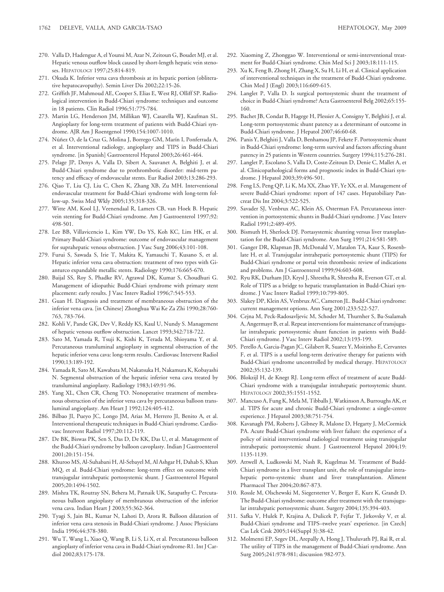- 270. Valla D, Hadengue A, el Younsi M, Azar N, Zeitoun G, Boudet MJ, et al. Hepatic venous outflow block caused by short-length hepatic vein stenoses. HEPATOLOGY 1997;25:814-819.
- 271. Okuda K. Inferior vena cava thrombosis at its hepatic portion (obliterative hepatocavopathy). Semin Liver Dis 2002;22:15-26.
- 272. Griffith JF, Mahmoud AE, Cooper S, Elias E, West RJ, Olliff SP. Radiological intervention in Budd-Chiari syndrome: techniques and outcome in 18 patients. Clin Radiol 1996;51:775-784.
- 273. Martin LG, Henderson JM, Millikan WJ, Casarella WJ, Kaufman SL. Angioplasty for long-term treatment of patients with Budd-Chiari syndrome. AJR Am J Roentgenol 1990;154:1007-1010.
- 274. Núñez O, de la Cruz G, Molina J, Borrego GM, Marín I, Ponferrada A, et al. Interventional radiology, angioplasty and TIPS in Budd-Chiari syndrome. [in Spanish] Gastroenterol Hepatol 2003;26:461-464.
- 275. Pelage JP, Denys A, Valla D, Sibert A, Sauvanet A, Belghiti J, et al. Budd-Chiari syndrome due to prothrombotic disorder: mid-term patency and efficacy of endovascular stents. Eur Radiol 2003;13:286-293.
- 276. Qiao T, Liu CJ, Liu C, Chen K, Zhang XB, Zu MH. Interventional endovascular treatment for Budd-Chiari syndrome with long-term follow-up. Swiss Med Wkly 2005;135:318-326.
- 277. Witte AM, Kool LJ, Veenendaal R, Lamers CB, van Hoek B. Hepatic vein stenting for Budd-Chiari syndrome. Am J Gastroenterol 1997;92: 498-501.
- 278. Lee BB, Villavicencio L, Kim YW, Do YS, Koh KC, Lim HK, et al. Primary Budd-Chiari syndrome: outcome of endovascular management for suprahepatic venous obstruction. J Vasc Surg 2006;43:101-108.
- 279. Furui S, Sawada S, Irie T, Makita K, Yamauchi T, Kusano S, et al. Hepatic inferior vena cava obstruction: treatment of two types with Gianturco expandable metallic stents. Radiology 1990;176:665-670.
- 280. Baijal SS, Roy S, Phadke RV, Agrawal DK, Kumar S, Choudhuri G. Management of idiopathic Budd-Chiari syndrome with primary stent placement: early results. J Vasc Interv Radiol 1996;7:545-553.
- 281. Guan H. Diagnosis and treatment of membraneous obstruction of the inferior vena cava. [in Chinese] Zhonghua Wai Ke Za Zhi 1990;28:760- 763, 783-764.
- 282. Kohli V, Pande GK, Dev V, Reddy KS, Kaul U, Nundy S. Management of hepatic venous outflow obstruction. Lancet 1993;342:718-722.
- 283. Sato M, Yamada R, Tsuji K, Kishi K, Terada M, Shioyama Y, et al. Percutaneous transluminal angioplasty in segmental obstruction of the hepatic inferior vena cava: long-term results. Cardiovasc Intervent Radiol 1990;13:189-192.
- 284. Yamada R, Sato M, Kawabata M, Nakatsuka H, Nakamura K, Kobayashi N. Segmental obstruction of the hepatic inferior vena cava treated by transluminal angioplasty. Radiology 1983;149:91-96.
- 285. Yang XL, Chen CR, Cheng TO. Nonoperative treatment of membranous obstruction of the inferior vena cava by percutaneous balloon transluminal angioplasty. Am Heart J 1992;124:405-412.
- 286. Bilbao JI, Pueyo JC, Longo JM, Arias M, Herrero JI, Benito A, et al. Interventional therapeutic techniques in Budd-Chiari syndrome. Cardiovasc Intervent Radiol 1997;20:112-119.
- 287. De BK, Biswas PK, Sen S, Das D, De KK, Das U, et al. Management of the Budd-Chiari syndrome by balloon cavoplasty. Indian J Gastroenterol 2001;20:151-154.
- 288. Khuroo MS, Al-Suhabani H, Al-Sebayel M, Al Ashgar H, Dahab S, Khan MQ, et al. Budd-Chiari syndrome: long-term effect on outcome with transjugular intrahepatic portosystemic shunt. J Gastroenterol Hepatol 2005;20:1494-1502.
- 289. Mishra TK, Routray SN, Behera M, Patnaik UK, Satapathy C. Percutaneous balloon angioplasty of membranous obstruction of the inferior vena cava. Indian Heart J 2003;55:362-364.
- 290. Tyagi S, Jain BL, Kumar N, Lahoti D, Arora R. Balloon dilatation of inferior vena cava stenosis in Budd-Chiari syndrome. J Assoc Physicians India 1996;44:378-380.
- 291. Wu T, Wang L, Xiao Q, Wang B, Li S, Li X, et al. Percutaneous balloon angioplasty of inferior vena cava in Budd-Chiari syndrome-R1. Int J Cardiol 2002;83:175-178.
- 292. Xiaoming Z, Zhonggao W. Interventional or semi-interventional treatment for Budd-Chiari syndrome. Chin Med Sci J 2003;18:111-115.
- 293. Xu K, Feng B, Zhong H, Zhang X, Su H, Li H, et al. Clinical application of interventional techniques in the treatment of Budd-Chiari syndrome. Chin Med J (Engl) 2003;116:609-615.
- 294. Langlet P, Valla D. Is surgical portosystemic shunt the treatment of choice in Budd-Chiari syndrome? Acta Gastroenterol Belg 2002;65:155- 160.
- 295. Bachet JB, Condat B, Hagege H, Plessier A, Consigny Y, Belghiti J, et al. Long-term portosystemic shunt patency as a determinant of outcome in Budd-Chiari syndrome. J Hepatol 2007;46:60-68.
- 296. Panis Y, Belghiti J, Valla D, Benhamou JP, Fekete F. Portosystemic shunt in Budd-Chiari syndrome: long-term survival and factors affecting shunt patency in 25 patients in Western countries. Surgery 1994;115:276-281.
- 297. Langlet P, Escolano S, Valla D, Coste-Zeitoun D, Denie C, Mallet A, et al. Clinicopathological forms and prognostic index in Budd-Chiari syndrome. J Hepatol 2003;39:496-501.
- 298. Feng LS, Peng QP, Li K, Ma XX, Zhao YF, Ye XX, et al. Management of severe Budd-Chiari syndrome: report of 147 cases. Hepatobiliary Pancreat Dis Int 2004;3:522-525.
- 299. Savader SJ, Venbrux AC, Klein AS, Osterman FA. Percutaneous intervention in portosystemic shunts in Budd-Chiari syndrome. J Vasc Interv Radiol 1991;2:489-495.
- 300. Bismuth H, Sherlock DJ. Portasystemic shunting versus liver transplantation for the Budd-Chiari syndrome. Ann Surg 1991;214:581-589.
- 301. Ganger DR, Klapman JB, McDonald V, Matalon TA, Kaur S, Rosenblate H, et al. Transjugular intrahepatic portosystemic shunt (TIPS) for Budd-Chiari syndrome or portal vein thrombosis: review of indications and problems. Am J Gastroenterol 1999;94:603-608.
- 302. Ryu RK, Durham JD, Krysl J, Shrestha R, Shrestha R, Everson GT, et al. Role of TIPS as a bridge to hepatic transplantation in Budd-Chiari syndrome. J Vasc Interv Radiol 1999;10:799-805.
- 303. Slakey DP, Klein AS, Venbrux AC, Cameron JL. Budd-Chiari syndrome: current management options. Ann Surg 2001;233:522-527.
- 304. Cejna M, Peck-Radosavljevic M, Schoder M, Thurnher S, Ba-Ssalamah A, Angermayr B, et al. Repeat interventions for maintenance of transjugular intrahepatic portosystemic shunt function in patients with Budd-Chiari syndrome. J Vasc Interv Radiol 2002;13:193-199.
- 305. Perello A, Garcia-Pagan JC, Gilabert R, Suarez Y, Moitinho E, Cervantes F, et al. TIPS is a useful long-term derivative therapy for patients with Budd-Chiari syndrome uncontrolled by medical therapy. HEPATOLOGY 2002;35:132-139.
- 306. Blokzijl H, de Knegt RJ. Long-term effect of treatment of acute Budd-Chiari syndrome with a transjugular intrahepatic portosytemic shunt. HEPATOLOGY 2002;35:1551-1552.
- 307. Mancuso A, Fung K, Mela M, Tibballs J, Watkinson A, Burroughs AK, et al. TIPS for acute and chronic Budd-Chiari syndrome: a single-centre experience. J Hepatol 2003;38:751-754.
- 308. Kavanagh PM, Roberts J, Gibney R, Malone D, Hegarty J, McCormick PA. Acute Budd-Chiari syndrome with liver failure: the experience of a policy of initial interventional radiological treatment using transjugular intrahepatic portosystemic shunt. J Gastroenterol Hepatol 2004;19: 1135-1139.
- 309. Attwell A, Ludkowski M, Nash R, Kugelmas M. Treatment of Budd-Chiari syndrome in a liver transplant unit, the role of transjugular intrahepatic porto-systemic shunt and liver transplantation. Aliment Pharmacol Ther 2004;20:867-873.
- 310. Rossle M, Olschewski M, Siegerstetter V, Berger E, Kurz K, Grandt D. The Budd-Chiari syndrome: outcome after treatment with the transjugular intrahepatic portosystemic shunt. Surgery 2004;135:394-403.
- 311. Safka V, Hulek P, Krajina A, Dulicek P, Fejfar T, Jirkovsky V, et al. Budd-Chiari syndrome and TIPS–twelve years' experience. [in Czech] Cas Lek Cesk 2005;144(Suppl 3):38-42.
- 312. Molmenti EP, Segev DL, Arepally A, Hong J, Thuluvath PJ, Rai R, et al. The utility of TIPS in the management of Budd-Chiari syndrome. Ann Surg 2005;241:978-981; discussion 982-973.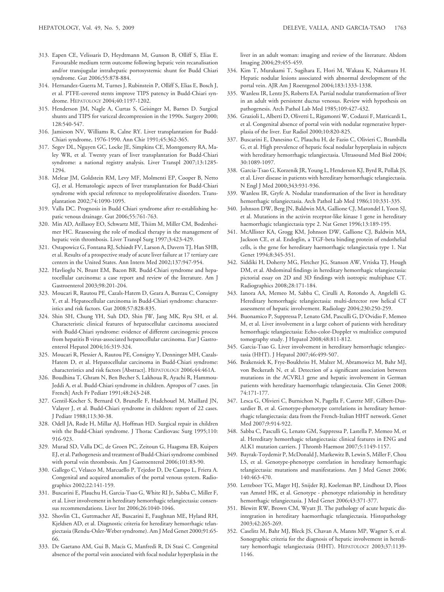- 313. Eapen CE, Velissaris D, Heydtmann M, Gunson B, Olliff S, Elias E. Favourable medium term outcome following hepatic vein recanalisation and/or transjugular intrahepatic portosystemic shunt for Budd Chiari syndrome. Gut 2006;55:878-884.
- 314. Hernandez-Guerra M, Turnes J, Rubinstein P, Olliff S, Elias E, Bosch J, et al. PTFE-covered stents improve TIPS patency in Budd-Chiari syndrome. HEPATOLOGY 2004;40:1197-1202.
- 315. Henderson JM, Nagle A, Curtas S, Geisinger M, Barnes D. Surgical shunts and TIPS for variceal decompression in the 1990s. Surgery 2000; 128:540-547.
- 316. Jamieson NV, Williams R, Calne RY. Liver transplantation for Budd-Chiari syndrome, 1976-1990. Ann Chir 1991;45:362-365.
- 317. Segev DL, Nguyen GC, Locke JE, Simpkins CE, Montgomery RA, Maley WR, et al. Twenty years of liver transplantation for Budd-Chiari syndrome: a national registry analysis. Liver Transpl 2007;13:1285- 1294.
- 318. Melear JM, Goldstein RM, Levy MF, Molmenti EP, Cooper B, Netto GJ, et al. Hematologic aspects of liver transplantation for Budd-Chiari syndrome with special reference to myeloproliferative disorders. Transplantation 2002;74:1090-1095.
- 319. Valla DC. Prognosis in Budd Chiari syndrome after re-establishing hepatic venous drainage. Gut 2006;55:761-763.
- 320. Min AD, Atillasoy EO, Schwartz ME, Thiim M, Miller CM, Bodenheimer HC. Reassessing the role of medical therapy in the management of hepatic vein thrombosis. Liver Transpl Surg 1997;3:423-429.
- 321. Ostapowicz G, Fontana RJ, Schiødt FV, Larson A, Davern TJ, Han SHB, et al. Results of a prospective study of acute liver failure at 17 tertiary care centers in the United States. Ann Intern Med 2002;137:947-954.
- 322. Havlioglu N, Brunt EM, Bacon BR. Budd-Chiari syndrome and hepatocellular carcinoma: a case report and review of the literature. Am J Gastroenterol 2003;98:201-204.
- 323. Moucari R, Rautou PE, Cazals-Hatem D, Geara A, Bureau C, Consigny Y, et al. Hepatocellular carcinoma in Budd-Chiari syndrome: characteristics and risk factors. Gut 2008;57:828-835.
- 324. Shin SH, Chung YH, Suh DD, Shin JW, Jang MK, Ryu SH, et al. Characteristic clinical features of hepatocellular carcinoma associated with Budd-Chiari syndrome: evidence of different carcinogenic process from hepatitis B virus-associated hepatocellular carcinoma. Eur J Gastroenterol Hepatol 2004;16:319-324.
- 325. Moucari R, Plessier A, Rautou PE, Consigny Y, Denninger MH, Cazals-Hatem D, et al. Hepatocellular carcinoma in Budd-Chiari syndrome: characteristics and risk factors [Abstract]. HEPATOLOGY 2006;44:461A.
- 326. Boudhina T, Ghram N, Ben Becher S, Lakhoua R, Ayachi R, Hammou-Jeddi A, et al. Budd-Chiari syndrome in children. Apropos of 7 cases. [in French] Arch Fr Pediatr 1991;48:243-248.
- 327. Gentil-Kocher S, Bernard O, Brunelle F, Hadchouel M, Maillard JN, Valayer J, et al. Budd-Chiari syndrome in children: report of 22 cases. J Pediatr 1988;113:30-38.
- 328. Odell JA, Rode H, Millar AJ, Hoffman HD. Surgical repair in children with the Budd-Chiari syndrome. J Thorac Cardiovasc Surg 1995;110: 916-923.
- 329. Murad SD, Valla DC, de Groen PC, Zeitoun G, Haagsma EB, Kuipers EJ, et al. Pathogenesis and treatment of Budd-Chiari syndrome combined with portal vein thrombosis. Am J Gastroenterol 2006;101:83-90.
- 330. Gallego C, Velasco M, Marcuello P, Tejedor D, De Campo L, Friera A. Congenital and acquired anomalies of the portal venous system. Radiographics 2002;22:141-159.
- 331. Buscarini E, Plauchu H, Garcia-Tsao G, White RI Jr, Sabba C, Miller F, et al. Liver involvement in hereditary hemorrhagic telangiectasia: consensus recommendations. Liver Int 2006;26:1040-1046.
- 332. Shovlin CL, Guttmacher AE, Buscarini E, Faughnan ME, Hyland RH, Kjeldsen AD, et al. Diagnostic criteria for hereditary hemorrhagic telangiectasia (Rendu-Osler-Weber syndrome). Am J Med Genet 2000;91:65- 66.
- 333. De Gaetano AM, Gui B, Macis G, Manfredi R, Di Stasi C. Congenital absence of the portal vein associated with focal nodular hyperplasia in the

liver in an adult woman: imaging and review of the literature. Abdom Imaging 2004;29:455-459.

- 334. Kim T, Murakami T, Sugihara E, Hori M, Wakasa K, Nakamura H. Hepatic nodular lesions associated with abnormal development of the portal vein. AJR Am J Roentgenol 2004;183:1333-1338.
- 335. Wanless IR, Lentz JS, Roberts EA. Partial nodular transformation of liver in an adult with persistent ductus venosus. Review with hypothesis on pathogenesis. Arch Pathol Lab Med 1985;109:427-432.
- 336. Grazioli L, Alberti D, Olivetti L, Rigamonti W, Codazzi F, Matricardi L, et al. Congenital absence of portal vein with nodular regenerative hyperplasia of the liver. Eur Radiol 2000;10:820-825.
- 337. Buscarini E, Danesino C, Plauchu H, de Fazio C, Olivieri C, Brambilla G, et al. High prevalence of hepatic focal nodular hyperplasia in subjects with hereditary hemorrhagic telangiectasia. Ultrasound Med Biol 2004; 30:1089-1097.
- 338. Garcia-Tsao G, Korzenik JR, Young L, Henderson KJ, Byrd R, Pollak JS, et al. Liver disease in patients with hereditary hemorrhagic telangiectasia. N Engl J Med 2000;343:931-936.
- 339. Wanless IR, Gryfe A. Nodular transformation of the liver in hereditary hemorrhagic telangiectasia. Arch Pathol Lab Med 1986;110:331-335.
- 340. Johnson DW, Berg JN, Baldwin MA, Gallione CJ, Marondel I, Yoon SJ, et al. Mutations in the activin receptor-like kinase 1 gene in hereditary haemorrhagic telangiectasia type 2. Nat Genet 1996;13:189-195.
- 341. McAllister KA, Grogg KM, Johnson DW, Gallione CJ, Baldwin MA, Jackson CE, et al. Endoglin, a TGF-beta binding protein of endothelial cells, is the gene for hereditary haemorrhagic telangiectasia type 1. Nat Genet 1994;8:345-351.
- 342. Siddiki H, Doherty MG, Fletcher JG, Stanson AW, Vrtiska TJ, Hough DM, et al. Abdominal findings in hereditary hemorrhagic telangiectasia: pictorial essay on 2D and 3D findings with isotropic multiphase CT. Radiographics 2008;28:171-184.
- 343. Ianora AA, Memeo M, Sabba C, Cirulli A, Rotondo A, Angelelli G. Hereditary hemorrhagic telangiectasia: multi-detector row helical CT assessment of hepatic involvement. Radiology 2004;230:250-259.
- 344. Buonamico P, Suppressa P, Lenato GM, Pasculli G, D'Ovidio F, Memeo M, et al. Liver involvement in a large cohort of patients with hereditary hemorrhagic telangiectasia: Echo-color-Doppler vs multislice computed tomography study. J Hepatol 2008;48:811-812.
- 345. Garcia-Tsao G. Liver involvement in hereditary hemorrhagic telangiectasia (HHT). J Hepatol 2007;46:499-507.
- 346. Brakensiek K, Frye-Boukhriss H, Malzer M, Abramowicz M, Bahr MJ, von Beckerath N, et al. Detection of a significant association between mutations in the ACVRL1 gene and hepatic involvement in German patients with hereditary haemorrhagic telangiectasia. Clin Genet 2008; 74:171-177.
- 347. Lesca G, Olivieri C, Burnichon N, Pagella F, Carette MF, Gilbert-Dussardier B, et al. Genotype-phenotype correlations in hereditary hemorrhagic telangiectasia: data from the French-Italian HHT network. Genet Med 2007;9:914-922.
- 348. Sabba C, Pasculli G, Lenato GM, Suppressa P, Lastella P, Memeo M, et al. Hereditary hemorrhagic telangiectasia: clinical features in ENG and ALK1 mutation carriers. J Thromb Haemost 2007;5:1149-1157.
- 349. Bayrak-Toydemir P, McDonald J, Markewitz B, Lewin S, Miller F, Chou LS, et al. Genotype-phenotype correlation in hereditary hemorrhagic telangiectasia: mutations and manifestations. Am J Med Genet 2006; 140:463-470.
- 350. Letteboer TG, Mager HJ, Snijder RJ, Koeleman BP, Lindhout D, Ploos van Amstel HK, et al. Genotype - phenotype relationship in hereditary hemorrhagic telangiectasia. J Med Genet 2006;43:371-377.
- 351. Blewitt RW, Brown CM, Wyatt JI. The pathology of acute hepatic disintegration in hereditary haemorrhagic telangiectasia. Histopathology 2003;42:265-269.
- 352. Caselitz M, Bahr MJ, Bleck JS, Chavan A, Manns MP, Wagner S, et al. Sonographic criteria for the diagnosis of hepatic involvement in hereditary hemorrhagic telangiectasia (HHT). HEPATOLOGY 2003;37:1139- 1146.